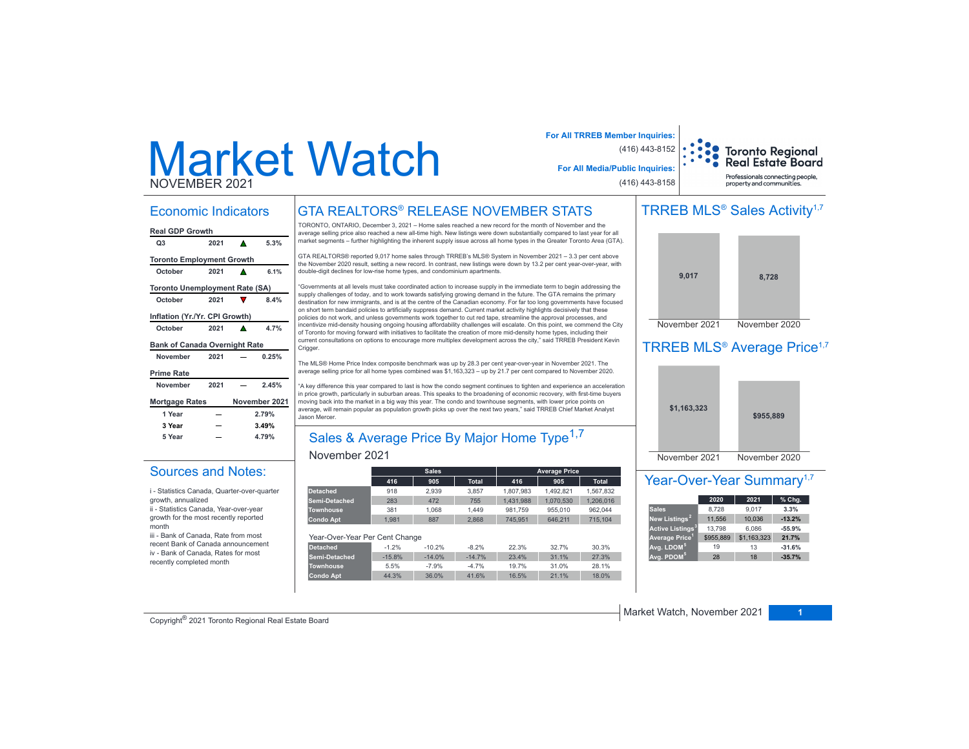# Market Watch NOVEMBER 2021

### Economic Indicators

| <b>Real GDP Growth</b>                |      |   |               |  |  |  |  |  |
|---------------------------------------|------|---|---------------|--|--|--|--|--|
| Q3                                    | 2021 | Δ | 5.3%          |  |  |  |  |  |
| <b>Toronto Employment Growth</b>      |      |   |               |  |  |  |  |  |
| October                               | 2021 |   | 6.1%          |  |  |  |  |  |
| <b>Toronto Unemployment Rate (SA)</b> |      |   |               |  |  |  |  |  |
| October                               | 2021 |   | 8.4%          |  |  |  |  |  |
| Inflation (Yr./Yr. CPI Growth)        |      |   |               |  |  |  |  |  |
| October                               | 2021 |   | 4.7%          |  |  |  |  |  |
| <b>Bank of Canada Overnight Rate</b>  |      |   |               |  |  |  |  |  |
| November                              | 2021 |   | 0.25%         |  |  |  |  |  |
| <b>Prime Rate</b>                     |      |   |               |  |  |  |  |  |
| November                              | 2021 |   | 2.45%         |  |  |  |  |  |
| <b>Mortgage Rates</b>                 |      |   | November 2021 |  |  |  |  |  |
| 1 Year                                |      |   | 2.79%         |  |  |  |  |  |
| 3 Year                                |      |   | 3.49%         |  |  |  |  |  |
| 5 Year                                |      |   | 4.79%         |  |  |  |  |  |

Sources and Notes:i - Statistics Canada, Quarter-over-quarter

ii - Statistics Canada, Year-over-year growth for the most recently reported

iii - Bank of Canada, Rate from most recent Bank of Canada announcement iv - Bank of Canada, Rates for most recently completed month

growth, annualized

month

# GTA REALTORS® RELEASE NOVEMBER STATS

TORONTO, ONTARIO, December 3, 2021 – Home sales reached a new record for the month of November and the average selling price also reached a new all-time high. New listings were down substantially compared to last year for all market segments - further highlighting the inherent supply issue across all home types in the Greater Toronto Area (GTA).

GTA REALTORS® reported 9,017 home sales through TRREB's MLS® System in November 2021 - 3.3 per cent above the November 2020 result, setting a new record. In contrast, new listings were down by 13.2 per cent year-over-year, with double-digit declines for low-rise home types, and condominium apartments.

"Governments at all levels must take coordinated action to increase supply in the immediate term to begin addressing the supply challenges of today, and to work towards satisfying growing demand in the future. The GTA remains the primary destination for new immigrants, and is at the centre of the Canadian economy. For far too long governments have focused on short term bandaid policies to artificially suppress demand. Current market activity highlights decisively that these policies do not work, and unless governments work together to cut red tape, streamline the approval processes, and incentivize mid-density housing ongoing housing affordability challenges will escalate. On this point, we commend the City of Toronto for moving forward with initiatives to facilitate the creation of more mid-density home types, including their current consultations on options to encourage more multiplex development across the city," said TRREB President Kevin Crigger

The MLS® Home Price Index composite benchmark was up by 28.3 per cent year-over-year in November 2021. The average selling price for all home types combined was \$1,163,323 - up by 21.7 per cent compared to November 2020.

"A key difference this year compared to last is how the condo segment continues to tighten and experience an acceleration in price growth, particularly in suburban areas. This speaks to the broadening of economic recovery, with first-time buyers moving back into the market in a big way this year. The condo and townhouse segments, with lower price points on average, will remain popular as population growth picks up over the next two years," said TRREB Chief Market Analyst Jason Mercer.

# Sales & Average Price By Major Home Type<sup>1,7</sup>

### November 2021

|                                |          | <b>Sales</b> |              |           | <b>Average Price</b> |              |
|--------------------------------|----------|--------------|--------------|-----------|----------------------|--------------|
|                                | 416      | 905          | <b>Total</b> | 416       | 905                  | <b>Total</b> |
| <b>Detached</b>                | 918      | 2.939        | 3.857        | 1.807.983 | 1.492.821            | 1.567.832    |
| Semi-Detached                  | 283      | 472          | 755          | 1.431.988 | 1.070.530            | 1.206.016    |
| <b>Townhouse</b>               | 381      | 1.068        | 1.449        | 981.759   | 955.010              | 962.044      |
| <b>Condo Apt</b>               | 1.981    | 887          | 2.868        | 745.951   | 646.211              | 715.104      |
| Year-Over-Year Per Cent Change |          |              |              |           |                      |              |
| <b>Detached</b>                | $-1.2%$  | $-10.2%$     | $-8.2%$      | 22.3%     | 32.7%                | 30.3%        |
| Semi-Detached                  | $-15.8%$ | $-14.0%$     | $-14.7%$     | 23.4%     | 31.1%                | 27.3%        |
| <b>Townhouse</b>               | 5.5%     | $-7.9%$      | $-4.7%$      | 19.7%     | 31.0%                | 28.1%        |
| <b>Condo Apt</b>               | 44.3%    | 36.0%        | 41.6%        | 16.5%     | 21.1%                | 18.0%        |

# TRREB MLS<sup>®</sup> Sales Activity<sup>1,7</sup>

Toronto Regional<br>Real Estate Board Professionals connecting people property and communities.

**For All TRREB Member Inquiries:**

**For All Media/Public Inquiries:**

(416) 443-8152

(416) 443-8158



### TRREB MLS<sup>®</sup> Average Price<sup>1,7</sup>



### Year-Over-Year Summary<sup>1,7</sup>

|                              | 2020      | 2021        | % Chg.   |
|------------------------------|-----------|-------------|----------|
| <b>Sales</b>                 | 8.728     | 9.017       | 3.3%     |
| New Listings <sup>2</sup>    | 11,556    | 10,036      | $-13.2%$ |
| Active Listings <sup>3</sup> | 13,798    | 6.086       | $-55.9%$ |
| Average Price <sup>1</sup>   | \$955.889 | \$1,163,323 | 21.7%    |
| Avg. LDOM <sup>5</sup>       | 19        | 13          | $-31.6%$ |
| Avg. PDOM <sup>5</sup>       | 28        | 18          | $-35.7%$ |

Copyright® 2021 Toronto Regional Real Estate Board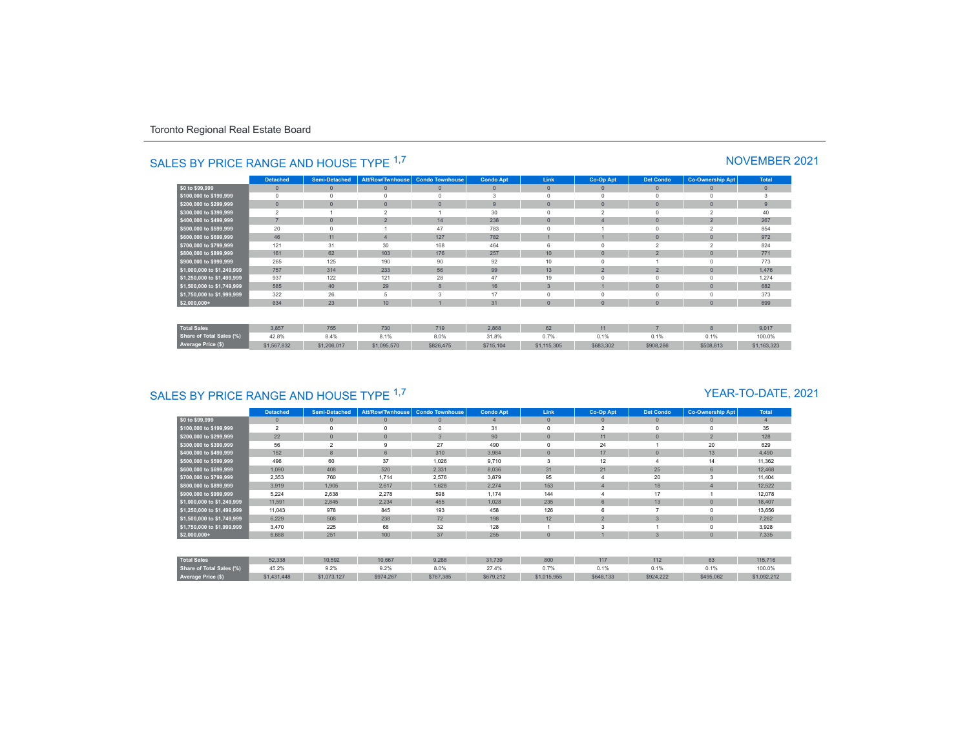|                                 | <b>Detached</b> | <b>Semi-Detached</b> | <b>Att/Row/Twnhouse</b> | <b>Condo Townhouse</b> | <b>Condo Apt</b> | Link           | Co-Op Apt      | <b>Det Condo</b> | <b>Co-Ownership Apt</b> | <b>Total</b> |
|---------------------------------|-----------------|----------------------|-------------------------|------------------------|------------------|----------------|----------------|------------------|-------------------------|--------------|
| \$0 to \$99,999                 | $\mathbf{0}$    | $\mathbf{0}$         | $\mathbf{0}$            | $\mathbf{0}$           | $\overline{0}$   | $\mathbf{0}$   | 0              | $\mathbf{0}$     | $\mathbf{0}$            | $\mathbf{0}$ |
| \$100,000 to \$199,999          | $\Omega$        |                      | $\Omega$                | $\Omega$               | 3                | $\Omega$       |                | $\Omega$         | $\Omega$                | 3            |
| \$200,000 to \$299,999          | $\mathbf{0}$    | $\Omega$             | $\overline{0}$          | $\mathbf{0}$           | 9                | $\Omega$       | $\Omega$       | $\mathbf{0}$     | $\mathbf{0}$            | 9            |
| \$300,000 to \$399,999          | $\overline{2}$  |                      | $\overline{2}$          |                        | 30               | $\Omega$       | 2              | $\Omega$         | $\hat{ }$               | 40           |
| \$400,000 to \$499,999          | $\overline{7}$  |                      | $\overline{2}$          | 14                     | 238              | $\Omega$       |                | $\theta$         | $\overline{2}$          | 267          |
| \$500,000 to \$599,999          | 20              |                      |                         | 47                     | 783              | $\Omega$       |                | $\Omega$         | $\sim$                  | 854          |
| \$600,000 to \$699,999          | 46              | 11                   | $\overline{4}$          | 127                    | 782              |                |                | $\theta$         | $\Omega$                | 972          |
| \$700,000 to \$799,999          | 121             | 31                   | 30                      | 168                    | 464              | 6              |                | $\overline{2}$   | $\mathfrak{p}$          | 824          |
| \$800,000 to \$899,999          | 161             | 62                   | 103                     | 176                    | 257              | 10             | $\sqrt{ }$     | $\overline{2}$   | $\Omega$                | 771          |
| \$900,000 to \$999,999          | 265             | 125                  | 190                     | 90                     | 92               | 10             | O              |                  | $\Omega$                | 773          |
| \$1,000,000 to \$1,249,999      | 757             | 314                  | 233                     | 56                     | 99               | 13             | $\overline{2}$ | $\overline{2}$   | $\mathbf{0}$            | 1,476        |
| \$1,250,000 to \$1,499,999      | 937             | 122                  | 121                     | 28                     | 47               | 19             |                | $\Omega$         | $\Omega$                | 1.274        |
| \$1,500,000 to \$1,749,999      | 585             | 40                   | 29                      | 8                      | 16               | $\overline{3}$ |                | $\mathbf{0}$     | $\mathbf{0}$            | 682          |
| \$1,750,000 to \$1,999,999      | 322             | 26                   | 5                       | 3                      | 17               | $\Omega$       |                | $\Omega$         | $\Omega$                | 373          |
| $$2,000,000+$                   | 634             | 23                   | 10 <sup>10</sup>        |                        | 31               | $\mathbf{0}$   | $\Omega$       | $\mathbf{0}$     | $\mathbf{0}$            | 699          |
| <b>Total Sales</b>              | 3,857           | 755                  | 730                     | 719                    | 2,868            | 62             | 11             | э.               | $\mathbf{8}$            | 9.017        |
|                                 |                 |                      |                         |                        |                  |                |                |                  |                         |              |
| <b>Share of Total Sales (%)</b> | 42.8%           | 8.4%                 | 8.1%                    | 8.0%                   | 31.8%            | 0.7%           | 0.1%           | 0.1%             | 0.1%                    | 100.0%       |
| Average Price (\$)              | \$1,567,832     | \$1,206,017          | \$1,095,570             | \$826,475              | \$715,104        | \$1,115,305    | \$683,302      | \$908,286        | \$508,813               | \$1,163,323  |

# SALES BY PRICE RANGE AND HOUSE TYPE <sup>1,7</sup> NOVEMBER 2021

# SALES BY PRICE RANGE AND HOUSE TYPE <sup>1,7</sup>

### YEAR-TO-DATE, 2021

|                                 | <b>Detached</b> | <b>Semi-Detached</b> | Att/Row/Twnhouse | <b>Condo Townhouse</b> | <b>Condo Apt</b> | Link         | Co-Op Apt      | <b>Det Condo</b> | <b>Co-Ownership Apt</b> | <b>Total</b>   |
|---------------------------------|-----------------|----------------------|------------------|------------------------|------------------|--------------|----------------|------------------|-------------------------|----------------|
| \$0 to \$99,999                 | $\mathbf{0}$    | $\Omega$             | $\theta$         | $\mathbf{0}$           |                  | $\mathbf{0}$ |                | $\mathbf{0}$     |                         | $\overline{4}$ |
| \$100,000 to \$199,999          | $\overline{2}$  |                      | $\Omega$         |                        | 31               | $\Omega$     | $\overline{2}$ | $\Omega$         |                         | 35             |
| \$200,000 to \$299,999          | 22              | $\Omega$             | $\Omega$         | $\overline{3}$         | 90               | $\mathbf{0}$ | 11             | $\mathbf{0}$     | $\overline{2}$          | 128            |
| \$300,000 to \$399,999          | 56              | $\overline{a}$       | 9                | 27                     | 490              | $\Omega$     | 24             |                  | 20                      | 629            |
| \$400,000 to \$499,999          | 152             | 8                    | 6                | 310                    | 3,984            | $\mathbf{0}$ | 17             | $\mathbf{0}$     | 13                      | 4,490          |
| \$500,000 to \$599,999          | 496             | 60                   | 37               | 1,026                  | 9,710            | 3            | 12             |                  | 14                      | 11,362         |
| \$600,000 to \$699,999          | 1,090           | 408                  | 520              | 2,331                  | 8,036            | 31           | 21             | 25               | 6                       | 12,468         |
| \$700,000 to \$799,999          | 2,353           | 760                  | 1,714            | 2,576                  | 3,879            | 95           |                | 20               | 3                       | 11,404         |
| \$800,000 to \$899,999          | 3,919           | 1,905                | 2,617            | 1,628                  | 2,274            | 153          |                | 18               |                         | 12,522         |
| \$900,000 to \$999,999          | 5,224           | 2,638                | 2,278            | 598                    | 1,174            | 144          |                | 17               |                         | 12,078         |
| \$1,000,000 to \$1,249,999      | 11,591          | 2,845                | 2,234            | 455                    | 1,028            | 235          |                | 13               |                         | 18,407         |
| \$1,250,000 to \$1,499,999      | 11,043          | 978                  | 845              | 193                    | 458              | 126          |                |                  |                         | 13,656         |
| \$1,500,000 to \$1,749,999      | 6,229           | 508                  | 238              | 72                     | 198              | 12           | $\overline{2}$ | 3                |                         | 7,262          |
| \$1,750,000 to \$1,999,999      | 3,470           | 225                  | 68               | 32                     | 128              |              |                |                  |                         | 3,928          |
| $$2,000,000+$                   | 6,688           | 251                  | 100              | 37                     | 255              | $\mathbf{0}$ |                | 3                |                         | 7,335          |
|                                 |                 |                      |                  |                        |                  |              |                |                  |                         |                |
| <b>Total Sales</b>              | 52,338          | 10,592               | 10,667           | 9,288                  | 31,739           | 800          | 117            | 112              | 63                      | 115,716        |
| <b>Share of Total Sales (%)</b> | 45.2%           | 9.2%                 | 9.2%             | 8.0%                   | 27.4%            | 0.7%         | 0.1%           | 0.1%             | 0.1%                    | 100.0%         |
| Average Price (\$)              | \$1,431,448     | \$1,073,127          | \$974,267        | \$767,385              | \$679,212        | \$1,015,955  | \$648,133      | \$924,222        | \$495,062               | \$1,092,212    |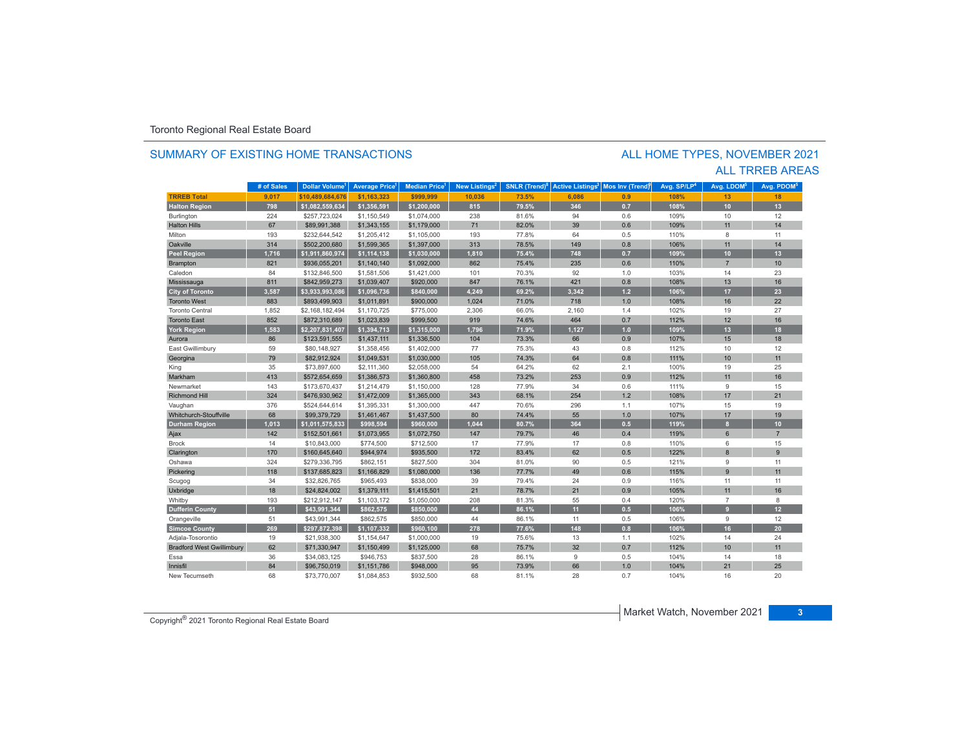### SUMMARY OF EXISTING HOME TRANSACTIONS

### ALL TRREB AREAS ALL HOME TYPES, NOVEMBER 2021

|                                  | # of Sales | Dollar Volume <sup>1</sup> | <b>Average Price</b> | Median Price <sup>1</sup> | New Listings <sup>2</sup> | <b>SNLR</b> (Trend) <sup>8</sup> | <b>Active Listings<sup>3</sup></b> | Mos Inv (Trend) | Avg. SP/LP <sup>4</sup> | Avg. LDOM <sup>5</sup> | Avg. PDOM <sup>5</sup> |
|----------------------------------|------------|----------------------------|----------------------|---------------------------|---------------------------|----------------------------------|------------------------------------|-----------------|-------------------------|------------------------|------------------------|
| <b>TRREB Total</b>               | 9,017      | \$10.489.684.676           | \$1,163,323          | \$999.999                 | 10,036                    | 73.5%                            | 6,086                              | 0.9             | 108%                    | 13                     | 18                     |
| <b>Halton Region</b>             | 798        | \$1,082,559,634            | \$1,356,591          | \$1,200,000               | 815                       | 79.5%                            | 346                                | 0.7             | 108%                    | 10                     | 13                     |
| Burlington                       | 224        | \$257,723,024              | \$1,150,549          | \$1,074,000               | 238                       | 81.6%                            | 94                                 | 0.6             | 109%                    | 10                     | 12                     |
| <b>Halton Hills</b>              | 67         | \$89,991,388               | \$1,343,155          | \$1,179,000               | 71                        | 82.0%                            | 39                                 | 0.6             | 109%                    | 11                     | 14                     |
| Milton                           | 193        | \$232,644,542              | \$1,205,412          | \$1,105,000               | 193                       | 77.8%                            | 64                                 | 0.5             | 110%                    | 8                      | 11                     |
| Oakville                         | 314        | \$502,200,680              | \$1,599,365          | \$1,397,000               | 313                       | 78.5%                            | 149                                | 0.8             | 106%                    | 11                     | 14                     |
| <b>Peel Region</b>               | 1,716      | \$1,911,860,974            | \$1,114,138          | \$1,030,000               | 1,810                     | 75.4%                            | 748                                | 0.7             | 109%                    | 10                     | 13                     |
| Brampton                         | 821        | \$936,055,201              | \$1,140,140          | \$1,092,000               | 862                       | 75.4%                            | 235                                | 0.6             | 110%                    | $\overline{7}$         | 10 <sup>10</sup>       |
| Caledon                          | 84         | \$132,846,500              | \$1,581,506          | \$1.421.000               | 101                       | 70.3%                            | 92                                 | 1.0             | 103%                    | 14                     | 23                     |
| Mississauga                      | 811        | \$842,959,273              | \$1,039,407          | \$920,000                 | 847                       | 76.1%                            | 421                                | 0.8             | 108%                    | 13                     | 16                     |
| <b>City of Toronto</b>           | 3.587      | \$3,933,993,086            | \$1,096,736          | \$840,000                 | 4.249                     | 69.2%                            | 3.342                              | 1.2             | 106%                    | 17                     | 23                     |
| <b>Toronto West</b>              | 883        | \$893,499,903              | \$1,011,891          | \$900,000                 | 1,024                     | 71.0%                            | 718                                | 1.0             | 108%                    | 16                     | 22                     |
| <b>Toronto Central</b>           | 1,852      | \$2,168,182,494            | \$1,170,725          | \$775,000                 | 2,306                     | 66.0%                            | 2,160                              | 1.4             | 102%                    | 19                     | 27                     |
| <b>Toronto East</b>              | 852        | \$872,310,689              | \$1,023,839          | \$999,500                 | 919                       | 74.6%                            | 464                                | 0.7             | 112%                    | 12                     | 16                     |
| <b>York Region</b>               | 1,583      | \$2,207,831,407            | \$1,394,713          | \$1,315,000               | 1,796                     | 71.9%                            | 1,127                              | 1.0             | 109%                    | 13                     | 18                     |
| Aurora                           | 86         | \$123,591,555              | \$1,437,111          | \$1,336,500               | 104                       | 73.3%                            | 66                                 | 0.9             | 107%                    | 15                     | 18                     |
| East Gwillimbury                 | 59         | \$80,148,927               | \$1,358,456          | \$1,402,000               | 77                        | 75.3%                            | 43                                 | 0.8             | 112%                    | 10                     | 12                     |
| Georgina                         | 79         | \$82,912,924               | \$1,049.531          | \$1,030,000               | 105                       | 74.3%                            | 64                                 | 0.8             | 111%                    | 10                     | 11                     |
| King                             | 35         | \$73,897,600               | \$2,111,360          | \$2,058,000               | 54                        | 64.2%                            | 62                                 | 2.1             | 100%                    | 19                     | 25                     |
| Markham                          | 413        | \$572,654,659              | \$1,386,573          | \$1,360,800               | 458                       | 73.2%                            | 253                                | 0.9             | 112%                    | 11                     | 16                     |
| Newmarket                        | 143        | \$173,670,437              | \$1,214,479          | \$1,150,000               | 128                       | 77.9%                            | 34                                 | 0.6             | 111%                    | 9                      | 15                     |
| <b>Richmond Hill</b>             | 324        | \$476,930,962              | \$1,472,009          | \$1,365,000               | 343                       | 68.1%                            | 254                                | 1.2             | 108%                    | 17                     | 21                     |
| Vaughan                          | 376        | \$524,644,614              | \$1,395,331          | \$1,300,000               | 447                       | 70.6%                            | 296                                | 1.1             | 107%                    | 15                     | 19                     |
| Whitchurch-Stouffville           | 68         | \$99,379,729               | \$1,461,467          | \$1,437,500               | 80                        | 74.4%                            | 55                                 | 1.0             | 107%                    | 17                     | 19                     |
| <b>Durham Region</b>             | 1,013      | \$1,011,575,833            | \$998,594            | \$960,000                 | 1,044                     | 80.7%                            | 364                                | 0.5             | 119%                    | $\mathbf{a}$           | 10 <sub>10</sub>       |
| Ajax                             | 142        | \$152,501,661              | \$1,073,955          | \$1,072,750               | 147                       | 79.7%                            | 46                                 | 0.4             | 119%                    | 6                      | $\overline{7}$         |
| <b>Brock</b>                     | 14         | \$10,843,000               | \$774,500            | \$712,500                 | 17                        | 77.9%                            | 17                                 | 0.8             | 110%                    | 6                      | 15                     |
| Clarington                       | 170        | \$160,645,640              | \$944,974            | \$935,500                 | 172                       | 83.4%                            | 62                                 | 0.5             | 122%                    | $\mathbf{8}$           | 9                      |
| Oshawa                           | 324        | \$279,336,795              | \$862,151            | \$827,500                 | 304                       | 81.0%                            | 90                                 | 0.5             | 121%                    | 9                      | 11                     |
| Pickering                        | 118        | \$137,685,823              | \$1,166,829          | \$1,080,000               | 136                       | 77.7%                            | 49                                 | 0.6             | 115%                    | $\overline{9}$         | 11                     |
| Scugog                           | 34         | \$32,826,765               | \$965,493            | \$838,000                 | 39                        | 79.4%                            | 24                                 | 0.9             | 116%                    | 11                     | 11                     |
| Uxbridge                         | 18         | \$24,824,002               | \$1,379,111          | \$1,415,501               | 21                        | 78.7%                            | 21                                 | 0.9             | 105%                    | 11                     | 16                     |
| Whitby                           | 193        | \$212,912,147              | \$1,103,172          | \$1,050,000               | 208                       | 81.3%                            | 55                                 | 0.4             | 120%                    | $\overline{7}$         | $\boldsymbol{8}$       |
| <b>Dufferin County</b>           | 51         | \$43,991,344               | \$862,575            | \$850,000                 | 44                        | 86.1%                            | 11                                 | 0.5             | 106%                    | $\mathbf{q}$           | 12                     |
| Orangeville                      | 51         | \$43,991,344               | \$862,575            | \$850,000                 | 44                        | 86.1%                            | 11                                 | 0.5             | 106%                    | 9                      | 12                     |
| <b>Simcoe County</b>             | 269        | \$297,872,398              | \$1,107,332          | \$960,100                 | 278                       | 77.6%                            | 148                                | 0.8             | 106%                    | 16                     | 20                     |
| Adjala-Tosorontio                | 19         | \$21,938,300               | \$1,154,647          | \$1,000,000               | 19                        | 75.6%                            | 13                                 | 1.1             | 102%                    | 14                     | 24                     |
| <b>Bradford West Gwillimbury</b> | 62         | \$71,330,947               | \$1,150,499          | \$1,125,000               | 68                        | 75.7%                            | 32                                 | 0.7             | 112%                    | 10                     | 11                     |
| Essa                             | 36         | \$34,083,125               | \$946,753            | \$837,500                 | 28                        | 86.1%                            | $\overline{9}$                     | 0.5             | 104%                    | 14                     | 18                     |
| Innisfil                         | 84         | \$96,750,019               | \$1,151,786          | \$948,000                 | 95                        | 73.9%                            | 66                                 | 1.0             | 104%                    | 21                     | 25                     |
| New Tecumseth                    | 68         | \$73,770,007               | \$1,084,853          | \$932,500                 | 68                        | 81.1%                            | 28                                 | 0.7             | 104%                    | 16                     | 20                     |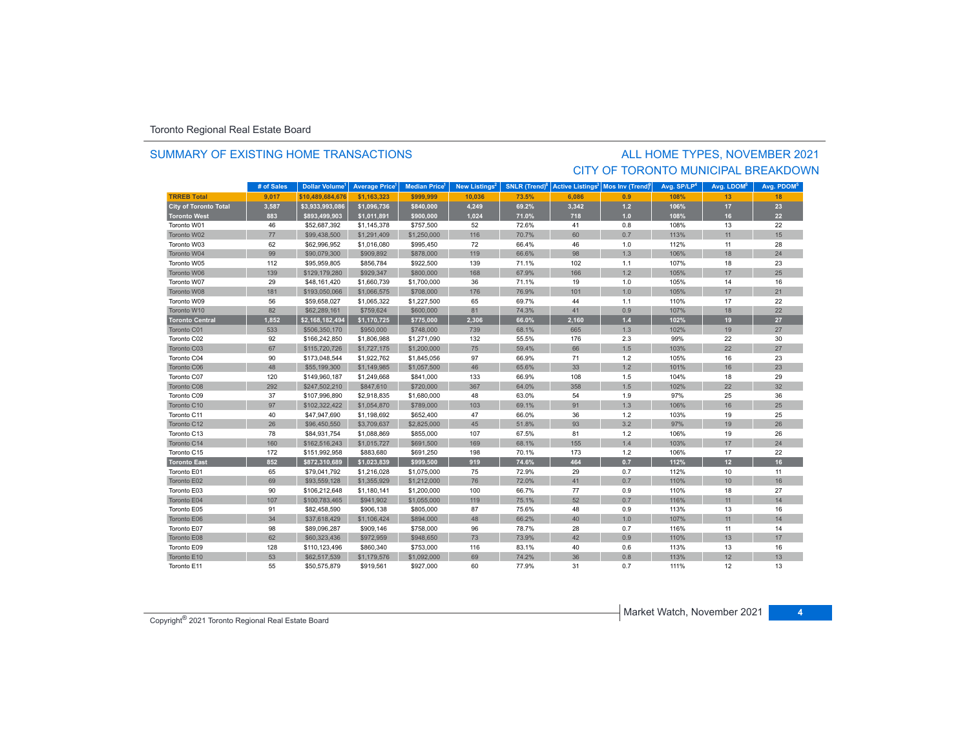### SUMMARY OF EXISTING HOME TRANSACTIONS

### ALL HOME TYPES, NOVEMBER 2021 CITY OF TORONTO MUNICIPAL BREAKDOWN

|                              | # of Sales | <b>Dollar Volume</b> | <b>Average Price</b> | <b>Median Price</b> | New Listings <sup>2</sup> | <b>SNLR</b> (Trend) <sup>8</sup> | <b>Active Listings<sup>3</sup></b> | Mos Inv (Trend) | Avg. SP/LP <sup>4</sup> | Avg. LDOM <sup>5</sup> | Avg. PDOM <sup>5</sup> |
|------------------------------|------------|----------------------|----------------------|---------------------|---------------------------|----------------------------------|------------------------------------|-----------------|-------------------------|------------------------|------------------------|
| <b>TRREB Total</b>           | 9.017      | \$10.489.684.676     | \$1.163.323          | \$999.999           | 10.036                    | 73.5%                            | 6.086                              | 0.9             | 108%                    | 13                     | 18                     |
| <b>City of Toronto Total</b> | 3,587      | \$3,933,993,086      | \$1,096,736          | \$840,000           | 4,249                     | 69.2%                            | 3,342                              | $1.2$           | 106%                    | 17                     | 23                     |
| <b>Toronto West</b>          | 883        | \$893,499,903        | \$1,011,891          | \$900,000           | 1,024                     | 71.0%                            | 718                                | 1.0             | 108%                    | 16                     | 22                     |
| Toronto W01                  | 46         | \$52,687,392         | \$1,145,378          | \$757,500           | 52                        | 72.6%                            | 41                                 | 0.8             | 108%                    | 13                     | 22                     |
| Toronto W02                  | 77         | \$99,438,500         | \$1,291,409          | \$1,250,000         | 116                       | 70.7%                            | 60                                 | 0.7             | 113%                    | 11                     | 15                     |
| Toronto W03                  | 62         | \$62,996,952         | \$1,016,080          | \$995,450           | 72                        | 66.4%                            | 46                                 | 1.0             | 112%                    | 11                     | 28                     |
| Toronto W04                  | 99         | \$90,079,300         | \$909,892            | \$878,000           | 119                       | 66.6%                            | 98                                 | 1.3             | 106%                    | 18                     | 24                     |
| Toronto W05                  | 112        | \$95,959,805         | \$856,784            | \$922,500           | 139                       | 71.1%                            | 102                                | 1.1             | 107%                    | 18                     | 23                     |
| Toronto W06                  | 139        | \$129,179,280        | \$929,347            | \$800,000           | 168                       | 67.9%                            | 166                                | 1.2             | 105%                    | 17                     | 25                     |
| Toronto W07                  | 29         | \$48,161,420         | \$1,660,739          | \$1,700,000         | 36                        | 71.1%                            | 19                                 | 1.0             | 105%                    | 14                     | 16                     |
| Toronto W08                  | 181        | \$193,050,066        | \$1,066,575          | \$708,000           | 176                       | 76.9%                            | 101                                | 1.0             | 105%                    | 17                     | 21                     |
| Toronto W09                  | 56         | \$59,658,027         | \$1,065,322          | \$1,227,500         | 65                        | 69.7%                            | 44                                 | 1.1             | 110%                    | 17                     | 22                     |
| Toronto W10                  | 82         | \$62,289,161         | \$759,624            | \$600,000           | 81                        | 74.3%                            | 41                                 | 0.9             | 107%                    | 18                     | 22                     |
| <b>Toronto Central</b>       | 1,852      | \$2,168,182,494      | \$1,170,725          | \$775,000           | 2,306                     | 66.0%                            | 2,160                              | $1.4$           | 102%                    | 19                     | 27                     |
| Toronto C01                  | 533        | \$506,350,170        | \$950,000            | \$748,000           | 739                       | 68.1%                            | 665                                | 1.3             | 102%                    | 19                     | 27                     |
| Toronto C02                  | 92         | \$166,242,850        | \$1,806,988          | \$1,271,090         | 132                       | 55.5%                            | 176                                | 2.3             | 99%                     | 22                     | 30                     |
| Toronto C03                  | 67         | \$115,720,726        | \$1,727,175          | \$1,200,000         | 75                        | 59.4%                            | 66                                 | 1.5             | 103%                    | 22                     | 27                     |
| Toronto C04                  | 90         | \$173,048,544        | \$1,922,762          | \$1,845,056         | 97                        | 66.9%                            | 71                                 | 1.2             | 105%                    | 16                     | 23                     |
| Toronto C06                  | 48         | \$55,199,300         | \$1,149,985          | \$1,057,500         | 46                        | 65.6%                            | 33                                 | 1.2             | 101%                    | 16                     | 23                     |
| Toronto C07                  | 120        | \$149,960,187        | \$1,249,668          | \$841,000           | 133                       | 66.9%                            | 108                                | 1.5             | 104%                    | 18                     | 29                     |
| Toronto C08                  | 292        | \$247,502,210        | \$847,610            | \$720,000           | 367                       | 64.0%                            | 358                                | 1.5             | 102%                    | 22                     | 32                     |
| Toronto C09                  | 37         | \$107,996,890        | \$2,918,835          | \$1,680,000         | 48                        | 63.0%                            | 54                                 | 1.9             | 97%                     | 25                     | 36                     |
| Toronto C10                  | 97         | \$102,322,422        | \$1,054,870          | \$789,000           | 103                       | 69.1%                            | 91                                 | 1.3             | 106%                    | 16                     | 25                     |
| Toronto C11                  | 40         | \$47,947,690         | \$1,198,692          | \$652,400           | 47                        | 66.0%                            | 36                                 | 1.2             | 103%                    | 19                     | 25                     |
| Toronto C12                  | 26         | \$96,450,550         | \$3,709,637          | \$2,825,000         | 45                        | 51.8%                            | 93                                 | 3.2             | 97%                     | 19                     | 26                     |
| Toronto C13                  | 78         | \$84,931,754         | \$1,088,869          | \$855,000           | 107                       | 67.5%                            | 81                                 | $1.2$           | 106%                    | 19                     | 26                     |
| Toronto C14                  | 160        | \$162,516,243        | \$1,015,727          | \$691,500           | 169                       | 68.1%                            | 155                                | 1.4             | 103%                    | 17                     | 24                     |
| Toronto C15                  | 172        | \$151,992,958        | \$883,680            | \$691,250           | 198                       | 70.1%                            | 173                                | 1.2             | 106%                    | 17                     | 22                     |
| <b>Toronto East</b>          | 852        | \$872,310,689        | \$1,023,839          | \$999,500           | 919                       | 74.6%                            | 464                                | 0.7             | 112%                    | 12                     | 16                     |
| Toronto E01                  | 65         | \$79,041,792         | \$1,216,028          | \$1,075,000         | 75                        | 72.9%                            | 29                                 | 0.7             | 112%                    | 10                     | 11                     |
| Toronto E02                  | 69         | \$93,559,128         | \$1,355,929          | \$1,212,000         | 76                        | 72.0%                            | 41                                 | 0.7             | 110%                    | 10                     | 16                     |
| Toronto E03                  | 90         | \$106,212,648        | \$1,180,141          | \$1,200,000         | 100                       | 66.7%                            | 77                                 | 0.9             | 110%                    | 18                     | 27                     |
| Toronto E04                  | 107        | \$100,783,465        | \$941,902            | \$1,055,000         | 119                       | 75.1%                            | 52                                 | 0.7             | 116%                    | 11                     | 14                     |
| Toronto E05                  | 91         | \$82,458,590         | \$906,138            | \$805,000           | 87                        | 75.6%                            | 48                                 | 0.9             | 113%                    | 13                     | 16                     |
| Toronto E06                  | 34         | \$37,618,429         | \$1,106,424          | \$894,000           | 48                        | 66.2%                            | 40                                 | 1.0             | 107%                    | 11                     | 14                     |
| Toronto E07                  | 98         | \$89,096,287         | \$909,146            | \$758,000           | 96                        | 78.7%                            | 28                                 | 0.7             | 116%                    | 11                     | 14                     |
| Toronto E08                  | 62         | \$60,323,436         | \$972,959            | \$948,650           | 73                        | 73.9%                            | 42                                 | 0.9             | 110%                    | 13                     | 17                     |
| Toronto E09                  | 128        | \$110,123,496        | \$860,340            | \$753,000           | 116                       | 83.1%                            | 40                                 | 0.6             | 113%                    | 13                     | 16                     |
| Toronto E10                  | 53         | \$62,517,539         | \$1,179,576          | \$1,092,000         | 69                        | 74.2%                            | 36                                 | 0.8             | 113%                    | 12                     | 13                     |
| Toronto E11                  | 55         | \$50,575,879         | \$919,561            | \$927,000           | 60                        | 77.9%                            | 31                                 | 0.7             | 111%                    | 12                     | 13                     |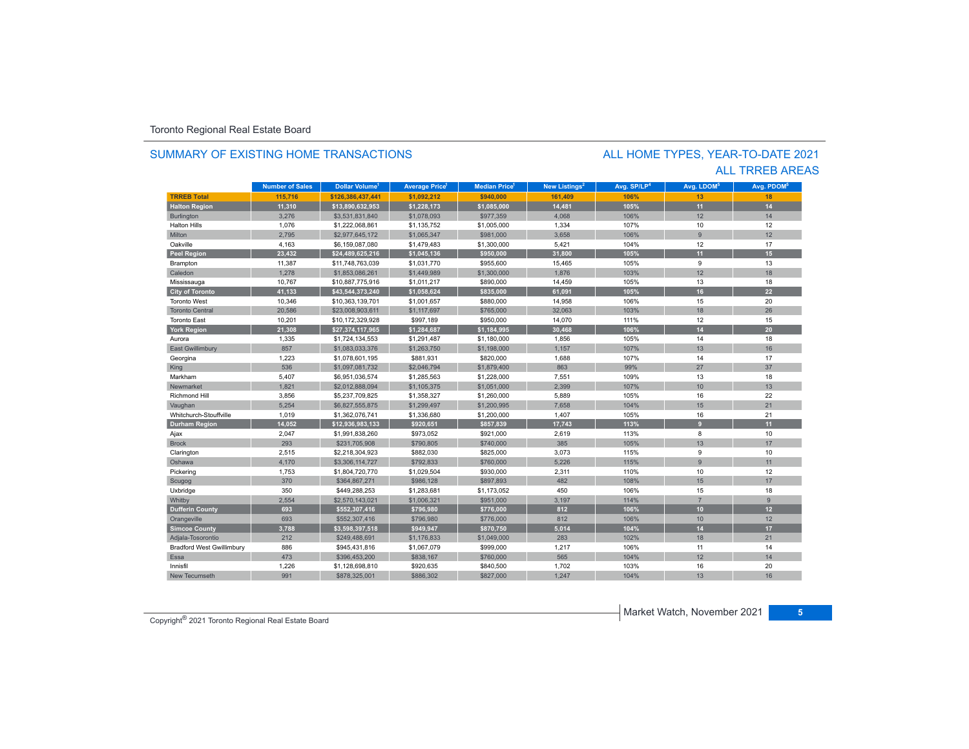### SUMMARY OF EXISTING HOME TRANSACTIONS

### ALL TRREB AREAS ALL HOME TYPES, YEAR-TO-DATE 2021

|                                  | <b>Number of Sales</b> | Dollar Volume <sup>1</sup> | <b>Average Price</b> | <b>Median Price</b> | New Listings <sup>2</sup> | Avg. SP/LP <sup>4</sup> | Avg. LDOM <sup>5</sup> | Avg. PDOM <sup>5</sup> |
|----------------------------------|------------------------|----------------------------|----------------------|---------------------|---------------------------|-------------------------|------------------------|------------------------|
| <b>TRREB Total</b>               | 115,716                | \$126,386,437,441          | \$1,092,212          | \$940,000           | 161,409                   | 106%                    | 13                     | 18                     |
| <b>Halton Region</b>             | 11,310                 | \$13,890,632,953           | \$1,228,173          | \$1,085,000         | 14,481                    | 105%                    | 11                     | 14                     |
| Burlington                       | 3,276                  | \$3,531,831,840            | \$1,078,093          | \$977,359           | 4,068                     | 106%                    | 12                     | 14                     |
| <b>Halton Hills</b>              | 1,076                  | \$1,222,068,861            | \$1,135,752          | \$1,005,000         | 1,334                     | 107%                    | 10                     | 12                     |
| Milton                           | 2,795                  | \$2,977,645,172            | \$1,065,347          | \$981,000           | 3,658                     | 106%                    | 9                      | 12                     |
| Oakville                         | 4,163                  | \$6,159,087,080            | \$1,479,483          | \$1,300,000         | 5,421                     | 104%                    | 12                     | 17                     |
| <b>Peel Region</b>               | 23,432                 | \$24,489,625,216           | \$1,045,136          | \$950,000           | 31,800                    | 105%                    | 11                     | 15                     |
| Brampton                         | 11,387                 | \$11,748,763,039           | \$1,031,770          | \$955,600           | 15,465                    | 105%                    | 9                      | 13                     |
| Caledon                          | 1.278                  | \$1,853,086.261            | \$1,449.989          | \$1,300,000         | 1.876                     | 103%                    | 12                     | 18                     |
| Mississauga                      | 10,767                 | \$10,887,775,916           | \$1,011,217          | \$890,000           | 14,459                    | 105%                    | 13                     | 18                     |
| <b>City of Toronto</b>           | 41,133                 | \$43,544,373,240           | \$1,058,624          | \$835,000           | 61,091                    | 105%                    | 16                     | 22                     |
| <b>Toronto West</b>              | 10,346                 | \$10,363,139,701           | \$1,001,657          | \$880,000           | 14,958                    | 106%                    | 15                     | 20                     |
| <b>Toronto Central</b>           | 20,586                 | \$23,008,903,611           | \$1,117,697          | \$765,000           | 32,063                    | 103%                    | 18                     | 26                     |
| <b>Toronto East</b>              | 10,201                 | \$10,172,329,928           | \$997,189            | \$950,000           | 14,070                    | 111%                    | 12                     | 15                     |
| <b>York Region</b>               | 21,308                 | \$27,374,117,965           | \$1,284,687          | \$1,184,995         | 30,468                    | 106%                    | 14                     | 20                     |
| Aurora                           | 1,335                  | \$1,724,134,553            | \$1,291,487          | \$1,180,000         | 1,856                     | 105%                    | 14                     | 18                     |
| <b>East Gwillimbury</b>          | 857                    | \$1,083,033,376            | \$1,263,750          | \$1,198,000         | 1,157                     | 107%                    | 13                     | 16                     |
| Georgina                         | 1,223                  | \$1,078,601,195            | \$881,931            | \$820,000           | 1,688                     | 107%                    | 14                     | 17                     |
| King                             | 536                    | \$1,097,081,732            | \$2,046,794          | \$1,879,400         | 863                       | 99%                     | 27                     | 37                     |
| Markham                          | 5,407                  | \$6,951,036,574            | \$1,285,563          | \$1,228,000         | 7,551                     | 109%                    | 13                     | 18                     |
| Newmarket                        | 1,821                  | \$2,012,888,094            | \$1,105,375          | \$1,051,000         | 2,399                     | 107%                    | 10                     | 13                     |
| Richmond Hill                    | 3,856                  | \$5,237,709,825            | \$1,358,327          | \$1,260,000         | 5,889                     | 105%                    | 16                     | 22                     |
| Vaughan                          | 5,254                  | \$6,827,555,875            | \$1,299,497          | \$1,200,995         | 7,658                     | 104%                    | 15                     | 21                     |
| Whitchurch-Stouffville           | 1,019                  | \$1,362,076,741            | \$1,336,680          | \$1,200,000         | 1,407                     | 105%                    | 16                     | 21                     |
| <b>Durham Region</b>             | 14,052                 | \$12,936,983,133           | \$920,651            | \$857,839           | 17,743                    | 113%                    | $\overline{9}$         | 11                     |
| Ajax                             | 2,047                  | \$1,991,838,260            | \$973,052            | \$921,000           | 2,619                     | 113%                    | 8                      | 10                     |
| <b>Brock</b>                     | 293                    | \$231,705,908              | \$790.805            | \$740,000           | 385                       | 105%                    | 13                     | 17                     |
| Clarington                       | 2,515                  | \$2,218,304,923            | \$882,030            | \$825,000           | 3,073                     | 115%                    | 9                      | 10                     |
| Oshawa                           | 4,170                  | \$3,306,114,727            | \$792,833            | \$760,000           | 5,226                     | 115%                    | 9                      | 11                     |
| Pickering                        | 1,753                  | \$1,804,720,770            | \$1,029,504          | \$930,000           | 2,311                     | 110%                    | 10                     | 12                     |
| Scugog                           | 370                    | \$364,867,271              | \$986,128            | \$897,893           | 482                       | 108%                    | 15                     | 17                     |
| Uxbridge                         | 350                    | \$449,288,253              | \$1,283,681          | \$1,173,052         | 450                       | 106%                    | 15                     | 18                     |
| Whitby                           | 2,554                  | \$2,570,143,021            | \$1,006,321          | \$951,000           | 3,197                     | 114%                    | $\overline{7}$         | $\overline{9}$         |
| <b>Dufferin County</b>           | 693                    | \$552,307,416              | \$796,980            | \$776,000           | 812                       | 106%                    | 10 <sup>°</sup>        | 12                     |
| Orangeville                      | 693                    | \$552,307,416              | \$796,980            | \$776,000           | 812                       | 106%                    | 10                     | 12                     |
| <b>Simcoe County</b>             | 3,788                  | \$3,598,397,518            | \$949,947            | \$870,750           | 5,014                     | 104%                    | 14                     | 17                     |
| Adjala-Tosorontio                | 212                    | \$249,488,691              | \$1,176,833          | \$1,049,000         | 283                       | 102%                    | 18                     | 21                     |
| <b>Bradford West Gwillimbury</b> | 886                    | \$945,431,816              | \$1,067,079          | \$999,000           | 1,217                     | 106%                    | 11                     | 14                     |
| Essa                             | 473                    | \$396.453.200              | \$838,167            | \$760,000           | 565                       | 104%                    | 12                     | 14                     |
| Innisfil                         | 1,226                  | \$1,128,698,810            | \$920,635            | \$840,500           | 1,702                     | 103%                    | 16                     | 20                     |
| New Tecumseth                    | 991                    | \$878,325,001              | \$886,302            | \$827,000           | 1,247                     | 104%                    | 13                     | 16                     |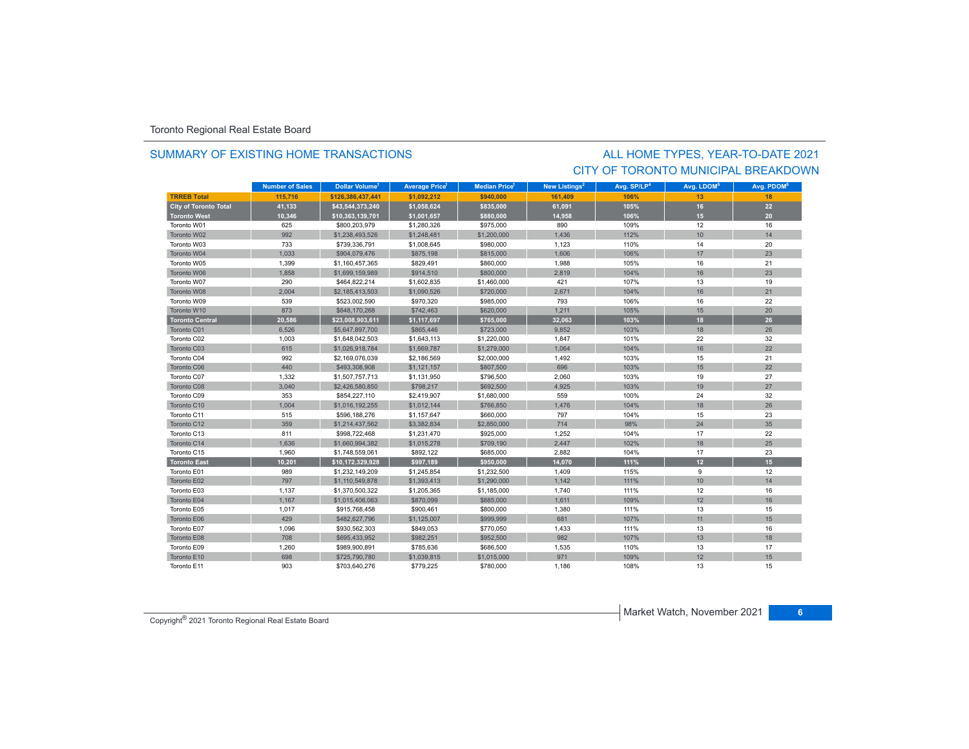### SUMMARY OF EXISTING HOME TRANSACTIONS

## CITY OF TORONTO MUNICIPAL BREAKDOWNALL HOME TYPES, YEAR-TO-DATE 2021

|                              | <b>Number of Sales</b> | Dollar Volume <sup>1</sup> | <b>Average Price<sup>1</sup></b> | <b>Median Price</b> <sup>1</sup> | New Listings <sup>2</sup> | Avg. SP/LP <sup>4</sup> | Avg. LDOM <sup>5</sup> | Avg. PDOM <sup>5</sup> |
|------------------------------|------------------------|----------------------------|----------------------------------|----------------------------------|---------------------------|-------------------------|------------------------|------------------------|
| <b>TRREB Total</b>           | 115.716                | \$126.386.437.441          | \$1.092.212                      | \$940.000                        | 161.409                   | 106%                    | 13                     | 18                     |
| <b>City of Toronto Total</b> | 41,133                 | \$43,544,373,240           | \$1,058,624                      | \$835,000                        | 61,091                    | 105%                    | 16                     | 22                     |
| <b>Toronto West</b>          | 10,346                 | \$10,363,139,701           | \$1,001,657                      | \$880,000                        | 14,958                    | 106%                    | 15                     | 20                     |
| Toronto W01                  | 625                    | \$800.203.979              | \$1,280,326                      | \$975,000                        | 890                       | 109%                    | 12                     | 16                     |
| Toronto W02                  | 992                    | \$1,238,493,526            | \$1,248,481                      | \$1,200,000                      | 1,436                     | 112%                    | 10                     | 14                     |
| Toronto W03                  | 733                    | \$739,336,791              | \$1,008,645                      | \$980,000                        | 1,123                     | 110%                    | 14                     | 20                     |
| Toronto W04                  | 1,033                  | \$904,079,476              | \$875,198                        | \$815,000                        | 1,606                     | 106%                    | 17                     | 23                     |
| Toronto W05                  | 1,399                  | \$1,160,457,365            | \$829,491                        | \$860,000                        | 1,988                     | 105%                    | 16                     | 21                     |
| Toronto W06                  | 1,858                  | \$1,699,159,989            | \$914,510                        | \$800,000                        | 2,819                     | 104%                    | 16                     | 23                     |
| Toronto W07                  | 290                    | \$464,822,214              | \$1,602,835                      | \$1,460,000                      | 421                       | 107%                    | 13                     | 19                     |
| Toronto W08                  | 2,004                  | \$2,185,413,503            | \$1,090,526                      | \$720,000                        | 2,671                     | 104%                    | 16                     | 21                     |
| Toronto W09                  | 539                    | \$523,002,590              | \$970,320                        | \$985,000                        | 793                       | 106%                    | 16                     | 22                     |
| Toronto W10                  | 873                    | \$648,170,268              | \$742,463                        | \$620,000                        | 1,211                     | 105%                    | 15                     | 20                     |
| <b>Toronto Central</b>       | 20,586                 | \$23,008,903,611           | \$1,117,697                      | \$765,000                        | 32,063                    | 103%                    | 18                     | 26                     |
| Toronto C01                  | 6,526                  | \$5,647,897,700            | \$865,446                        | \$723,000                        | 9.852                     | 103%                    | 18                     | 26                     |
| Toronto C02                  | 1,003                  | \$1,648,042,503            | \$1,643,113                      | \$1,220,000                      | 1,847                     | 101%                    | 22                     | 32                     |
| Toronto C03                  | 615                    | \$1,026,918,784            | \$1,669,787                      | \$1,279,000                      | 1,064                     | 104%                    | 16                     | 22                     |
| Toronto C04                  | 992                    | \$2,169,076,039            | \$2,186,569                      | \$2,000,000                      | 1,492                     | 103%                    | 15                     | 21                     |
| Toronto C06                  | 440                    | \$493,308,908              | \$1,121,157                      | \$807,500                        | 696                       | 103%                    | 15                     | 22                     |
| Toronto C07                  | 1,332                  | \$1,507,757,713            | \$1,131,950                      | \$796,500                        | 2,060                     | 103%                    | 19                     | 27                     |
| Toronto C08                  | 3,040                  | \$2,426,580,850            | \$798,217                        | \$692,500                        | 4,925                     | 103%                    | 19                     | 27                     |
| Toronto C09                  | 353                    | \$854,227,110              | \$2,419,907                      | \$1,680,000                      | 559                       | 100%                    | 24                     | 32                     |
| Toronto C10                  | 1,004                  | \$1,016,192,255            | \$1,012,144                      | \$766,850                        | 1,476                     | 104%                    | 18                     | 26                     |
| Toronto C11                  | 515                    | \$596,188,276              | \$1,157,647                      | \$660,000                        | 797                       | 104%                    | 15                     | 23                     |
| Toronto C12                  | 359                    | \$1,214,437,562            | \$3,382,834                      | \$2,850,000                      | 714                       | 98%                     | 24                     | 35                     |
| Toronto C13                  | 811                    | \$998,722,468              | \$1,231,470                      | \$925,000                        | 1,252                     | 104%                    | 17                     | 22                     |
| Toronto C14                  | 1.636                  | \$1,660,994,382            | \$1,015,278                      | \$709,190                        | 2.447                     | 102%                    | 18                     | 25                     |
| Toronto C15                  | 1,960                  | \$1,748,559,061            | \$892,122                        | \$685,000                        | 2,882                     | 104%                    | 17                     | 23                     |
| <b>Toronto East</b>          | 10,201                 | \$10,172,329,928           | \$997,189                        | \$950,000                        | 14,070                    | 111%                    | 12 <sup>2</sup>        | 15 <sub>1</sub>        |
| Toronto E01                  | 989                    | \$1,232,149,209            | \$1,245,854                      | \$1,232,500                      | 1,409                     | 115%                    | 9                      | 12                     |
| Toronto E02                  | 797                    | \$1,110,549,878            | \$1,393,413                      | \$1,290,000                      | 1,142                     | 111%                    | 10                     | 14                     |
| Toronto E03                  | 1,137                  | \$1,370,500,322            | \$1,205,365                      | \$1,185,000                      | 1.740                     | 111%                    | 12                     | 16                     |
| Toronto E04                  | 1,167                  | \$1,015,406,063            | \$870,099                        | \$885,000                        | 1,611                     | 109%                    | 12                     | 16                     |
| Toronto E05                  | 1,017                  | \$915,768,458              | \$900,461                        | \$800,000                        | 1,380                     | 111%                    | 13                     | 15                     |
| Toronto E06                  | 429                    | \$482,627,796              | \$1,125,007                      | \$999,999                        | 681                       | 107%                    | 11                     | 15                     |
| Toronto E07                  | 1,096                  | \$930,562,303              | \$849,053                        | \$770,050                        | 1,433                     | 111%                    | 13                     | 16                     |
| Toronto E08                  | 708                    | \$695,433,952              | \$982,251                        | \$952,500                        | 982                       | 107%                    | 13                     | 18                     |
| Toronto E09                  | 1,260                  | \$989,900,891              | \$785,636                        | \$686,500                        | 1,535                     | 110%                    | 13                     | 17                     |
| Toronto E10                  | 698                    | \$725,790,780              | \$1,039,815                      | \$1,015,000                      | 971                       | 109%                    | 12                     | 15                     |
| Toronto E11                  | 903                    | \$703,640,276              | \$779,225                        | \$780,000                        | 1,186                     | 108%                    | 13                     | 15                     |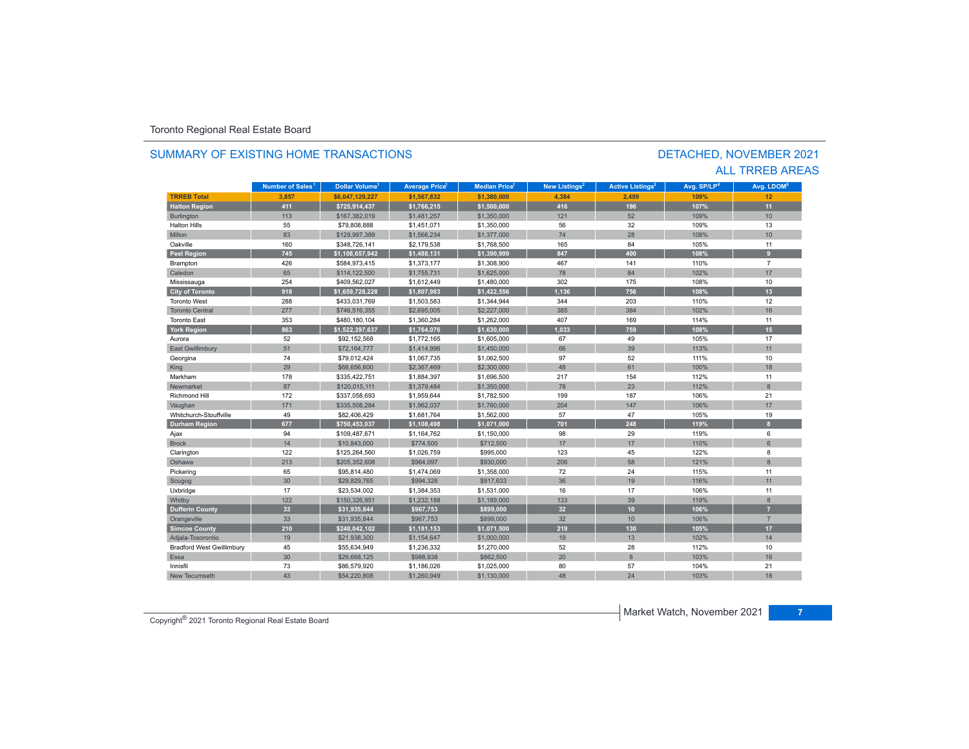#### **TR5EB Total 3,857 \$6,047,129,227 \$1,567,832 \$1,380,000 4,384 2,499 109%109%** 12 **Halton Region 411 \$725,914,437 \$1,766,215 \$1,500,000 416 196 107% 11** Burlington 113 | \$167,382,019 \$1,481,257 \$1,350,000 | 121 | 52 | 109% | 10 Halton Hillss 55 \$79,808,888 \$1,451,071 \$1,350,000 56 32 109%% 13 Miltonn 83 \$129,997,389 \$1,566,234 \$1,377,000 74 28 108% 108% 10 Oakvillee 160 \$348,726,141 \$2,179,538 \$1,768,500 105 84 105% % 11 **Peel Region 745 \$1,108,657,942 \$1,488,131 \$1,390,999 847 400 108% 9** Brampton 426 \$584,973,415 \$1,373,177 \$1,308,900 467 141 110% 7 Caledonn 65 \$114,122,500 \$1,755,731 \$1,625,000 78 84 102% 102% 17 Mississauga 254 \$409,562,027 \$1,612,449 \$1,480,000 302 175 108% 10 **City of Toronto 918 \$1,659,728,228 \$1,807,983 \$1,422,556 1,136 756 108% 13** Toronto West 288 $$1,303,031,769$   $$1,503,583$   $$1,344,944$   $$344$   $$203$   $$110\%$  12 Toronto Central 277 \$746,516,355 \$2,695,005 \$2,227,000 385 384 102%102% 16 Toronto East 353 \$480,180,104 \$1,360,284 \$1,262,000 407 169 114%% 11 **York Region 863 \$1,522,397,637 \$1,764,076 \$1,630,000 1,033 759 108% 15** Auroraa 52 \$92,152,568 \$1,772,165 \$1,605,000 67 49 105% 105% 17 East Gwillimbury 51 \$72,164,777 \$1,414,996 \$1,450,000 66 39 113% 11 Georgina 74 \$79,012,424 \$1,067,735 \$1,062,500 97 52 111% 10 King 20 \$68,656,600 \$2,367,469 \$2,300,000 48 52, 61 100% 18 18 18 Markhamm 178 \$335,422,751 \$1,884,397 \$1,696,500 217 154 112% % 11 Newmarket 87\$120,015,111 \$1,379,484 \$1,350,000 78 23 8 Richmond Hill 172 \$337,058,693 \$1,959,644 \$1,782,500 199 187 106%% 21 Vaughan 171 171 \$335,508,284 \$1,962,037 \$1,760,000 204 147 147 106% 17 17 Whitchurch-Stouffville 49 \$82,406,429 \$1,681,764 \$1,562,000 57 47 105%% 19 **Durham Region 677 \$750,453,037 \$1,108,498 \$1,071,000 701 248 119% 8** Ajax 94 \$109,487,671 \$1,164,762 \$1,150,000 98 29 119% 6 Brockk 14 \$10,843,000 \$774,500 \$712,500 17 17 110% 6 Clarington 122 \$125,264,560 \$1,026,759 \$995,000 123 45 122% 122% 8 Oshawa 213 \$205,352,608 \$964,097 \$930,000 206 58 121% 8 Pickering 65 \$95,814,480 \$1,474,069 \$1,358,000 72 24 115% 11 Scugog 30 \$29,829,765 \$994,326 \$917,633 36 19 116% 11 Uxbridge 17 \$23,534,002 \$1,384,353 \$1,531,000 16 17 106% 11 0% Whitby 122 3150,326,951 \$1,232,188 \$1,189,000 133 39 119% 119% 8 **Dufferin County 33 \$31,935,844 \$967,753 \$899,000 32 10 106% 7** Orangeville 33 | \$31,935,844 \$967,753 | \$899,000 | 32 | 10 | 106% | 7 **Simcoe County 210 \$248,042,102 \$1,181,153 \$1,071,500 219 130 105% 17** Adjala-Tosorontio 19 \$21,938,300 \$1,154,647 \$1,000,000 19 13 102% 14 Bradford West Gwillimbury 45 \$55,634,949 \$1,236,332 51,270,000 28 10 Essa 30 \$29,668,125 \$988,938 \$862,500 20 8 103%103% 16 Innisfil 73 \$86,579,920 \$1,186,026 \$1,025,000 80 57 104% 21 New Tecumseth103% 18 **Municipality Number of Sales Dollar Volume Average Price Median Price New Listings Active Listings Avg. SP/LP Avg. LDOM Number of Sales<sup>1</sup>** 1 **Dollar Volume<sup>1</sup> Aversen Price<sup>1</sup> Median Price<sup>1</sup> Maw Listings<sup>2</sup> Active Listings<sup>3</sup> Ave SD/LD<sup>4</sup> Ave LDOM<sup>5</sup>**

h 43 \$54,220,808 \$1,260,949 \$1,130,000 48 24 103%

### SUMMARY OF EXISTING HOME TRANSACTIONS

### DETACHED, NOVEMBER 2021 ALL TRREB AREAS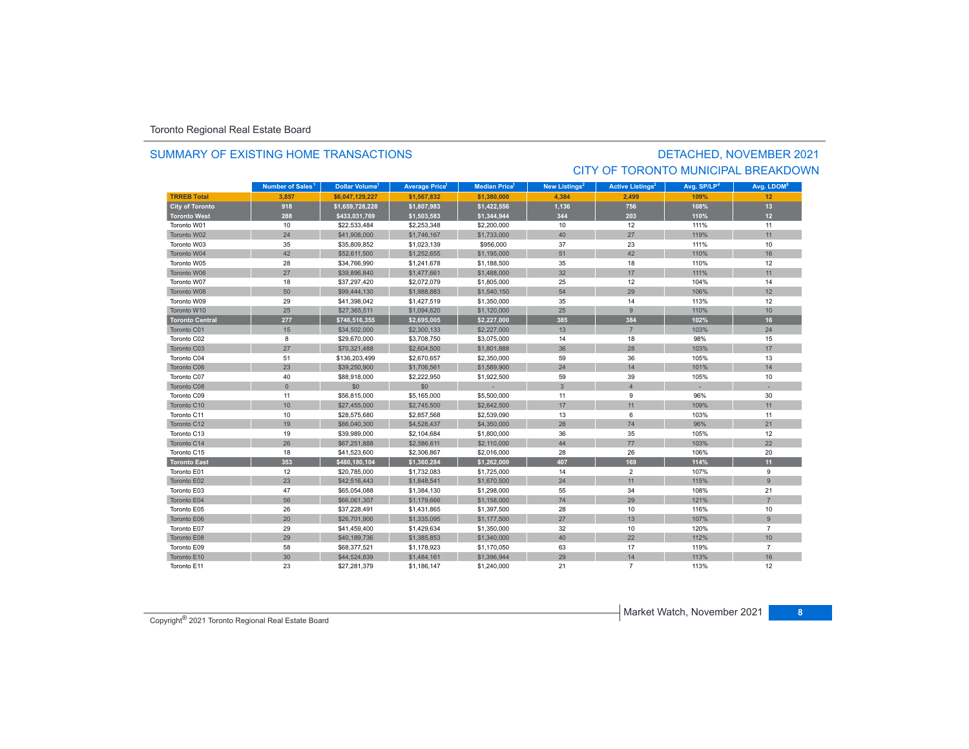### SUMMARY OF EXISTING HOME TRANSACTIONS

# DETACHED, NOVEMBER 2021 CITY OF TORONTO MUNICIPAL BREAKDOWN

|                        | Number of Sales <sup>1</sup> | Dollar Volume <sup>1</sup> | <b>Average Price<sup>1</sup></b> | <b>Median Price</b> <sup>1</sup> | New Listings <sup>2</sup> | <b>Active Listings<sup>3</sup></b> | Avg. SP/LP <sup>4</sup> | Avg. LDOM <sup>5</sup> |
|------------------------|------------------------------|----------------------------|----------------------------------|----------------------------------|---------------------------|------------------------------------|-------------------------|------------------------|
| <b>TRREB Total</b>     | 3,857                        | \$6.047.129.227            | \$1,567,832                      | \$1,380,000                      | 4.384                     | 2.499                              | 109%                    | 12                     |
| <b>City of Toronto</b> | 918                          | \$1,659,728,228            | \$1,807,983                      | \$1,422,556                      | 1,136                     | 756                                | 108%                    | 13                     |
| <b>Toronto West</b>    | 288                          | \$433,031,769              | \$1,503,583                      | \$1,344,944                      | 344                       | 203                                | 110%                    | 12 <sup>2</sup>        |
| Toronto W01            | 10                           | \$22.533.484               | \$2,253,348                      | \$2,200,000                      | 10                        | 12                                 | 111%                    | 11                     |
| Toronto W02            | 24                           | \$41,908,000               | \$1,746,167                      | \$1,733,000                      | 40                        | 27                                 | 119%                    | 11                     |
| Toronto W03            | 35                           | \$35,809,852               | \$1,023,139                      | \$956,000                        | 37                        | 23                                 | 111%                    | 10                     |
| Toronto W04            | 42                           | \$52,611,500               | \$1,252,655                      | \$1,195,000                      | 51                        | 42                                 | 110%                    | 16                     |
| Toronto W05            | 28                           | \$34,766,990               | \$1,241,678                      | \$1,188,500                      | 35                        | 18                                 | 110%                    | 12                     |
| Toronto W06            | 27                           | \$39,896,840               | \$1,477,661                      | \$1,488,000                      | 32                        | 17                                 | 111%                    | 11                     |
| Toronto W07            | 18                           | \$37,297,420               | \$2,072,079                      | \$1,805,000                      | 25                        | 12                                 | 104%                    | 14                     |
| Toronto W08            | 50                           | \$99,444,130               | \$1,988,883                      | \$1,540,150                      | 54                        | 29                                 | 106%                    | 12                     |
| Toronto W09            | 29                           | \$41,398,042               | \$1,427,519                      | \$1,350,000                      | 35                        | 14                                 | 113%                    | 12                     |
| Toronto W10            | 25                           | \$27,365,511               | \$1,094,620                      | \$1,120,000                      | 25                        | 9                                  | 110%                    | 10                     |
| Toronto Central        | 277                          | \$746,516,355              | \$2,695,005                      | \$2,227,000                      | 385                       | 384                                | 102%                    | 16                     |
| Toronto C01            | 15                           | \$34,502,000               | \$2,300,133                      | \$2,227,000                      | 13                        | $\overline{7}$                     | 103%                    | 24                     |
| Toronto C02            | 8                            | \$29,670,000               | \$3,708,750                      | \$3,075,000                      | 14                        | 18                                 | 98%                     | 15                     |
| Toronto C03            | 27                           | \$70,321,488               | \$2,604,500                      | \$1,801,888                      | 36                        | 28                                 | 103%                    | 17                     |
| Toronto C04            | 51                           | \$136,203,499              | \$2,670,657                      | \$2,350,000                      | 59                        | 36                                 | 105%                    | 13                     |
| Toronto C06            | 23                           | \$39,250,900               | \$1,706,561                      | \$1,589,900                      | 24                        | 14                                 | 101%                    | 14                     |
| Toronto C07            | 40                           | \$88,918,000               | \$2,222,950                      | \$1,922,500                      | 59                        | 39                                 | 105%                    | 10                     |
| Toronto C08            | $\mathbf{0}$                 | \$0                        | \$0                              |                                  | $\mathbf{3}$              | $\overline{4}$                     |                         |                        |
| Toronto C09            | 11                           | \$56,815,000               | \$5,165,000                      | \$5,500,000                      | 11                        | 9                                  | 96%                     | 30                     |
| Toronto C10            | 10                           | \$27,455,000               | \$2,745,500                      | \$2,642,500                      | 17                        | 11                                 | 109%                    | 11                     |
| Toronto C11            | 10                           | \$28,575,680               | \$2,857,568                      | \$2,539,090                      | 13                        | 6                                  | 103%                    | 11                     |
| Toronto C12            | 19                           | \$86,040,300               | \$4,528,437                      | \$4,350,000                      | 28                        | 74                                 | 96%                     | 21                     |
| Toronto C13            | 19                           | \$39,989,000               | \$2,104,684                      | \$1,800,000                      | 36                        | 35                                 | 105%                    | 12                     |
| Toronto C14            | 26                           | \$67,251,888               | \$2,586,611                      | \$2,110,000                      | 44                        | 77                                 | 103%                    | 22                     |
| Toronto C15            | 18                           | \$41,523,600               | \$2,306,867                      | \$2,016,000                      | 28                        | 26                                 | 106%                    | 20                     |
| <b>Toronto East</b>    | 353                          | \$480,180,104              | \$1,360,284                      | \$1,262,000                      | 407                       | 169                                | 114%                    | 11                     |
| Toronto E01            | 12                           | \$20,785,000               | \$1,732,083                      | \$1,725,000                      | 14                        | $\overline{2}$                     | 107%                    | 9                      |
| Toronto E02            | 23                           | \$42,516,443               | \$1,848,541                      | \$1,670,500                      | 24                        | 11                                 | 115%                    | $\overline{9}$         |
| Toronto E03            | 47                           | \$65,054,088               | \$1,384,130                      | \$1,298,000                      | 55                        | 34                                 | 108%                    | 21                     |
| Toronto E04            | 56                           | \$66,061,307               | \$1,179,666                      | \$1,158,000                      | 74                        | 29                                 | 121%                    | $\overline{7}$         |
| Toronto E05            | 26                           | \$37,228,491               | \$1,431,865                      | \$1,397,500                      | 28                        | 10                                 | 116%                    | 10                     |
| Toronto E06            | 20                           | \$26,701.900               | \$1,335,095                      | \$1,177,500                      | 27                        | 13                                 | 107%                    | $\overline{9}$         |
| Toronto E07            | 29                           | \$41,459,400               | \$1,429,634                      | \$1,350,000                      | 32                        | 10                                 | 120%                    | $\overline{7}$         |
| Toronto E08            | 29                           | \$40,189,736               | \$1,385,853                      | \$1,340,000                      | 40                        | 22                                 | 112%                    | 10                     |
| Toronto E09            | 58                           | \$68,377,521               | \$1,178,923                      | \$1,170,050                      | 63                        | 17                                 | 119%                    | $\overline{7}$         |
| Toronto E10            | 30                           | \$44,524,839               | \$1,484,161                      | \$1,396,944                      | 29                        | 14                                 | 113%                    | 16                     |
| Toronto E11            | 23                           | \$27.281.379               | \$1,186,147                      | \$1,240,000                      | 21                        | $\overline{7}$                     | 113%                    | 12                     |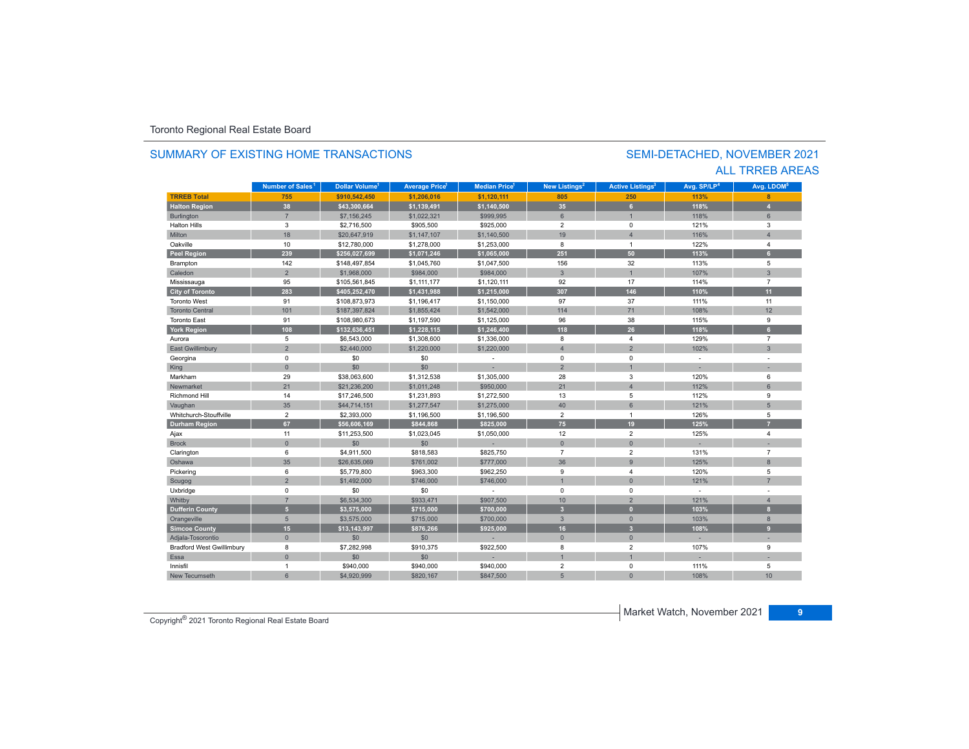#### **TR5EB Total 755 \$910,542,450 \$1,206,016 \$1,120,111 805 250 113% 8 Halton Region 38 \$43,300,664 \$1,139,491 \$1,140,500 35 6 118% 4** Burlington 7 \$7,156,245 \$1,022,321 \$999,995 6 1 118% 6 Halton Hillss 3 \$2,716,500 \$905,500 \$925,000 2 0 121% 3 Miltonn 18 \$20,647,919 \$1,147,107 \$1,140,500 19 4 116% 116% 4 Oakvillee 10 \$12,780,000 \$1,278,000 \$1,253,000 8 1 122%  $%$  4 **Peel Region 239 \$256,027,699 \$1,071,246 \$1,065,000 251 50 113% 6** Brampton 142 \$148,497,854 \$1,045,760 \$1,047,500 156 32 113% 5 Caledonn 2 \$1,968,000 \$984,000 \$984,000 3 1 107% % 3 Mississauga 95 \$105,561,845 \$1,111,177 \$1,120,111 92 17 114% 7 **City of Toronto 283 \$405,252,470 \$1,431,988 \$1,215,000 307 146 110% 11** Toronto West 91 \$108,873,973 \$1,196,417 \$1,150,000 97 37 111% 11 Toronto Central 101 \$187,397,824 \$1,855,424 \$1,542,000 114 71 108% $\%$  12 Toronto Eastt 91 \$108,980,673 \$1,197,590 \$1,125,000 96 38 115% 9 **York Region 108 \$132,636,451 \$1,228,115 \$1,246,400 118 26 118% 6** Auroraa 5 \$6,543,000 \$1,308,600 \$1,336,000 8 129% 7 East Gwillimbury 2 \$2,440,000 \$1,220,000 \$1,220,000 4 2 3 Georgina 0 \$0 \$0 - 0 0 - - King 0 \$0 \$0 - 2 1 - - Markhamm 29 \$38,063,600 \$1,312,538 \$1,305,000 28 3 120% 6 Newmarket 21 \$21,236,200 \$1,011,248 \$950,000 21 4 112% 6 Richmond Hill 14 \$17,246,500 \$1,231,893 \$1,272,500 13 5 112% 9 Vaughan 35 35 \$44,714,151 \$1,277,547 \$1,275,000 40 40 6 1 121% 51.275 5100 51 Whitchurch-Stouffvillee 2 \$2,393,000 \$1,196,500 \$1,196,500 2 1 126% 5 **Durham Region 67 \$56,606,169 \$844,868 \$825,000 75 19 125% 7** Ajax 11 \$11,253,500 \$1,023,045 \$1,050,000 12 2 125% 4 Brock 0 \$0 \$0 - 0 0 - - Clarington 6 \$4,911,500 \$818,583 \$825,750 7 2 131% 7 Oshawa 35 \$26,635,069 \$761,002 \$777,000 36 9 125% 8 Pickering 6 \$5,779,800 \$963,300 \$962,250 9 4 120% 5 Scugog 2 \$1,492,000 \$746,000 \$746,000 1 0 121% 7 Uxbridge 0 \$0 \$0 - 0 0 - - Whitby 7 \$6,534,300 \$933,471 \$907,500 10 2 121% 4 **Dufferin County 5 \$3,575,000 \$715,000 \$700,000 3 0 103% 8** Orangeville 5 \$3,575,000 \$715,000 \$700,000 3 0 103% 8 **Simcoe County 15 \$13,143,997 \$876,266 \$925,000 16 3 108% 9** Adjala-Tosorontio 0 \$0 \$0 - 0 0 - - Bradford West Gwillimbury 8 \$7,282,998 \$910,375 \$922,500 8 2 107% 9 Essaa dia 100 - 100 - 100 - 100 - 100 - 100 - 100 - 100 - 100 - 100 - 100 - 100 - 100 - 100 - 100 - 100 - 100 - 10 Innisfil 1 \$940,000 \$940,000 \$940,000 2 0 111% 5 New Tecumseth**Municipality Number of Sales Dollar Volume Average Price Median Price New Listings Active Listings Avg. SP/LP Avg. LDOM Number of Sales<sup>1</sup> 1** Dollar Volume<sup>1</sup> | Average Price<sup>1</sup> | Median Price<sup>1</sup> | New Listings<sup>2</sup> | Active Listings<sup>3</sup> | Avg. SP/LP<sup>4</sup> | Avg. LDOM<sup>s</sup>

h 6 \$4,920,999 \$820,167 \$847,500 5 0 108%

# SUMMARY OF EXISTING HOME TRANSACTIONS

### SEMI-DETACHED, NOVEMBER 2021 ALL TRREB AREAS

Copyright® 2021 Toronto Regional Real Estate Board

108% 10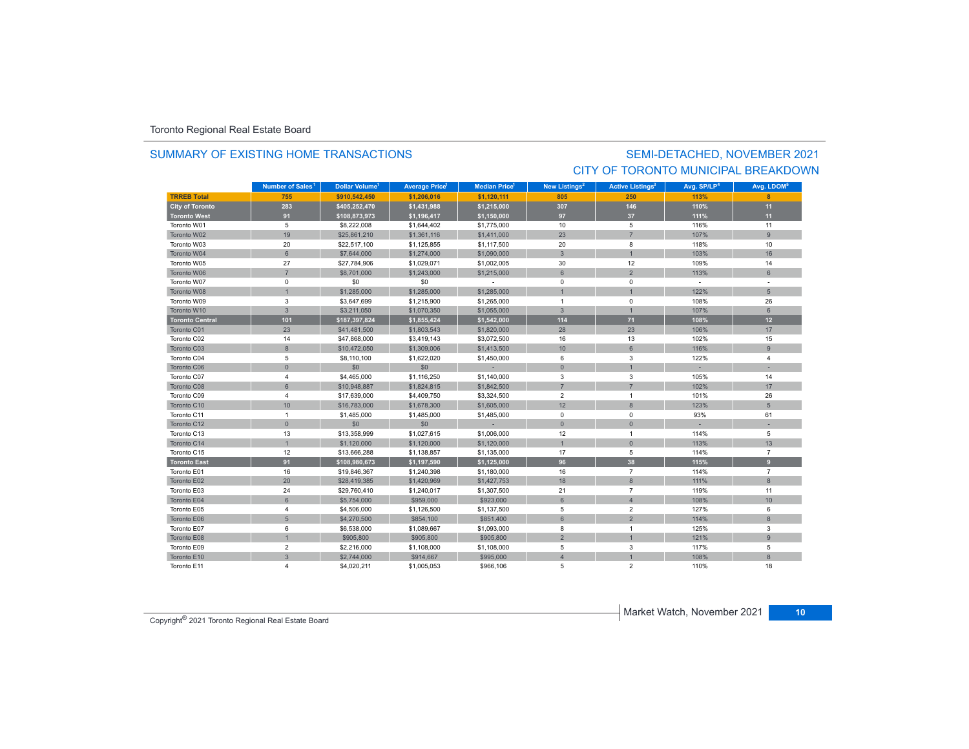### SUMMARY OF EXISTING HOME TRANSACTIONS

# SEMI-DETACHED, NOVEMBER 2021 CITY OF TORONTO MUNICIPAL BREAKDOWN

|                        | Number of Sales <sup>1</sup> | <b>Dollar Volume<sup>1</sup></b> | <b>Average Price</b> | <b>Median Price</b> <sup>1</sup> | New Listings <sup>2</sup> | <b>Active Listings<sup>3</sup></b> | Avg. SP/LP <sup>4</sup> | Avg. LDOM <sup>5</sup> |
|------------------------|------------------------------|----------------------------------|----------------------|----------------------------------|---------------------------|------------------------------------|-------------------------|------------------------|
| <b>TRREB Total</b>     | 755                          | \$910.542.450                    | \$1,206,016          | \$1,120,111                      | 805                       | 250                                | 113%                    | 8                      |
| <b>City of Toronto</b> | 283                          | \$405,252,470                    | \$1,431,988          | \$1,215,000                      | 307                       | 146                                | 110%                    | 11                     |
| <b>Toronto West</b>    | 91                           | \$108,873,973                    | \$1,196,417          | \$1,150,000                      | 97                        | 37                                 | 111%                    | 11                     |
| Toronto W01            | 5                            | \$8,222,008                      | \$1,644,402          | \$1,775,000                      | 10                        | 5                                  | 116%                    | 11                     |
| Toronto W02            | 19                           | \$25,861,210                     | \$1,361,116          | \$1,411,000                      | 23                        | $\overline{7}$                     | 107%                    | $\overline{9}$         |
| Toronto W03            | 20                           | \$22,517,100                     | \$1,125,855          | \$1,117,500                      | 20                        | 8                                  | 118%                    | 10                     |
| Toronto W04            | $6\phantom{1}$               | \$7,644,000                      | \$1,274,000          | \$1,090,000                      | 3                         |                                    | 103%                    | 16                     |
| Toronto W05            | 27                           | \$27,784,906                     | \$1,029,071          | \$1,002,005                      | 30                        | 12                                 | 109%                    | 14                     |
| Toronto W06            | $\overline{7}$               | \$8,701,000                      | \$1,243,000          | \$1,215,000                      | 6                         | $\overline{2}$                     | 113%                    | 6                      |
| Toronto W07            | 0                            | \$0                              | \$0                  |                                  | 0                         | $\mathbf 0$                        |                         |                        |
| Toronto W08            | $\overline{1}$               | \$1,285,000                      | \$1,285,000          | \$1,285,000                      |                           |                                    | 122%                    | 5                      |
| Toronto W09            | 3                            | \$3,647,699                      | \$1,215,900          | \$1,265,000                      | $\mathbf{1}$              | $\mathbf 0$                        | 108%                    | 26                     |
| Toronto W10            | $\overline{3}$               | \$3,211,050                      | \$1,070,350          | \$1,055,000                      | $\overline{3}$            |                                    | 107%                    | 6                      |
| <b>Toronto Central</b> | 101                          | \$187,397,824                    | \$1,855,424          | \$1,542,000                      | 114                       | $71$                               | 108%                    | 12                     |
| Toronto C01            | 23                           | \$41,481,500                     | \$1,803,543          | \$1,820,000                      | 28                        | 23                                 | 106%                    | 17                     |
| Toronto C02            | 14                           | \$47,868,000                     | \$3,419,143          | \$3,072,500                      | 16                        | 13                                 | 102%                    | 15                     |
| Toronto C03            | $\boldsymbol{8}$             | \$10,472,050                     | \$1,309,006          | \$1,413,500                      | 10                        | 6                                  | 116%                    | $\overline{9}$         |
| Toronto C04            | 5                            | \$8,110,100                      | \$1,622,020          | \$1,450,000                      | 6                         | 3                                  | 122%                    | 4                      |
| Toronto C06            | $\mathbf{0}$                 | \$0                              | \$0                  |                                  | $\overline{0}$            |                                    |                         |                        |
| Toronto C07            | $\overline{4}$               | \$4,465,000                      | \$1,116,250          | \$1,140,000                      | 3                         | 3                                  | 105%                    | 14                     |
| Toronto C08            | 6                            | \$10,948,887                     | \$1,824,815          | \$1,842,500                      | $\overline{7}$            | $\overline{7}$                     | 102%                    | 17                     |
| Toronto C09            | $\overline{4}$               | \$17,639,000                     | \$4,409,750          | \$3,324,500                      | $\overline{2}$            | $\overline{1}$                     | 101%                    | 26                     |
| Toronto C10            | 10                           | \$16,783,000                     | \$1,678,300          | \$1,605,000                      | 12                        | 8                                  | 123%                    | 5                      |
| Toronto C11            | $\mathbf{1}$                 | \$1,485,000                      | \$1,485,000          | \$1,485,000                      | 0                         | $\mathbf 0$                        | 93%                     | 61                     |
| Toronto C12            | $\mathbf{0}$                 | \$0                              | \$0                  |                                  | $\overline{0}$            | $\mathbf{0}$                       |                         |                        |
| Toronto C13            | 13                           | \$13,358,999                     | \$1,027,615          | \$1,006,000                      | 12                        | $\overline{1}$                     | 114%                    | 5                      |
| Toronto C14            | $\mathbf{1}$                 | \$1,120,000                      | \$1,120,000          | \$1,120,000                      | $\overline{1}$            | $\mathbf{0}$                       | 113%                    | 13                     |
| Toronto C15            | 12                           | \$13,666,288                     | \$1,138,857          | \$1,135,000                      | 17                        | 5                                  | 114%                    | $\overline{7}$         |
| <b>Toronto East</b>    | 91                           | \$108,980,673                    | \$1,197,590          | \$1,125,000                      | 96                        | 38                                 | 115%                    | 9                      |
| Toronto E01            | 16                           | \$19,846,367                     | \$1,240,398          | \$1,180,000                      | 16                        | $\overline{7}$                     | 114%                    | $\overline{7}$         |
| Toronto E02            | 20                           | \$28,419,385                     | \$1,420,969          | \$1,427,753                      | 18                        | 8                                  | 111%                    | 8                      |
| Toronto E03            | 24                           | \$29,760,410                     | \$1,240,017          | \$1,307,500                      | 21                        | $\overline{7}$                     | 119%                    | 11                     |
| Toronto E04            | 6                            | \$5,754,000                      | \$959,000            | \$923,000                        | 6                         | $\overline{4}$                     | 108%                    | 10                     |
| Toronto E05            | 4                            | \$4,506,000                      | \$1,126,500          | \$1,137,500                      | 5                         | $\overline{2}$                     | 127%                    | 6                      |
| Toronto E06            | 5                            | \$4,270,500                      | \$854,100            | \$851,400                        | 6                         | $\overline{2}$                     | 114%                    | 8                      |
| Toronto E07            | 6                            | \$6,538,000                      | \$1,089,667          | \$1,093,000                      | 8                         | -1                                 | 125%                    | 3                      |
| Toronto E08            | $\mathbf{1}$                 | \$905,800                        | \$905,800            | \$905,800                        | $\overline{2}$            |                                    | 121%                    | $\overline{9}$         |
| Toronto E09            | $\overline{2}$               | \$2,216,000                      | \$1,108,000          | \$1,108,000                      | 5                         | 3                                  | 117%                    | 5                      |
| Toronto E10            | $\mathbf{3}$                 | \$2,744,000                      | \$914,667            | \$995,000                        | $\overline{A}$            |                                    | 108%                    | $\mathbf{8}$           |
| Toronto E11            | $\overline{4}$               | \$4,020,211                      | \$1,005,053          | \$966,106                        | 5                         | $\overline{2}$                     | 110%                    | 18                     |

Copyright® 2021 Toronto Regional Real Estate Board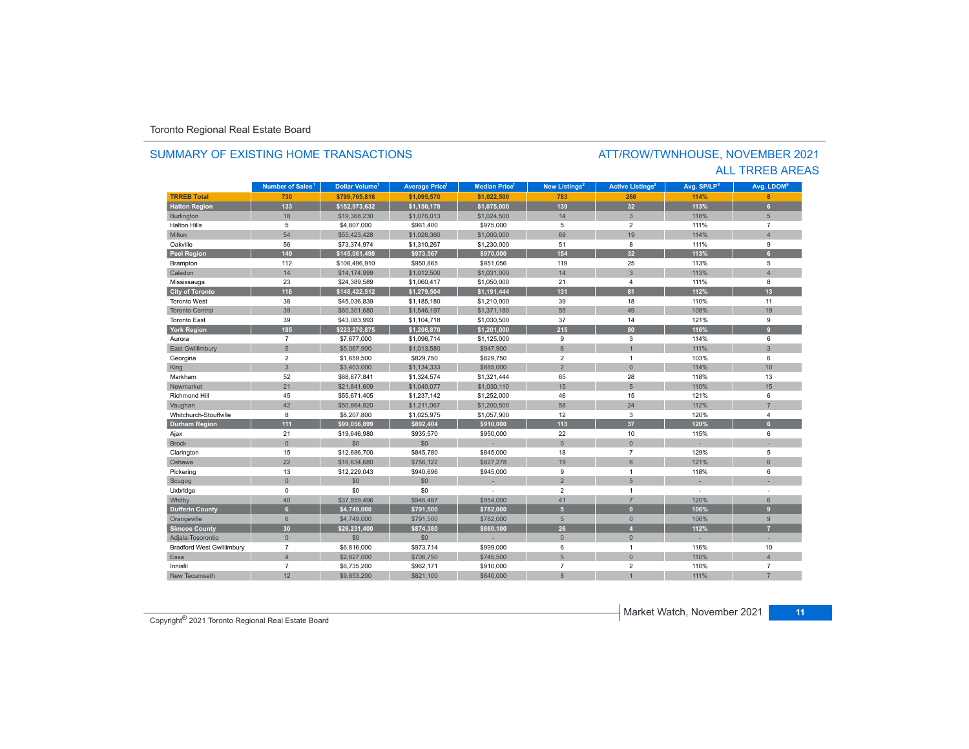### SUMMARY OF EXISTING HOME TRANSACTIONS

### ATT/ROW/TWNHOUSE, NOVEMBER 2021 ALL TRREB AREAS

|                                  | Number of Sales <sup>1</sup> | Dollar Volume <sup>1</sup> | <b>Average Price</b> | <b>Median Price</b> <sup>1</sup> | New Listings <sup>2</sup> | <b>Active Listings<sup>3</sup></b> | Avg. SP/LP <sup>4</sup> | Avg. LDOM <sup>5</sup> |
|----------------------------------|------------------------------|----------------------------|----------------------|----------------------------------|---------------------------|------------------------------------|-------------------------|------------------------|
| <b>TRREB Total</b>               | 730                          | \$799,765,816              | \$1,095,570          | \$1,022,500                      | 783                       | 266                                | 114%                    | 8                      |
| <b>Halton Region</b>             | 133                          | \$152,973,632              | \$1,150,178          | \$1,075,000                      | 139                       | 32                                 | 113%                    | 6                      |
| <b>Burlington</b>                | 18                           | \$19,368,230               | \$1,076,013          | \$1,024,500                      | 14                        | $\overline{3}$                     | 118%                    | 5                      |
| <b>Halton Hills</b>              | 5                            | \$4,807,000                | \$961,400            | \$975,000                        | 5                         | $\overline{2}$                     | 111%                    | $\overline{7}$         |
| Milton                           | 54                           | \$55,423,428               | \$1,026,360          | \$1,000,000                      | 69                        | 19                                 | 114%                    | $\overline{A}$         |
| Oakville                         | 56                           | \$73,374,974               | \$1,310,267          | \$1,230,000                      | 51                        | 8                                  | 111%                    | 9                      |
| <b>Peel Region</b>               | 149                          | \$145,061,498              | \$973,567            | \$970,000                        | 154                       | 32                                 | 113%                    | ◈                      |
| Brampton                         | 112                          | \$106,496,910              | \$950,865            | \$951,056                        | 119                       | 25                                 | 113%                    | 5                      |
| Caledon                          | 14                           | \$14,174,999               | \$1,012,500          | \$1,031,000                      | 14                        | $\overline{3}$                     | 113%                    | $\overline{4}$         |
| Mississauga                      | 23                           | \$24,389,589               | \$1,060,417          | \$1,050,000                      | 21                        | 4                                  | 111%                    | 8                      |
| <b>City of Toronto</b>           | 116                          | \$148,422,512              | \$1,279,504          | \$1,191,444                      | 131                       | 81                                 | 112%                    | 13                     |
| <b>Toronto West</b>              | 38                           | \$45,036,839               | \$1,185,180          | \$1,210,000                      | 39                        | 18                                 | 110%                    | 11                     |
| <b>Toronto Central</b>           | 39                           | \$60,301,680               | \$1,546,197          | \$1,371,180                      | 55                        | 49                                 | 108%                    | 19                     |
| <b>Toronto East</b>              | 39                           | \$43,083,993               | \$1,104,718          | \$1,030,500                      | 37                        | 14                                 | 121%                    | 9                      |
| <b>York Region</b>               | 185                          | \$223,270,875              | \$1,206,870          | \$1,201,000                      | 215                       | 80                                 | 116%                    | $\mathbf{q}$           |
| Aurora                           | $\overline{7}$               | \$7,677,000                | \$1,096,714          | \$1,125,000                      | 9                         | 3                                  | 114%                    | 6                      |
| <b>East Gwillimbury</b>          | 5                            | \$5,067,900                | \$1,013,580          | \$947,900                        | $6\overline{6}$           |                                    | 111%                    | $\overline{3}$         |
| Georgina                         | $\overline{2}$               | \$1,659,500                | \$829,750            | \$829,750                        | $\overline{\mathbf{2}}$   | $\mathbf{1}$                       | 103%                    | 6                      |
| King                             | $\overline{3}$               | \$3,403,000                | \$1,134,333          | \$885,000                        | $\overline{2}$            | $\overline{0}$                     | 114%                    | 10                     |
| Markham                          | 52                           | \$68,877,841               | \$1,324,574          | \$1,321,444                      | 65                        | 28                                 | 118%                    | 13                     |
| Newmarket                        | 21                           | \$21,841,609               | \$1,040,077          | \$1,030,110                      | 15                        | 5                                  | 110%                    | 15                     |
| <b>Richmond Hill</b>             | 45                           | \$55,671,405               | \$1,237,142          | \$1,252,000                      | 46                        | 15                                 | 121%                    | 6                      |
| Vaughan                          | 42                           | \$50,864,820               | \$1,211,067          | \$1,200,500                      | 58                        | 24                                 | 112%                    |                        |
| Whitchurch-Stouffville           | 8                            | \$8,207,800                | \$1,025,975          | \$1,057,900                      | 12                        | 3                                  | 120%                    | 4                      |
| <b>Durham Region</b>             | 111                          | \$99,056,899               | \$892,404            | \$910,000                        | 113                       | 37                                 | 120%                    | 6                      |
| Ajax                             | 21                           | \$19,646,980               | \$935,570            | \$950,000                        | 22                        | 10                                 | 115%                    | 6                      |
| <b>Brock</b>                     | $\mathbf{0}$                 | \$0                        | \$0                  |                                  | $\mathbf{0}$              | $\overline{0}$                     |                         |                        |
| Clarington                       | 15                           | \$12,686,700               | \$845,780            | \$845,000                        | 18                        | $\overline{7}$                     | 129%                    | 5                      |
| Oshawa                           | 22                           | \$16,634,680               | \$756,122            | \$827,278                        | 19                        | 6                                  | 121%                    | 6                      |
| Pickering                        | 13                           | \$12,229,043               | \$940,696            | \$945,000                        | 9                         | $\overline{1}$                     | 118%                    | 6                      |
| Scugog                           | $\mathbf{0}$                 | \$0                        | \$0                  |                                  | $\overline{2}$            | 5                                  |                         |                        |
| Uxbridge                         | $\mathbf 0$                  | \$0                        | \$0                  |                                  | $\overline{2}$            | $\mathbf{1}$                       |                         |                        |
| Whitby                           | 40                           | \$37,859,496               | \$946,487            | \$954,000                        | 41                        | $\overline{7}$                     | 120%                    | 6                      |
| <b>Dufferin County</b>           | 6                            | \$4,749,000                | \$791,500            | \$782,000                        | $\overline{5}$            | $\overline{0}$                     | 106%                    | $\overline{9}$         |
| Orangeville                      | 6                            | \$4,749,000                | \$791,500            | \$782,000                        | 5                         | $\mathbf{0}$                       | 106%                    | 9                      |
| <b>Simcoe County</b>             | 30                           | \$26,231,400               | \$874,380            | \$860,100                        | 26                        | $\overline{4}$                     | 112%                    | 7                      |
| Adjala-Tosorontio                | $\mathbf{0}$                 | \$0                        | \$0                  |                                  | $\mathbf{0}$              | $\overline{0}$                     |                         |                        |
| <b>Bradford West Gwillimbury</b> | $\overline{7}$               | \$6,816,000                | \$973,714            | \$999,000                        | 6                         | $\mathbf{1}$                       | 116%                    | 10                     |
| Essa                             | $\overline{4}$               | \$2,827,000                | \$706,750            | \$745,500                        | 5                         | $\overline{0}$                     | 110%                    | $\overline{4}$         |
| Innisfil                         | $\overline{7}$               | \$6,735,200                | \$962,171            | \$910,000                        | $\overline{7}$            | $\overline{2}$                     | 110%                    | $\overline{7}$         |
| New Tecumseth                    | 12                           | \$9,853,200                | \$821,100            | \$840,000                        | $\overline{8}$            |                                    | 111%                    |                        |

Copyright® 2021 Toronto Regional Real Estate Board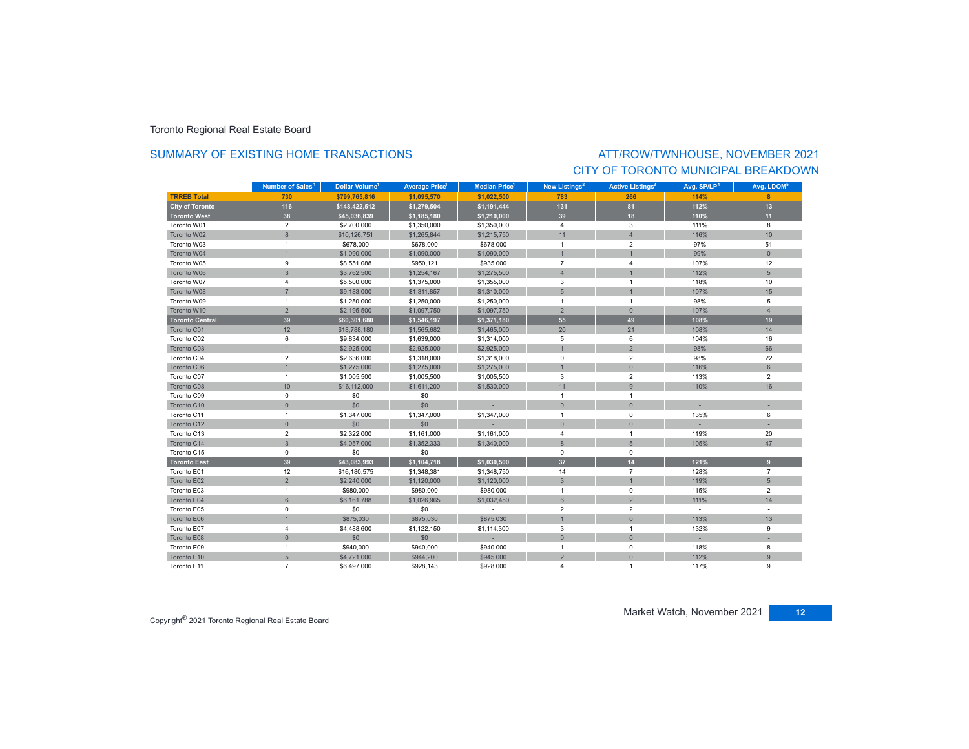### SUMMARY OF EXISTING HOME TRANSACTIONS

### ATT/ROW/TWNHOUSE, NOVEMBER 2021 CITY OF TORONTO MUNICIPAL BREAKDOWN

|                        | Number of Sales <sup>1</sup> | Dollar Volume <sup>1</sup> | <b>Average Price</b> <sup>1</sup> | <b>Median Price</b> <sup>1</sup> | <b>New Listings<sup>2</sup></b> | <b>Active Listings<sup>3</sup></b> | Avg. SP/LP <sup>4</sup> | Avg. LDOM <sup>5</sup> |
|------------------------|------------------------------|----------------------------|-----------------------------------|----------------------------------|---------------------------------|------------------------------------|-------------------------|------------------------|
| <b>TRREB Total</b>     | 730                          | \$799.765.816              | \$1.095.570                       | \$1.022.500                      | 783                             | 266                                | 114%                    |                        |
| <b>City of Toronto</b> | 116                          | \$148,422,512              | \$1,279,504                       | \$1,191,444                      | 131                             | 81                                 | 112%                    | 13                     |
| <b>Toronto West</b>    | 38                           | \$45,036,839               | \$1,185,180                       | \$1,210,000                      | 39                              | 18                                 | 110%                    | 11                     |
| Toronto W01            | $\overline{2}$               | \$2,700,000                | \$1,350,000                       | \$1,350,000                      | $\overline{4}$                  | 3                                  | 111%                    | 8                      |
| Toronto W02            | $\boldsymbol{8}$             | \$10,126,751               | \$1,265,844                       | \$1,215,750                      | 11                              | $\overline{4}$                     | 116%                    | 10                     |
| Toronto W03            | $\mathbf{1}$                 | \$678,000                  | \$678,000                         | \$678,000                        | $\overline{1}$                  | $\overline{2}$                     | 97%                     | 51                     |
| Toronto W04            |                              | \$1,090,000                | \$1,090,000                       | \$1,090,000                      |                                 |                                    | 99%                     | $\overline{0}$         |
| Toronto W05            | 9                            | \$8,551,088                | \$950,121                         | \$935,000                        | $\overline{7}$                  | $\overline{4}$                     | 107%                    | 12                     |
| Toronto W06            | $\overline{3}$               | \$3,762,500                | \$1,254,167                       | \$1,275,500                      | $\overline{4}$                  |                                    | 112%                    | 5                      |
| Toronto W07            | $\overline{\mathbf{4}}$      | \$5,500,000                | \$1,375,000                       | \$1,355,000                      | 3                               | $\overline{1}$                     | 118%                    | 10                     |
| Toronto W08            | $\overline{7}$               | \$9,183,000                | \$1,311,857                       | \$1,310,000                      | 5                               |                                    | 107%                    | 15                     |
| Toronto W09            | $\overline{1}$               | \$1,250,000                | \$1,250,000                       | \$1,250,000                      | $\overline{1}$                  | $\overline{1}$                     | 98%                     | 5                      |
| Toronto W10            | $\overline{2}$               | \$2,195,500                | \$1,097,750                       | \$1,097,750                      | $\overline{2}$                  | $\overline{0}$                     | 107%                    | $\overline{4}$         |
| <b>Toronto Central</b> | 39                           | \$60,301,680               | \$1,546,197                       | \$1,371,180                      | 55                              | 49                                 | 108%                    | 19                     |
| Toronto C01            | 12                           | \$18,788,180               | \$1,565,682                       | \$1,465,000                      | 20                              | 21                                 | 108%                    | 14                     |
| Toronto C02            | 6                            | \$9,834,000                | \$1,639,000                       | \$1,314,000                      | 5                               | 6                                  | 104%                    | 16                     |
| Toronto C03            | $\mathbf{1}$                 | \$2,925,000                | \$2,925,000                       | \$2,925,000                      |                                 | $\overline{2}$                     | 98%                     | 66                     |
| Toronto C04            | $\overline{2}$               | \$2,636,000                | \$1,318,000                       | \$1,318,000                      | $\mathbf 0$                     | $\overline{2}$                     | 98%                     | 22                     |
| Toronto C06            | $\overline{1}$               | \$1,275,000                | \$1,275,000                       | \$1,275,000                      |                                 | $\mathbf{0}$                       | 116%                    | $6\overline{6}$        |
| Toronto C07            | $\mathbf{1}$                 | \$1,005,500                | \$1,005,500                       | \$1,005,500                      | 3                               | $\overline{2}$                     | 113%                    | $\overline{2}$         |
| Toronto C08            | 10                           | \$16,112,000               | \$1,611,200                       | \$1,530,000                      | 11                              | 9                                  | 110%                    | 16                     |
| Toronto C09            | $\mathbf 0$                  | \$0                        | \$0                               | $\sim$                           | $\overline{1}$                  | $\overline{1}$                     | $\sim$                  |                        |
| Toronto C10            | $\mathsf{O}\xspace$          | \$0                        | \$0                               |                                  | $\mathbf{0}$                    | $\overline{0}$                     |                         |                        |
| Toronto C11            | $\mathbf{1}$                 | \$1,347,000                | \$1,347,000                       | \$1,347,000                      | $\overline{1}$                  | $^{\circ}$                         | 135%                    | 6                      |
| Toronto C12            | $\mathsf{O}\xspace$          | \$0                        | \$0                               |                                  | $\mathbf{0}$                    | $\mathbf{0}$                       |                         |                        |
| Toronto C13            | $\mathbf 2$                  | \$2,322,000                | \$1,161,000                       | \$1,161,000                      | $\overline{4}$                  | $\overline{1}$                     | 119%                    | 20                     |
| Toronto C14            | $\overline{3}$               | \$4,057,000                | \$1,352,333                       | \$1,340,000                      | 8                               | 5                                  | 105%                    | 47                     |
| Toronto C15            | $\mathsf 0$                  | \$0                        | \$0                               | ÷                                | $\mathbf 0$                     | $\mathbf 0$                        | $\sim$                  |                        |
| <b>Toronto East</b>    | 39                           | \$43,083,993               | \$1,104,718                       | \$1,030,500                      | 37                              | 14                                 | 121%                    | 9                      |
| Toronto E01            | 12                           | \$16,180,575               | \$1,348,381                       | \$1,348,750                      | 14                              | $\overline{7}$                     | 128%                    | $\overline{7}$         |
| Toronto E02            | $\overline{2}$               | \$2,240,000                | \$1,120,000                       | \$1,120,000                      | $\mathbf{3}$                    | $\overline{1}$                     | 119%                    | $5\phantom{.0}$        |
| Toronto E03            | $\overline{1}$               | \$980,000                  | \$980,000                         | \$980,000                        | $\overline{1}$                  | $^{\circ}$                         | 115%                    | $\overline{2}$         |
| Toronto E04            | 6                            | \$6,161,788                | \$1,026,965                       | \$1,032,450                      | 6                               | $\overline{2}$                     | 111%                    | 14                     |
| Toronto E05            | $\mathsf 0$                  | \$0                        | \$0                               |                                  | $\overline{2}$                  | $\overline{2}$                     | $\sim$                  |                        |
| Toronto E06            |                              | \$875,030                  | \$875,030                         | \$875,030                        |                                 | $\mathbf{0}$                       | 113%                    | 13                     |
| Toronto E07            | $\overline{4}$               | \$4,488,600                | \$1,122,150                       | \$1,114,300                      | $\overline{3}$                  | $\overline{1}$                     | 132%                    | 9                      |
| Toronto E08            | $\mathbf{0}$                 | \$0                        | \$0                               |                                  | $\mathbf 0$                     | $\mathbf{0}$                       |                         |                        |
| Toronto E09            | $\mathbf{1}$                 | \$940,000                  | \$940,000                         | \$940,000                        | $\overline{1}$                  | $\mathbf 0$                        | 118%                    | 8                      |
| Toronto E10            | 5                            | \$4,721,000                | \$944,200                         | \$945,000                        | 2                               | $\Omega$                           | 112%                    | 9                      |
| Toronto E11            | $\overline{7}$               | \$6,497,000                | \$928,143                         | \$928,000                        | $\overline{4}$                  |                                    | 117%                    | 9                      |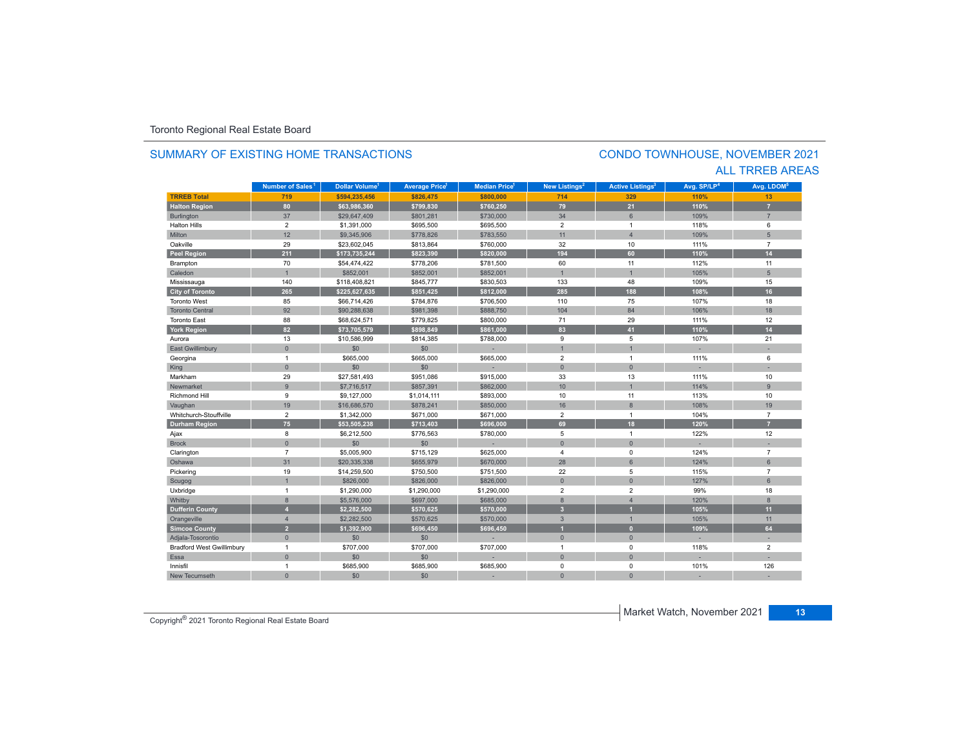#### **TRREB Total 719 \$594,235,456 \$826,475 \$800,000 714 329 110%110%** 13 **Halton Region 80 \$63,986,360 \$799,830 \$760,250 79 21 110% 7** Burlington 37 \$29,647,409 \$801,281 \$730,000 34 6 109% 7 Halton Hills $\sim$  2 \$1,391,000 \$695,500 \$695,500 2 1 118% 6 Miltonn 12 \$9,345,906 \$778,826 \$783,550 11 109% 5 Oakvillee 29 \$23,602,045 \$813,864 \$760,000 32 10 111% 7 **Peel Region 211 \$173,735,244 \$823,390 \$820,000 194 60 110% 14** Brampton 70 \$54,474,422 \$778,206 \$781,500 60 11 112% 11 Caledonn 1 \$852,001 \$852,001 \$852,001 1 1 105% 5 Mississauga 140 \$118,408,821 \$845,777 \$830,503 133 48 109% 15 **City of Toronto 265 \$225,627,635 \$851,425 \$812,000 285 188 108% 16** Toronto West 85 \$66,714,426 \$784,876 \$706,500 110 75 107%107% 18 Toronto Central 92. \$90,288,638 \$981,398 \$888,750 104 104 84 | 106% 106% 18 Toronto East 88 \$68,624,571 \$779,825 \$800,000 71 29 111%% 12 **York Region 82 \$73,705,579 \$898,849 \$861,000 83 41 110% 14** Auroraa 13 \$10,586,999 \$814,385 \$788,000 9 5 107% 21 East Gwillimbury 0 \$0 \$0 - 1 1 - - Georgina 1 \$665,000 \$665,000 \$665,000 2 1 111% 6 King the second term of the second term of the second term of the second term of the second term of the second Markhamm 29 \$27,581,493 \$951,086 \$915,000 33 13 111% 111% 10 Newmarkett 9 .9 \$7,716,517 \$857,391 \$862,000 10 1 114% 114% 9 Richmond Hill 9 \$9,127,000 \$1,014,111 \$893,000 10 11 113%% 10 Vaughan 19 \$16,686,570 \$878,241 \$850,000 \$870,000 \$878,241 \$8 19 108% 19 108% 19 Whitchurch-Stouffvillee 2 \$1,342,000 \$671,000 \$671,000 2 1 104% 7 **Durham Region 75 \$53,505,238 \$713,403 \$696,000 69 18 120% 7** Ajax 8 \$6,212,500 \$776,563 \$780,000 5 1 122% 12 Brock 0 \$0 \$0 - 0 0 - - Clarington 7 \$5,005,900 \$715,129 \$625,000 4 0 7 Oshawaa 31 \$20,335,338 \$655,979 \$670,000 28 6 124% 6 Pickering 19 \$14,259,500 \$750,500 \$751,500 22 5 115% 7 Scugog 1 \$826,000 \$826,000 \$826,000 0 0 127% 6 Uxbridge 1 \$1,290,000 \$1,290,000 \$1,290,000 2 2 99% 18 Whitby 8 \$5,576,000 \$697,000 \$685,000 8 4 120% 8 **Dufferin County 4 \$2,282,500 \$570,625 \$570,000 3 1 105% 11** Orangeville 4 | \$2,282,500 | \$570,625 | \$570,000 | 3 | 1 105% | 11 **Simcoe County 2 \$1,392,900 \$696,450 \$696,450 1 0 109% 64** Adjala-Tosorontio 0 \$0 \$0 - 0 0 - - Bradford West Gwillimbury 1 \$707,000 \$707,000 \$707,000 1 0 118% 2 Essaa dia 1980 - Aniso ao amin'ny faritr'i Nouvelle-Aquitaine, ao amin'ny faritr'i Nouvelle-Aquitaine, ao amin'ny Innisfil 1 \$685,900 \$685,900 \$685,900 0 0 101%101% 126 New Tecumseth**Municipality Number of Sales Dollar Volume Average Price Median Price New Listings Active Listings Avg. SP/LP Avg. LDOM Number of Sales<sup>1</sup> 1 1 1 2 3 4 5**

0 \$0 \$0 - 0 0 - -

### SUMMARY OF EXISTING HOME TRANSACTIONS

### CONDO TOWNHOUSE, NOVEMBER 2021 ALL TRREB AREAS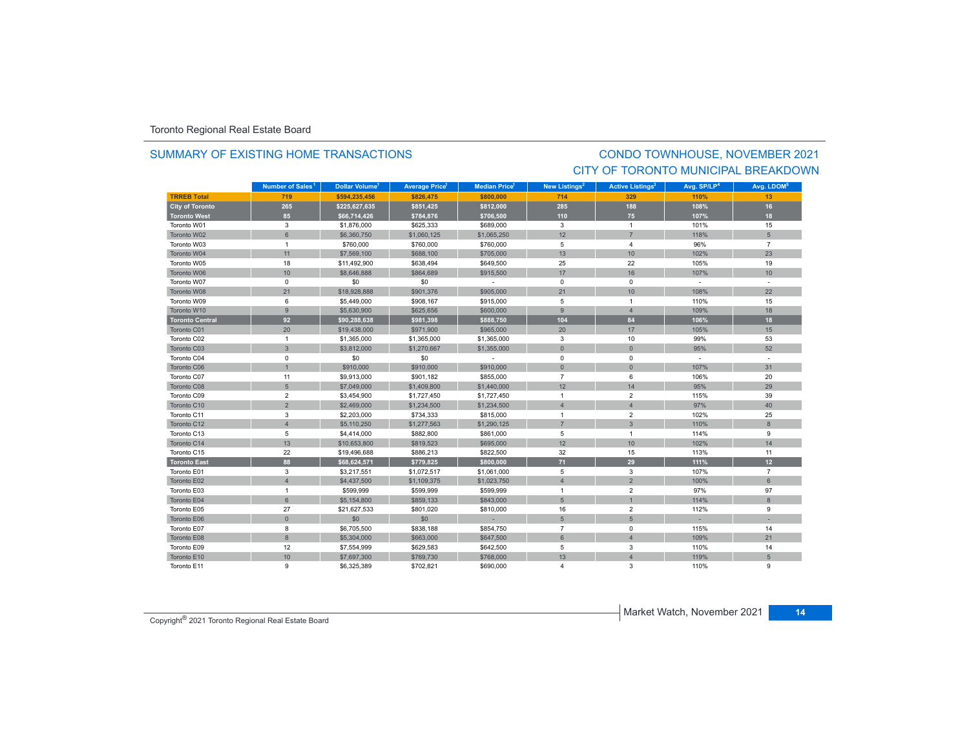### SUMMARY OF EXISTING HOME TRANSACTIONS

### CONDO TOWNHOUSE, NOVEMBER 2021 CITY OF TORONTO MUNICIPAL BREAKDOWN

|                        | Number of Sales <sup>1</sup> | Dollar Volume <sup>1</sup> | <b>Average Price</b> <sup>1</sup> | Median Price <sup>1</sup> | New Listings <sup>2</sup> | <b>Active Listings<sup>3</sup></b> | Avg. SP/LP <sup>4</sup> | Avg. LDOM <sup>5</sup> |
|------------------------|------------------------------|----------------------------|-----------------------------------|---------------------------|---------------------------|------------------------------------|-------------------------|------------------------|
| <b>TRREB Total</b>     | 719                          | \$594,235,456              | \$826,475                         | \$800,000                 | 714                       | 329                                | 110%                    | 13                     |
| <b>City of Toronto</b> | 265                          | \$225,627,635              | \$851,425                         | \$812,000                 | 285                       | 188                                | 108%                    | 16                     |
| <b>Toronto West</b>    | 85                           | \$66,714,426               | \$784,876                         | \$706,500                 | 110                       | 75                                 | 107%                    | 18                     |
| Toronto W01            | 3                            | \$1,876,000                | \$625,333                         | \$689,000                 | 3                         | $\overline{1}$                     | 101%                    | 15                     |
| Toronto W02            | $6\phantom{1}$               | \$6,360,750                | \$1,060,125                       | \$1,065,250               | 12                        | $\overline{7}$                     | 118%                    | 5                      |
| Toronto W03            | $\mathbf{1}$                 | \$760,000                  | \$760,000                         | \$760,000                 | 5                         | 4                                  | 96%                     | $\overline{7}$         |
| Toronto W04            | 11                           | \$7,569,100                | \$688,100                         | \$705,000                 | 13                        | 10 <sup>10</sup>                   | 102%                    | 23                     |
| Toronto W05            | 18                           | \$11,492,900               | \$638,494                         | \$649,500                 | 25                        | 22                                 | 105%                    | 19                     |
| Toronto W06            | 10                           | \$8,646,888                | \$864,689                         | \$915,500                 | 17                        | 16                                 | 107%                    | 10                     |
| Toronto W07            | $\mathbf 0$                  | \$0                        | \$0                               | $\sim$                    | $\mathbf 0$               | $\mathbf 0$                        | $\sim$                  | $\mathbf{r}$           |
| Toronto W08            | 21                           | \$18,928,888               | \$901,376                         | \$905,000                 | 21                        | 10 <sup>°</sup>                    | 108%                    | 22                     |
| Toronto W09            | 6                            | \$5,449,000                | \$908,167                         | \$915,000                 | 5                         | $\overline{1}$                     | 110%                    | 15                     |
| Toronto W10            | 9                            | \$5,630,900                | \$625,656                         | \$600,000                 | 9                         | $\overline{4}$                     | 109%                    | 18                     |
| <b>Toronto Central</b> | 92                           | \$90,288,638               | \$981,398                         | \$888,750                 | 104                       | 84                                 | 106%                    | 18                     |
| Toronto C01            | 20                           | \$19,438,000               | \$971,900                         | \$965,000                 | 20                        | 17                                 | 105%                    | 15                     |
| Toronto C02            | $\mathbf{1}$                 | \$1,365,000                | \$1,365,000                       | \$1,365,000               | 3                         | 10                                 | 99%                     | 53                     |
| Toronto C03            | $\mathbf{3}$                 | \$3,812,000                | \$1,270,667                       | \$1,355,000               | $\mathbf{0}$              | $\mathbf{0}$                       | 95%                     | 52                     |
| Toronto C04            | $\mathsf 0$                  | \$0                        | \$0                               | $\sim$                    | $\mathsf 0$               | $\mathbf 0$                        | $\sim$                  |                        |
| Toronto C06            | $\overline{1}$               | \$910,000                  | \$910,000                         | \$910,000                 | $\mathbf{0}$              | $\overline{0}$                     | 107%                    | 31                     |
| Toronto C07            | 11                           | \$9,913,000                | \$901,182                         | \$855,000                 | $\overline{7}$            | 6                                  | 106%                    | 20                     |
| Toronto C08            | 5                            | \$7,049,000                | \$1,409,800                       | \$1,440,000               | 12                        | 14                                 | 95%                     | 29                     |
| Toronto C09            | $\overline{2}$               | \$3,454,900                | \$1,727,450                       | \$1,727,450               | $\overline{1}$            | $\overline{2}$                     | 115%                    | 39                     |
| Toronto C10            | $\overline{2}$               | \$2,469,000                | \$1,234,500                       | \$1,234,500               | $\overline{4}$            | $\overline{4}$                     | 97%                     | 40                     |
| Toronto C11            | 3                            | \$2,203,000                | \$734,333                         | \$815,000                 | $\overline{1}$            | $\overline{2}$                     | 102%                    | 25                     |
| Toronto C12            | $\overline{4}$               | \$5,110,250                | \$1,277,563                       | \$1,290,125               | $\overline{7}$            | $\overline{3}$                     | 110%                    | $\mathbf{8}$           |
| Toronto C13            | 5                            | \$4,414,000                | \$882,800                         | \$861,000                 | 5                         | $\overline{1}$                     | 114%                    | 9                      |
| Toronto C14            | 13                           | \$10,653,800               | \$819,523                         | \$695,000                 | 12                        | 10 <sup>10</sup>                   | 102%                    | 14                     |
| Toronto C15            | 22                           | \$19,496,688               | \$886,213                         | \$822,500                 | 32                        | 15                                 | 113%                    | 11                     |
| <b>Toronto East</b>    | 88                           | \$68,624,571               | \$779,825                         | \$800,000                 | 71                        | 29                                 | 111%                    | 12                     |
| Toronto E01            | 3                            | \$3,217,551                | \$1,072,517                       | \$1,061,000               | 5                         | 3                                  | 107%                    | $\overline{7}$         |
| Toronto E02            | $\overline{4}$               | \$4,437,500                | \$1,109,375                       | \$1,023,750               | $\overline{4}$            | $\overline{2}$                     | 100%                    | 6                      |
| Toronto E03            | $\overline{1}$               | \$599,999                  | \$599,999                         | \$599,999                 | $\overline{1}$            | $\overline{2}$                     | 97%                     | 97                     |
| Toronto E04            | 6                            | \$5,154,800                | \$859,133                         | \$843,000                 | 5                         | $\overline{1}$                     | 114%                    | 8                      |
| Toronto E05            | 27                           | \$21,627,533               | \$801,020                         | \$810,000                 | 16                        | $\overline{2}$                     | 112%                    | 9                      |
| Toronto E06            | $\mathbf{0}$                 | \$0                        | \$0                               |                           | 5                         | 5                                  |                         |                        |
| Toronto E07            | 8                            | \$6,705,500                | \$838,188                         | \$854,750                 | $\overline{7}$            | $\mathbf 0$                        | 115%                    | 14                     |
| Toronto E08            | $\boldsymbol{8}$             | \$5,304,000                | \$663,000                         | \$647,500                 | $6\phantom{1}$            | $\overline{4}$                     | 109%                    | 21                     |
| Toronto E09            | 12                           | \$7,554,999                | \$629,583                         | \$642,500                 | $\overline{5}$            | 3                                  | 110%                    | 14                     |
| Toronto E10            | 10                           | \$7,697,300                | \$769,730                         | \$768,000                 | 13                        | $\Delta$                           | 119%                    | 5                      |
| Toronto E11            | 9                            | \$6,325,389                | \$702,821                         | \$690,000                 | $\overline{a}$            | 3                                  | 110%                    | 9                      |

Copyright® 2021 Toronto Regional Real Estate Board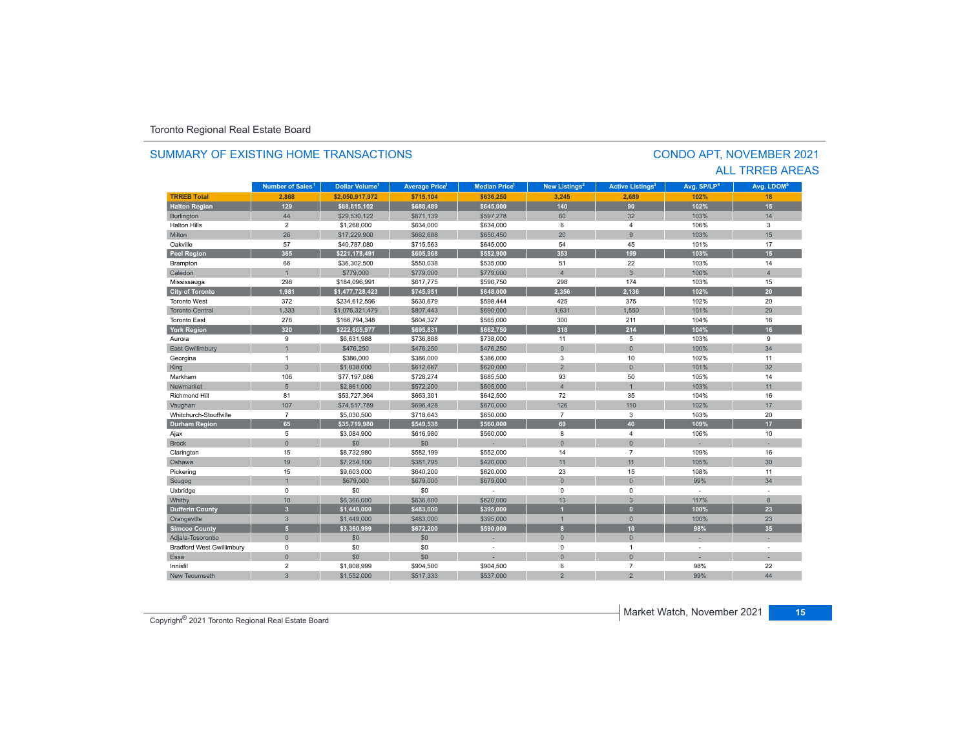#### **TRREB Total 2,868 \$2,050,917,972 \$715,104 \$636,250 3,245 2,689 102%102%** 18 **Halton Region 129 \$88,815,102 \$688,489 \$645,000 140 90 102% 15** Burlington 44 \$29,530,122 \$671,139 \$597,278 60 32 103% 14 Halton Hills $\sim$  2 \$1,268,000 \$634,000 \$634,000 6 4 106% 3 Miltonn 26 \$17,229,900 \$662,688 \$650,450 20 9 103% 103% 15 Oakvillee 57 \$40,787,080 \$715,563 \$645,000 54 101% 101% 17 **Peel Region 365 \$221,178,491 \$605,968 \$582,900 353 199 103% 15** Brampton 66 \$36,302,500 \$550,038 \$535,000 51 22 103% 14 Caledonn 1 \$779,000 \$779,000 \$779,000 4 3 100% 4 Mississauga 298 \$184,096,991 \$617,775 \$590,750 298 174 103% 15 **City of Toronto 1,981 \$1,477,728,423 \$745,951 \$648,000 2,356 2,136 102% 20** Toronto West 372 $$234,612,596$   $$630,679$   $$598,444$   $$425$   $$375$   $$102\%$  20 Toronto Central1,631 1,533 \$1,076,321,479 \$807,443 \$690,000 \$690,000 \$1,631 1,550 | 101% 101% 20 Toronto East 276 \$166,794,348 \$604,327 \$565,000 300 211 104%% 16 **York Region 320 \$222,665,977 \$695,831 \$662,750 318 214 104% 16** Aurora 9 \$6,631,988 \$736,888 \$738,000 11 5 103% 9 East Gwillimbury | 1 \$476,250 \$476,250 34 Georgina 1 \$386,000 \$386,000 \$386,000 3 10 102% 11 King 3 | \$1,838,000 | \$612,667 | \$620,000 | 2 | 0 101% 32 Markhamm 106 \$77,197,086 \$728,274 \$685,500 93 50 105% 105% 14 Newmarket 5 \$2,861,000 \$572,200 \$605,000 4 1 103%103% 11 Richmond Hill 81 \$53,727,364 \$663,301 \$642,500 72 35 104%% 16 Vaughan 107 107 \$74,517,789 \$696,428 \$670,000 1026 110 110 102% 102% 17 Whitchurch-Stouffville 7 \$5,030,500 \$718,643 \$650,000 7 3 103%103% 20 **Durham Region 65 \$35,719,980 \$549,538 \$560,000 69 40 109% 17** Ajax 5 \$3,084,900 \$616,980 \$560,000 8 4 106% 10 Brock 0 \$0 \$0 - 0 0 - - Clarington 15 \$8,732,980 \$582,199 \$552,000 14 7 109% 16 Oshawa19 \$7,254,100 \$381,795 \$420,000 11 11 10 11 105% **105% ل**م ين البراء التي ين التي ين التي ين التي ين التي ين ال 105% 30 Pickering 15 \$9,603,000 \$640,200 \$620,000 23 15 108% 11 Scugog 1 \$679,000 \$679,000 \$679,000 0 0 99% 34 Uxbridge 0 \$0 \$0 - 0 0 - - 0% Whitby 10 10 \$6,366,000 \$636,600 \$636,600 \$620,000 13 13 3 117% 117% 8 **Dufferin County 3 \$1,449,000 \$483,000 \$395,000 1 0 100% 23** Orangeville 3 \$1,449,000 \$483,000 \$395,000 1 0 100% 23 **Simcoe County 5 \$3,360,999 \$672,200 \$590,000 8 10 98% 35** Adjala-Tosorontio 0 \$0 \$0 - 0 0 - - Bradford West Gwillimbury 0 \$0 \$0 - 0 1 - - Essaa dia 1980 - Aniso ao amin'ny faritr'i Nouvelle-Aquitaine, ao amin'ny faritr'i Nouvelle-Aquitaine, ao amin'ny Innisfil 2 ${\tt 2}$  \$1,808,999 \$904,500 \$904,500 \$904,500 6 7 98% 22 New Tecumseth**99%** 44 **Municipality Number of Sales Dollar Volume Average Price Median Price New Listings Active Listings Avg. SP/LP Avg. LDOM Number of Sales<sup>1</sup> 1 1 1 2 3 4 5**

h 3 \$1,552,000 \$517,333 \$537,000 2 2 99%

### SUMMARY OF EXISTING HOME TRANSACTIONS

### CONDO APT, NOVEMBER 2021 ALL TRREB AREAS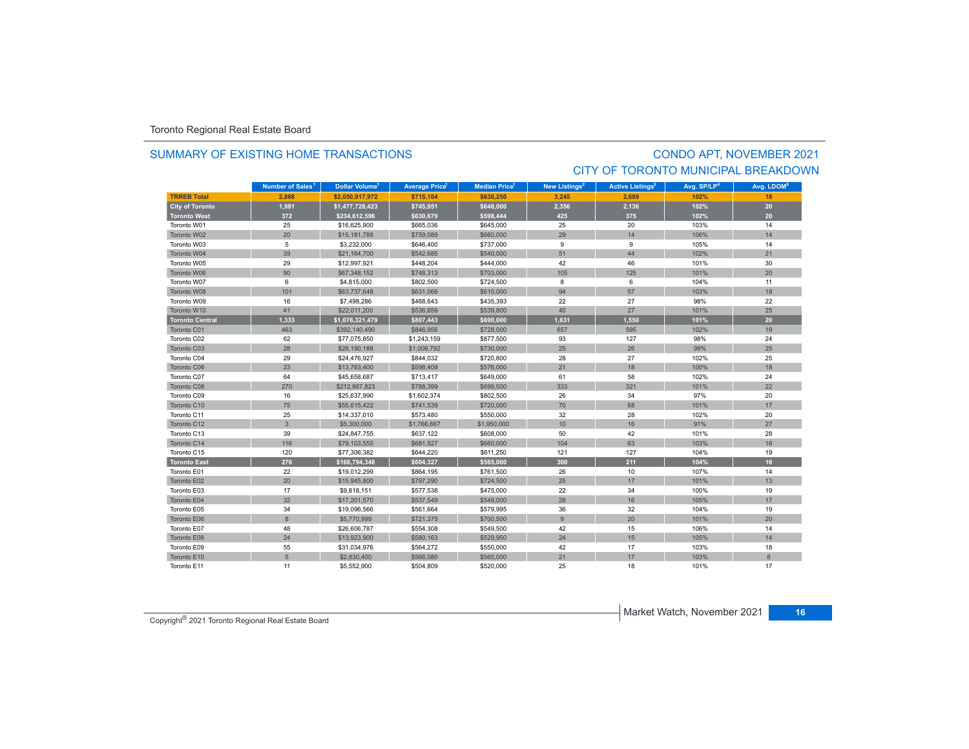### SUMMARY OF EXISTING HOME TRANSACTIONS

# CONDO APT, NOVEMBER 2021 CITY OF TORONTO MUNICIPAL BREAKDOWN

|                        | Number of Sales <sup>1</sup> | <b>Dollar Volume<sup>1</sup></b> | <b>Average Price</b> | <b>Median Price</b> <sup>1</sup> | <b>New Listings<sup>2</sup></b> | <b>Active Listings<sup>3</sup></b> | Avg. SP/LP <sup>4</sup> | Avg. LDOM <sup>5</sup> |
|------------------------|------------------------------|----------------------------------|----------------------|----------------------------------|---------------------------------|------------------------------------|-------------------------|------------------------|
| <b>TRREB Total</b>     | 2.868                        | \$2.050.917.972                  | \$715.104            | \$636.250                        | 3.245                           | 2.689                              | 102%                    | 18                     |
| <b>City of Toronto</b> | 1,981                        | \$1,477,728,423                  | \$745,951            | \$648,000                        | 2,356                           | 2,136                              | 102%                    | 20                     |
| <b>Toronto West</b>    | 372                          | \$234,612,596                    | \$630,679            | \$598,444                        | 425                             | 375                                | 102%                    | 20                     |
| Toronto W01            | 25                           | \$16,625,900                     | \$665,036            | \$645,000                        | 25                              | 20                                 | 103%                    | 14                     |
| Toronto W02            | 20                           | \$15,181,789                     | \$759,089            | \$660,000                        | 29                              | 14                                 | 106%                    | 14                     |
| Toronto W03            | 5                            | \$3,232,000                      | \$646,400            | \$737,000                        | 9                               | 9                                  | 105%                    | 14                     |
| Toronto W04            | 39                           | \$21,164,700                     | \$542,685            | \$540,000                        | 51                              | 44                                 | 102%                    | 21                     |
| Toronto W05            | 29                           | \$12,997,921                     | \$448,204            | \$444,000                        | 42                              | 46                                 | 101%                    | 30                     |
| Toronto W06            | 90                           | \$67,348,152                     | \$748,313            | \$703,000                        | 105                             | 125                                | 101%                    | 20                     |
| Toronto W07            | 6                            | \$4,815,000                      | \$802,500            | \$724,500                        | 8                               | 6                                  | 104%                    | 11                     |
| Toronto W08            | 101                          | \$63,737,648                     | \$631,066            | \$610,000                        | 94                              | 57                                 | 103%                    | 18                     |
| Toronto W09            | 16                           | \$7,498,286                      | \$468,643            | \$435,393                        | 22                              | 27                                 | 98%                     | 22                     |
| Toronto W10            | 41                           | \$22,011,200                     | \$536,859            | \$539,800                        | 40                              | 27                                 | 101%                    | 25                     |
| <b>Toronto Central</b> | 1,333                        | \$1,076,321,479                  | \$807,443            | \$690,000                        | 1,631                           | 1,550                              | 101%                    | 20                     |
| Toronto C01            | 463                          | \$392,140,490                    | \$846.956            | \$728,000                        | 657                             | 595                                | 102%                    | 19                     |
| Toronto C02            | 62                           | \$77,075,850                     | \$1,243,159          | \$877,500                        | 93                              | 127                                | 98%                     | 24                     |
| Toronto C03            | 28                           | \$28,190,188                     | \$1,006,792          | \$730,000                        | 25                              | 26                                 | 99%                     | 25                     |
| Toronto C04            | 29                           | \$24,476,927                     | \$844,032            | \$720,800                        | 28                              | 27                                 | 102%                    | 25                     |
| Toronto C06            | 23                           | \$13,763,400                     | \$598,409            | \$576,000                        | 21                              | 18                                 | 100%                    | 18                     |
| Toronto C07            | 64                           | \$45,658,687                     | \$713,417            | \$649,000                        | 61                              | 58                                 | 102%                    | 24                     |
| Toronto C08            | 270                          | \$212,867,823                    | \$788,399            | \$699,500                        | 333                             | 321                                | 101%                    | 22                     |
| Toronto C09            | 16                           | \$25,637,990                     | \$1,602,374          | \$802,500                        | 26                              | 34                                 | 97%                     | 20                     |
| Toronto C10            | 75                           | \$55.615.422                     | \$741,539            | \$720,000                        | 70                              | 68                                 | 101%                    | 17                     |
| Toronto C11            | 25                           | \$14,337,010                     | \$573,480            | \$550,000                        | 32                              | 28                                 | 102%                    | 20                     |
| Toronto C12            | $\mathbf{3}$                 | \$5,300,000                      | \$1,766,667          | \$1,950,000                      | 10                              | 16                                 | 91%                     | 27                     |
| Toronto C13            | 39                           | \$24,847,755                     | \$637,122            | \$608,000                        | 50                              | 42                                 | 101%                    | 28                     |
| Toronto C14            | 116                          | \$79,103,555                     | \$681,927            | \$660,000                        | 104                             | 63                                 | 103%                    | 16                     |
| Toronto C15            | 120                          | \$77,306,382                     | \$644,220            | \$611,250                        | 121                             | 127                                | 104%                    | 19                     |
| <b>Toronto East</b>    | 276                          | \$166,794,348                    | \$604,327            | \$565,000                        | 300                             | 211                                | 104%                    | 16                     |
| Toronto E01            | 22                           | \$19,012,299                     | \$864,195            | \$761,500                        | 26                              | 10                                 | 107%                    | 14                     |
| Toronto E02            | 20                           | \$15,945,800                     | \$797,290            | \$724,500                        | 25                              | 17                                 | 101%                    | 13                     |
| Toronto E03            | 17                           | \$9,818,151                      | \$577,538            | \$475,000                        | 22                              | 34                                 | 100%                    | 19                     |
| Toronto E04            | 32                           | \$17,201,570                     | \$537,549            | \$549,000                        | 28                              | 16                                 | 105%                    | 17                     |
| Toronto E05            | 34                           | \$19,096,566                     | \$561,664            | \$579,995                        | 36                              | 32                                 | 104%                    | 19                     |
| Toronto E06            | 8                            | \$5,770,999                      | \$721,375            | \$700,500                        | 9                               | 20                                 | 101%                    | 20                     |
| Toronto E07            | 48                           | \$26,606,787                     | \$554,308            | \$549,500                        | 42                              | 15                                 | 106%                    | 14                     |
| Toronto E08            | 24                           | \$13,923,900                     | \$580,163            | \$529,950                        | 24                              | 15                                 | 105%                    | 14                     |
| Toronto E09            | 55                           | \$31,034,976                     | \$564,272            | \$550,000                        | 42                              | 17                                 | 103%                    | 18                     |
| Toronto E10            | 5                            | \$2,830,400                      | \$566,080            | \$565,000                        | 21                              | 17                                 | 103%                    | $\mathbf{8}$           |
| Toronto E11            | 11                           | \$5,552,900                      | \$504,809            | \$520,000                        | 25                              | 18                                 | 101%                    | 17                     |

Copyright® 2021 Toronto Regional Real Estate Board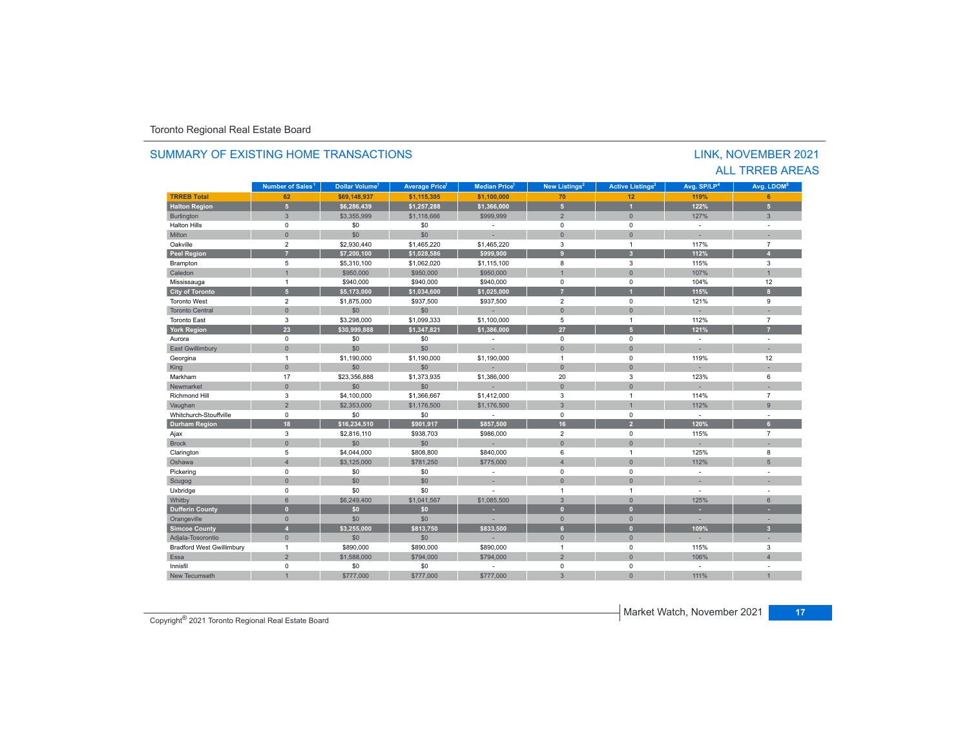|                                  |                                |                                  |                                  |                     |                                |                                    |                         | <b>ALL TRREB AREAS</b>         |
|----------------------------------|--------------------------------|----------------------------------|----------------------------------|---------------------|--------------------------------|------------------------------------|-------------------------|--------------------------------|
|                                  | Number of Sales <sup>1</sup>   | <b>Dollar Volume<sup>1</sup></b> | <b>Average Price<sup>1</sup></b> | <b>Median Price</b> | New Listings <sup>2</sup>      | <b>Active Listings<sup>3</sup></b> | Avg. SP/LP <sup>4</sup> | Avg. LDOM <sup>5</sup>         |
| <b>TRREB Total</b>               | 62                             | \$69.148.937                     | \$1.115.305                      | \$1,100,000         | 70                             | 12                                 | 119%                    | 6                              |
| <b>Halton Region</b>             | 5 <sup>1</sup>                 | \$6.286.439                      | \$1.257.288                      | \$1.366.000         | 5 <sub>1</sub>                 | $\overline{1}$                     | 122%                    | 5 <sup>1</sup>                 |
| Burlington                       | 3                              | \$3.355.999                      | \$1,118,666                      | \$999.999           | $\overline{2}$                 | $\mathbf{0}$                       | 127%                    | 3                              |
| <b>Halton Hills</b>              | $\mathbf 0$                    | \$0                              | \$0                              |                     | $\Omega$                       | $\mathbf 0$                        | $\sim$                  | ÷                              |
| Milton                           | $\mathbf{0}$                   | \$0                              | \$0                              |                     | $\overline{0}$                 | $\Omega$                           |                         |                                |
| Oakville                         | $\overline{2}$                 | \$2,930.440                      | \$1,465,220                      | \$1,465,220         | 3                              | $\mathbf{1}$                       | 117%                    | $\overline{7}$                 |
| <b>Peel Region</b>               | $\overline{7}$                 | \$7.200.100                      | \$1.028.586                      | \$999.900           | $\overline{9}$                 | $\overline{\mathbf{3}}$            | 112%                    | $\overline{A}$                 |
| Brampton                         | 5                              | \$5,310,100                      | \$1,062,020                      | \$1,115,100         | 8                              | 3                                  | 115%                    | 3                              |
| Caledon                          | $\overline{1}$                 | \$950,000                        | \$950,000                        | \$950,000           |                                | $\mathbf{0}$                       | 107%                    | $\mathbf{1}$                   |
| Mississauga                      | $\mathbf{1}$                   | \$940,000                        | \$940,000                        | \$940,000           | $\mathbf 0$                    | $\mathbf 0$                        | 104%                    | 12                             |
| <b>City of Toronto</b>           | 5 <sup>5</sup>                 | \$5,173,000                      | \$1,034,600                      | \$1,025,000         | 7                              | и                                  | 115%                    | 8 <sup>2</sup>                 |
| <b>Toronto West</b>              | $\overline{2}$                 | \$1,875,000                      | \$937,500                        | \$937,500           | $\overline{2}$                 | $\mathbf 0$                        | 121%                    | 9                              |
| <b>Toronto Central</b>           | $\Omega$                       | \$0                              | \$0                              |                     | $\Omega$                       | $\Omega$                           |                         |                                |
| <b>Toronto East</b>              | 3                              | \$3,298,000                      | \$1,099.333                      | \$1,100,000         | 5                              | $\mathbf{1}$                       | 112%                    | $\overline{7}$                 |
| <b>York Region</b>               | 23                             | \$30,999,888                     | \$1,347,821                      | \$1,386,000         | 27                             | 5 <sub>1</sub>                     | 121%                    | $\overline{7}$                 |
| Aurora                           | $\mathbf 0$                    | \$0                              | \$0                              | $\sim$              | $\mathbf 0$                    | $\mathbf 0$                        | $\sim$                  | $\sim$                         |
| East Gwillimbury                 | $\mathbf{0}$                   | \$0                              | \$0                              |                     | $\mathbf{0}$                   | $\mathbf{0}$                       | ٠                       | ×.                             |
| Georgina                         | $\mathbf{1}$                   | \$1,190,000                      | \$1,190,000                      | \$1,190,000         | $\overline{1}$                 | $\mathbf 0$                        | 119%                    | 12                             |
| King                             | $\mathbf{0}$                   | \$0                              | \$0                              |                     | $\mathbf{0}$                   | $\mathbf{0}$                       |                         |                                |
| Markham                          | 17                             | \$23,356,888                     | \$1,373,935                      | \$1,386,000         | 20                             | $\mathbf{3}$                       | 123%                    | 6                              |
| Newmarket                        | $\Omega$                       | \$0                              | \$0                              |                     | $\Omega$                       | $\Omega$                           |                         |                                |
| <b>Richmond Hill</b>             | 3                              | \$4,100,000                      | \$1,366,667                      | \$1,412,000         | 3                              | $\mathbf{1}$                       | 114%                    | $\overline{7}$                 |
| Vaughan                          | $\overline{2}$                 | \$2,353,000                      | \$1,176,500                      | \$1,176,500         | 3                              |                                    | 112%                    | $\overline{9}$                 |
| Whitchurch-Stouffville           | $\mathbf 0$                    | \$0                              | \$0                              | $\sim$              | $\mathbf 0$                    | $\mathbf 0$                        | $\sim$                  | $\mathbf{r}$                   |
| <b>Durham Region</b>             | 18                             | \$16.234.510                     | \$901.917                        | \$857.500           | 16                             | $\overline{2}$                     | 120%                    | 6 <sup>1</sup>                 |
| Ajax                             | 3                              | \$2,816,110                      | \$938,703                        | \$986,000           | $\overline{2}$                 | $\mathbf 0$                        | 115%                    | $\overline{7}$                 |
| <b>Brock</b>                     | $\mathbf{0}$                   | \$0                              | \$0                              |                     | $\Omega$                       | $\Omega$                           |                         |                                |
| Clarington                       | 5                              | \$4,044,000                      | \$808,800                        | \$840,000           | 6                              | $\mathbf{1}$                       | 125%                    | 8                              |
| Oshawa                           | $\overline{4}$                 | \$3,125,000                      | \$781,250                        | \$775,000           | $\overline{4}$                 | $\Omega$                           | 112%                    | 5                              |
| Pickering                        | $\mathbf 0$                    | \$0                              | \$0                              | $\sim$              | $\mathbf 0$                    | $\mathbf 0$                        | $\sim$                  | ÷                              |
| Scugog                           | $\mathbf{0}$                   | \$0                              | \$0                              | u.                  | $\Omega$                       | $\Omega$                           | ×.                      | ×.                             |
| Uxbridge                         | $\mathbf 0$                    | \$0                              | \$0                              |                     | $\overline{1}$                 | $\mathbf{1}$                       | ÷                       | $\sim$                         |
| Whitby                           | 6                              | \$6,249,400                      | \$1,041.567                      | \$1,085,500         | $\overline{3}$                 | $\mathbf{0}$                       | 125%                    | 6                              |
|                                  | $\mathbf{0}$                   | \$0                              | \$0                              |                     | $\overline{0}$                 | $\mathbf{0}$                       |                         |                                |
| <b>Dufferin County</b>           |                                |                                  |                                  |                     |                                |                                    | ×.                      |                                |
| Orangeville                      | $\mathbf{0}$<br>$\overline{4}$ | \$0<br>\$3.255.000               | \$0                              |                     | $\mathbf{0}$<br>6 <sup>1</sup> | $\mathbf{0}$<br>$\mathbf{0}$       | 109%                    | ÷.<br>3 <sup>1</sup>           |
| <b>Simcoe County</b>             |                                |                                  | \$813,750                        | \$833,500           |                                |                                    |                         |                                |
| Adjala-Tosorontio                | $\mathbf{0}$                   | \$0                              | \$0                              |                     | $\mathbf{0}$                   | $\mathbf{0}$                       | ×.                      | ×.                             |
| <b>Bradford West Gwillimbury</b> | $\mathbf{1}$                   | \$890,000                        | \$890,000                        | \$890,000           | $\mathbf{1}$                   | $\mathbf 0$                        | 115%                    | 3                              |
| Essa                             | $\overline{2}$                 | \$1,588,000                      | \$794,000                        | \$794,000           | $\overline{2}$                 | $\mathbf{0}$                       | 106%                    | $\overline{4}$                 |
| Innisfil<br>New Tecumseth        | $\mathbf 0$                    | \$0<br>\$777,000                 | \$0<br>\$777,000                 | \$777,000           | 0<br>3                         | $\mathbf 0$<br>$\Omega$            | $\overline{a}$<br>111%  | $\overline{a}$<br>$\mathbf{1}$ |

# SUMMARY OF EXISTING HOME TRANSACTIONS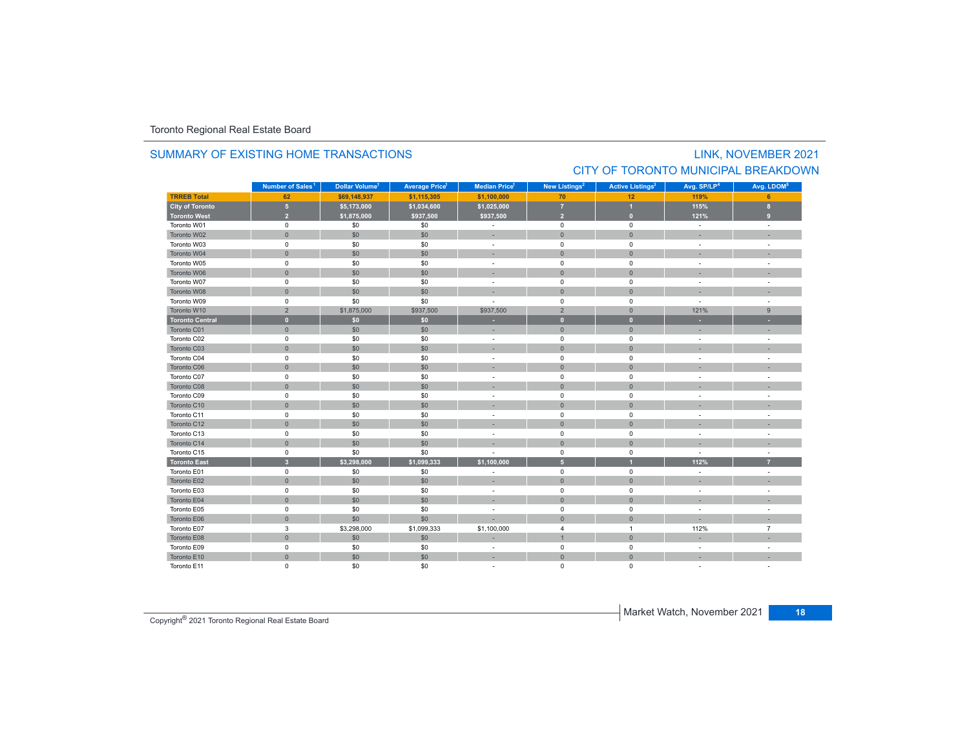### SUMMARY OF EXISTING HOME TRANSACTIONS

# LINK, NOVEMBER 2021 CITY OF TORONTO MUNICIPAL BREAKDOWN

|                        | Number of Sales <sup>1</sup> | Dollar Volume <sup>1</sup> | <b>Average Price</b> | <b>Median Price</b> <sup>1</sup> | New Listings <sup>2</sup> | <b>Active Listings<sup>3</sup></b> | Avg. SP/LP <sup>4</sup>  | Avg. LDOM <sup>5</sup> |
|------------------------|------------------------------|----------------------------|----------------------|----------------------------------|---------------------------|------------------------------------|--------------------------|------------------------|
| <b>TRREB Total</b>     | 62                           | \$69,148,937               | \$1,115,305          | \$1,100,000                      | 70                        | 12                                 | 119%                     | 6                      |
| <b>City of Toronto</b> | $5\phantom{.0}$              | \$5,173,000                | \$1,034,600          | \$1,025,000                      | $\overline{7}$            | $\overline{1}$                     | 115%                     | $\mathbf{8}$           |
| <b>Toronto West</b>    | $\overline{2}$               | \$1,875,000                | \$937,500            | \$937,500                        | $\overline{2}$            | $\mathbf{0}$                       | 121%                     | $\overline{9}$         |
| Toronto W01            | $\mathsf 0$                  | \$0                        | \$0                  | $\sim$                           | $\pmb{0}$                 | $\mathbf 0$                        | $\sim$                   | $\sim$                 |
| Toronto W02            | $\mathsf{O}\xspace$          | \$0                        | \$0                  |                                  | $\mathbf{0}$              | $\mathbf{0}$                       |                          |                        |
| Toronto W03            | $\mathsf 0$                  | \$0                        | \$0                  | $\overline{\phantom{a}}$         | $\mathbf 0$               | $\mathbf 0$                        | $\overline{\phantom{a}}$ |                        |
| Toronto W04            | $\mathsf{O}\xspace$          | \$0                        | \$0                  |                                  | $\mathbf{0}$              | $\mathbf{0}$                       |                          |                        |
| Toronto W05            | $\pmb{0}$                    | \$0                        | \$0                  | $\sim$                           | $\mathsf 0$               | $\mathsf 0$                        |                          |                        |
| Toronto W06            | $\mathsf{O}\xspace$          | \$0                        | \$0                  |                                  | $\overline{0}$            | $\mathbf{0}$                       |                          |                        |
| Toronto W07            | $\mathsf 0$                  | \$0                        | \$0                  | $\sim$                           | $\mathbf 0$               | $\mathbf 0$                        | $\sim$                   | ÷                      |
| Toronto W08            | $\mathbf{0}$                 | \$0                        | \$0                  |                                  | $\mathbf 0$               | $\mathbf{0}$                       |                          |                        |
| Toronto W09            | $\mathsf 0$                  | \$0                        | \$0                  |                                  | $\mathbf 0$               | $\mathbf 0$                        | $\sim$                   | ÷.                     |
| Toronto W10            | $\overline{2}$               | \$1,875,000                | \$937,500            | \$937,500                        | $\overline{2}$            | $\mathbf{0}$                       | 121%                     | 9                      |
| <b>Toronto Central</b> | $\mathbf{0}$                 | \$0\$                      | \$0                  |                                  | $\mathbf{0}$              | $\mathbf{0}$                       |                          |                        |
| Toronto C01            | $\mathbf{0}$                 | \$0                        | \$0                  |                                  | $\mathbf{0}$              | $\overline{0}$                     |                          |                        |
| Toronto C02            | $\mathsf 0$                  | \$0                        | \$0                  | $\sim$                           | $\mathbf 0$               | 0                                  | $\sim$                   |                        |
| Toronto C03            | $\mathbf{0}$                 | \$0                        | \$0                  |                                  | $\mathbf{0}$              | $\mathbf{0}$                       |                          |                        |
| Toronto C04            | $\mathsf 0$                  | \$0                        | \$0                  |                                  | $\mathbf 0$               | $\mathbf 0$                        |                          |                        |
| Toronto C06            | $\mathbf{0}$                 | \$0                        | \$0                  |                                  | $\mathbf 0$               | $\mathbf 0$                        |                          |                        |
| Toronto C07            | $\mathsf 0$                  | \$0                        | \$0                  |                                  | $\pmb{0}$                 | $\mathbf 0$                        |                          |                        |
| Toronto C08            | $\mathbf{0}$                 | \$0                        | \$0                  |                                  | $\overline{0}$            | $\mathbf{0}$                       |                          |                        |
| Toronto C09            | $\mathsf 0$                  | \$0                        | \$0                  |                                  | $\mathbf 0$               | $\mathbf 0$                        |                          | $\sim$                 |
| Toronto C10            | $\mathsf{O}\xspace$          | \$0                        | \$0                  |                                  | $\mathbf 0$               | $\mathbf{0}$                       |                          |                        |
| Toronto C11            | $\pmb{0}$                    | \$0                        | \$0                  |                                  | $\mathbf 0$               | $\mathbf 0$                        |                          |                        |
| Toronto C12            | $\mathbf{0}$                 | \$0                        | \$0                  |                                  | $\mathbf{0}$              | $\mathbf{0}$                       |                          |                        |
| Toronto C13            | $\mathsf 0$                  | \$0                        | \$0                  | $\sim$                           | $\mathsf 0$               | $\mathbf 0$                        | $\sim$                   |                        |
| Toronto C14            | $\mathbf{0}$                 | \$0                        | \$0                  |                                  | $\mathbf 0$               | $\mathbf 0$                        |                          |                        |
| Toronto C15            | $\mathsf 0$                  | \$0                        | \$0                  |                                  | $\mathsf 0$               | $\pmb{0}$                          |                          | ä,                     |
| <b>Toronto East</b>    | $\overline{\mathbf{3}}$      | \$3,298,000                | \$1,099,333          | \$1,100,000                      | $\overline{5}$            |                                    | 112%                     | $\overline{7}$         |
| Toronto E01            | $\mathsf 0$                  | \$0                        | \$0                  |                                  | $\pmb{0}$                 | 0                                  |                          |                        |
| Toronto E02            | $\mathbf{0}$                 | \$0                        | \$0                  |                                  | $\mathbf{0}$              | $\mathbf{0}$                       |                          |                        |
| Toronto E03            | $\mathsf 0$                  | \$0                        | \$0                  |                                  | $\mathbf 0$               | $\mathbf 0$                        |                          |                        |
| Toronto E04            | $\mathbf{0}$                 | \$0                        | \$0                  |                                  | $\mathbf{0}$              | $\bullet$                          |                          |                        |
| Toronto E05            | $\pmb{0}$                    | \$0                        | \$0                  |                                  | $\mathsf 0$               | $\mathsf 0$                        |                          |                        |
| Toronto E06            | $\mathbf{0}$                 | \$0                        | \$0                  |                                  | $\mathbf{0}$              | $\mathbf 0$                        |                          |                        |
| Toronto E07            | 3                            | \$3,298,000                | \$1,099,333          | \$1,100,000                      | $\overline{4}$            | $\overline{1}$                     | 112%                     | $\overline{7}$         |
| Toronto E08            | $\mathbf{0}$                 | \$0                        | \$0                  |                                  | $\mathbf{1}$              | $\mathbf{0}$                       |                          |                        |
| Toronto E09            | $\mathsf 0$                  | \$0                        | \$0                  | $\sim$                           | $\mathbf 0$               | $\mathbf 0$                        | $\sim$                   |                        |
| Toronto E10            | $\mathsf{O}\xspace$          | \$0                        | \$0                  | $\sim$                           | $\mathbf{0}$              | $\mathbf{0}$                       |                          |                        |
| Toronto E11            | $\mathbf 0$                  | \$0                        | \$0                  |                                  | $\mathbf 0$               | 0                                  |                          |                        |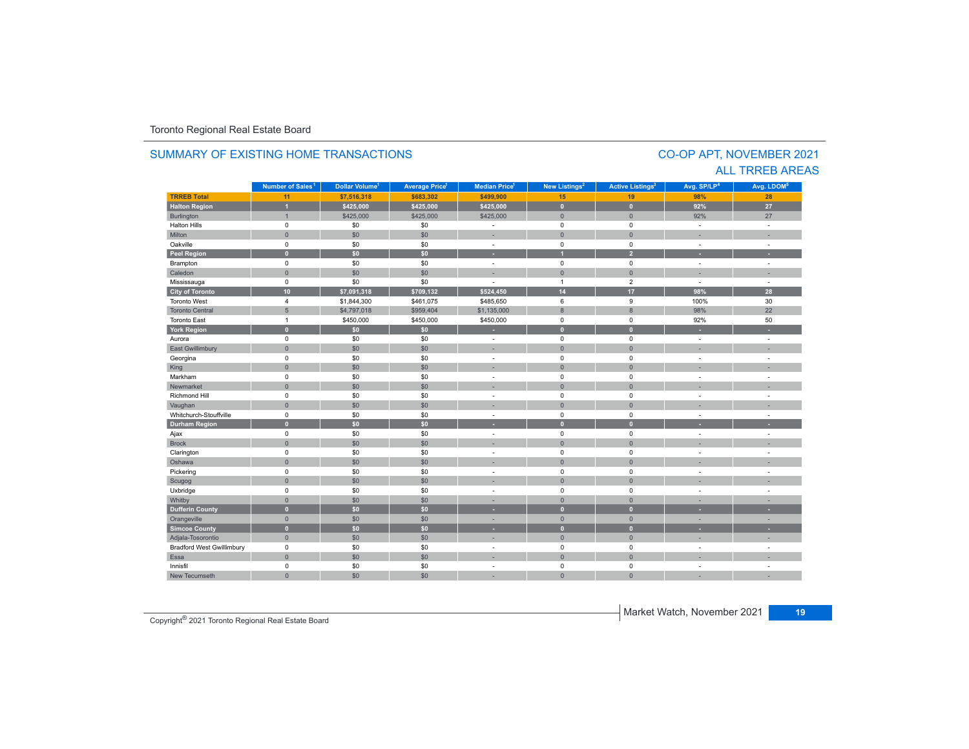#### **TRREB Total 11 \$7,516,318 \$683,302 \$499,900 15 19 98% 28 Halton Region 1 \$425,000 \$425,000 \$425,000 0 0 92% 27** Burlington 1 - 1 \$425,000 \$425,000 \$425,000 \$425,000 \$425,000 \$ 0 0 0 0 92% 27 Halton Hills 0 \$0 \$0 - 0 0 - - Miltonn 1980 - 1991 - 1992 - 1993 - 1994 - 1994 - 1995 - 1996 - 1997 - 1998 - 1999 - 1999 - 1999 - 1999 - 1999 - 199 Oakville<br>Peel Region e 0 \$0 \$0 - 0 0 - -**Peel Region 0 \$0 \$0 - 1 2 - -** Brampton 0 \$0 \$0 - 0 0 - - Caledonn 1980 - 1980 - 1980 - 1981 - 1981 - 1982 - 1983 - 1984 - 1986 - 1986 - 1987 - 1988 - 1988 - 1988 - 1988 - 198 Mississauga 0 \$0 \$0 - 1 2 - - **City of Toronto 10 \$7,091,318 \$709,132 \$524,450 14 17 98% 28** Toronto West 4 \$1,844,300 \$461,075 \$485,650 6 9 100%100% 30<br>98% 22 Toronto Central 5 \$4,797,018 \$959,404 \$1,135,000 8 8 98% 22 Toronto Eastt 1 \$450,000 \$450,000 \$450,000 0 0 92%92% 50 **York Region 0 \$0 \$0 - 0 0 - -** Aurora 0 \$0 \$0 - 0 0 - - East Gwillimbury 0 \$0 \$0 - 0 0 - - Georgina 0 \$0 \$0 - 0 0 - - King the second term of the second term of the second term of the second term of the second term of the second Markham 0 \$0 \$0 - 0 0 - - Newmarket 0 \$0 \$0 - 0 0 - - Richmond Hill 0 \$0 \$0 - 0 0 - - Vaughan 1980 (1980) (1980) (1980) (1980) (1980) (1980) (1980) (1980) (1980) (1980) (1980) (1980) (1980) (1980) Whitchurch-Stouffvillee 0 \$0 \$0 - 0 0 - -**Durham Region 0 \$0 \$0 - 0 0 - -** Ajax 0 \$0 \$0 - 0 0 - - Brock 0 \$0 \$0 - 0 0 - - Clarington 0 \$0 \$0 - 0 0 - - Oshawaa dia 1980 - Aniso ao amin'ny faritr'i Nouvelle-Aquitaine, ao amin'ny faritr'i Nouvelle-Aquitaine, ao amin'ny المال المسابق التي يقوم المسابق التي يقوم التي يقوم التي يقوم التي يقوم التي تعالى التي يقوم التي تعالى التي ي<br>التي يقوم التي يقوم التي يقوم التي يقوم التي يقوم التي يقوم التي يقوم التي يقوم التي يقوم التي يقوم التي يقوم Scugog 0 \$0 \$0 - 0 0 - - Uxbridge 0 \$0 \$0 - 0 0 - - Whitby 0 \$0 \$0 - 0 0 - - **Dufferin County 0 \$0 \$0 - 0 0 - -** Orangeville 0 \$0 \$0 - 0 0 - - **Simcoe County 0 \$0 \$0 - 0 0 - -** Adjala-Tosorontio 0 \$0 \$0 - 0 0 - - Bradford West Gwillimbury 0 \$0 \$0 - 0 0 - - Essaa dia 1980 - Aniso ao amin'ny faritr'i Nouvelle-Aquitaine, ao amin'ny faritr'i Nouvelle-Aquitaine, ao amin'ny Innisfil 0 \$0 \$0 - 0 0 - - New Tecumseth 0 \$0 \$0 - 0 0 - - **Municipality Number of Sales Dollar Volume Average Price Median Price New Listings Active Listings Avg. SP/LP Avg. LDOM Number of Sales<sup>1</sup> 1 1 1 2 3 4 5**

### SUMMARY OF EXISTING HOME TRANSACTIONS

### CO-OP APT, NOVEMBER 2021 ALL TRREB AREAS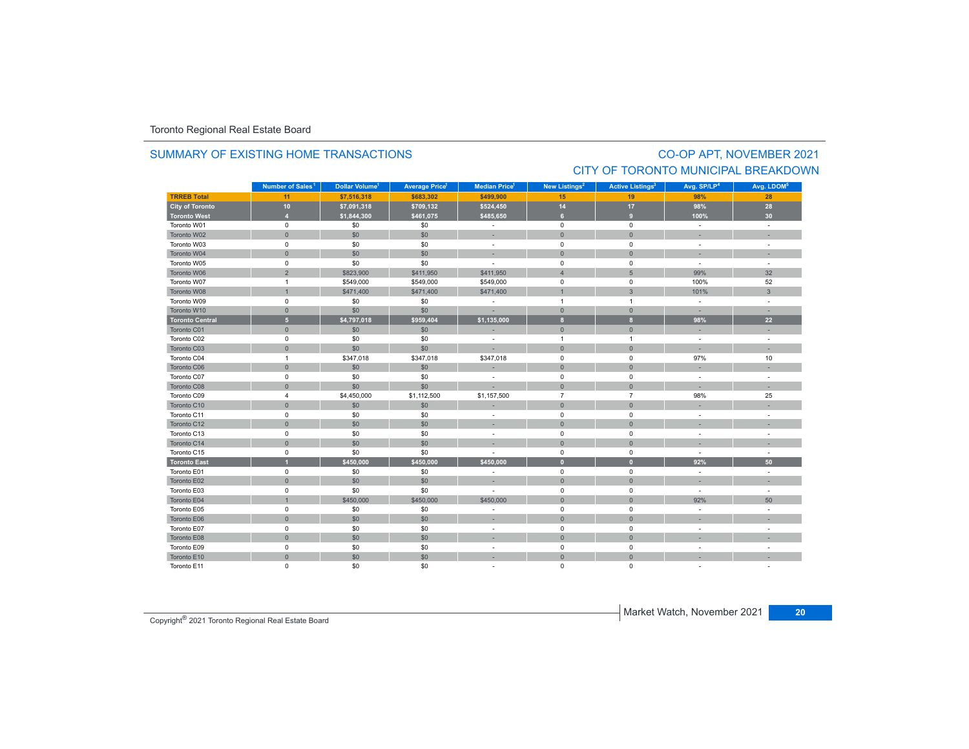### SUMMARY OF EXISTING HOME TRANSACTIONS

# CO-OP APT, NOVEMBER 2021 CITY OF TORONTO MUNICIPAL BREAKDOWN

|                        | Number of Sales <sup>1</sup> | Dollar Volume <sup>1</sup> | <b>Average Price<sup>1</sup></b> | <b>Median Price</b> <sup>1</sup> | New Listings <sup>2</sup> | <b>Active Listings<sup>3</sup></b> | Avg. SP/LP <sup>4</sup>  | Avg. LDOM <sup>5</sup> |
|------------------------|------------------------------|----------------------------|----------------------------------|----------------------------------|---------------------------|------------------------------------|--------------------------|------------------------|
| <b>TRREB Total</b>     | 11                           | \$7,516,318                | \$683,302                        | \$499,900                        | 15                        | 19                                 | 98%                      | 28                     |
| <b>City of Toronto</b> | 10                           | \$7,091,318                | \$709,132                        | \$524,450                        | 14                        | 17                                 | 98%                      | 28                     |
| <b>Toronto West</b>    | $\overline{4}$               | \$1,844,300                | \$461,075                        | \$485,650                        | 6                         | 9 <sup>°</sup>                     | 100%                     | 30 <sub>o</sub>        |
| Toronto W01            | $\mathsf 0$                  | \$0                        | \$0                              | $\mathcal{L}_{\mathcal{A}}$      | $\mathbf 0$               | $\mathbf 0$                        | $\sim$                   | ÷.                     |
| Toronto W02            | $\mathsf{O}\xspace$          | \$0                        | \$0                              | ×,                               | $\mathbf{0}$              | $\mathbf{0}$                       | ×.                       |                        |
| Toronto W03            | $^{\circ}$                   | \$0                        | \$0                              | $\sim$                           | $^{\circ}$                | 0                                  | $\sim$                   | ÷.                     |
| Toronto W04            | $\Omega$                     | \$0                        | \$0                              | ٠                                | $\Omega$                  | $\Omega$                           |                          |                        |
| Toronto W05            | $\mathsf 0$                  | \$0                        | \$0                              | ٠                                | $\mathsf 0$               | 0                                  | ÷                        |                        |
| Toronto W06            | $\overline{2}$               | \$823,900                  | \$411,950                        | \$411,950                        | $\overline{4}$            | $5\phantom{.}$                     | 99%                      | 32                     |
| Toronto W07            | $\overline{1}$               | \$549,000                  | \$549,000                        | \$549,000                        | $^{\circ}$                | $\mathbf 0$                        | 100%                     | 52                     |
| Toronto W08            | $\mathbf{1}$                 | \$471,400                  | \$471,400                        | \$471,400                        | $\overline{1}$            | $\mathbf{3}$                       | 101%                     | $\mathbf{3}$           |
| Toronto W09            | $\mathsf 0$                  | \$0                        | \$0                              | $\overline{\phantom{a}}$         | $\overline{1}$            | $\mathbf{1}$                       | $\sim$                   | ÷.                     |
| Toronto W10            | $\mathsf{O}$                 | \$0                        | \$0                              | ×.                               | $\mathbf 0$               | $\pmb{0}$                          | $\sim$                   | ÷                      |
| <b>Toronto Central</b> | $\overline{5}$               | \$4,797,018                | \$959,404                        | \$1,135,000                      | $\mathbf{8}$              | $\mathbf{8}$                       | 98%                      | 22                     |
| Toronto C01            | $\mathbf{0}$                 | \$0                        | \$0                              | ×,                               | $\overline{0}$            | $\mathbf{0}$                       | ٠                        | ÷.                     |
| Toronto C02            | $\mathsf 0$                  | \$0                        | \$0                              | ÷.                               | $\overline{1}$            | 1                                  | $\sim$                   | ÷.                     |
| Toronto C03            | $\mathsf{O}$                 | \$0                        | \$0                              |                                  | $\mathbf{0}$              | $\overline{0}$                     |                          | ÷                      |
| Toronto C04            | $\overline{1}$               | \$347,018                  | \$347,018                        | \$347,018                        | $\mathsf 0$               | $\mathsf 0$                        | 97%                      | 10                     |
| Toronto C06            | $\mathbf{0}$                 | \$0                        | \$0                              | ÷                                | $\mathbf 0$               | $\overline{0}$                     | ÷.                       | ÷.                     |
| Toronto C07            | $\mathbf 0$                  | \$0                        | \$0                              | $\overline{\phantom{a}}$         | $\mathbf 0$               | $\mathbf 0$                        | $\overline{\phantom{a}}$ | ÷.                     |
| Toronto C08            | $\mathbf{0}$                 | \$0                        | \$0                              | ×,                               | $\mathbf{0}$              | $\overline{0}$                     | ×.                       | $\sim$                 |
| Toronto C09            | $\overline{4}$               | \$4,450,000                | \$1,112,500                      | \$1,157,500                      | $\overline{7}$            | $\overline{7}$                     | 98%                      | 25                     |
| Toronto C10            | $\mathbf{0}$                 | \$0                        | \$0                              | ۰                                | $\overline{0}$            | $\overline{0}$                     |                          |                        |
| Toronto C11            | $\mathsf 0$                  | \$0                        | \$0                              | $\overline{\phantom{a}}$         | $\mathsf 0$               | $\mathsf 0$                        |                          |                        |
| Toronto C12            | $\mathsf{O}\xspace$          | \$0                        | \$0                              |                                  | $\overline{0}$            | $\overline{0}$                     |                          |                        |
| Toronto C13            | $\mathbf 0$                  | \$0                        | \$0                              | $\sim$                           | $\mathbf 0$               | $\mathbf 0$                        | $\sim$                   | ÷,                     |
| Toronto C14            | $\mathbf{0}$                 | \$0                        | \$0                              |                                  | $\mathbf{0}$              | $\mathbf{0}$                       |                          |                        |
| Toronto C15            | 0                            | \$0                        | \$0                              |                                  | $\mathbf 0$               | $\mathbf 0$                        | $\sim$                   | ÷.                     |
| <b>Toronto East</b>    | п                            | \$450,000                  | \$450,000                        | \$450,000                        | $\Omega$                  | $\mathbf{0}$                       | 92%                      | 50                     |
| Toronto E01            | $\mathbf 0$                  | \$0                        | \$0                              | ä,                               | $\mathbf 0$               | $\mathbf 0$                        | $\mathcal{L}$            | ÷,                     |
| Toronto E02            | $\mathbf{0}$                 | \$0                        | \$0                              | ٠                                | $\mathbf{0}$              | $\Omega$                           | ٠                        | ٠                      |
| Toronto E03            | $\mathsf 0$                  | \$0                        | \$0                              | ٠                                | $\mathbf 0$               | $\mathbf 0$                        | $\sim$                   | ÷.                     |
| Toronto E04            | $\overline{1}$               | \$450,000                  | \$450,000                        | \$450,000                        | $\mathbf{0}$              | $\overline{0}$                     | 92%                      | 50                     |
| Toronto E05            | $\mathsf 0$                  | \$0                        | \$0                              | ٠                                | $\mathsf 0$               | $\mathbf 0$                        | ÷                        |                        |
| Toronto E06            | $\mathbf{0}$                 | \$0                        | \$0                              | ۰                                | $\overline{0}$            | $\overline{0}$                     |                          |                        |
| Toronto E07            | $\mathsf 0$                  | \$0                        | \$0                              | $\overline{\phantom{a}}$         | $\mathbf 0$               | $\mathbf 0$                        | $\overline{\phantom{a}}$ | ÷.                     |
| Toronto E08            | $\mathbf{0}$                 | \$0                        | \$0                              |                                  | $\mathbf 0$               | $\overline{0}$                     |                          |                        |
| Toronto E09            | $\mathsf 0$                  | \$0                        | \$0                              | ÷.                               | $\mathbf 0$               | $\mathbf 0$                        | ÷                        |                        |
| Toronto E10            | $\mathsf{O}\xspace$          | \$0                        | \$0                              | ×                                | $\overline{0}$            | $\overline{0}$                     |                          |                        |
| Toronto E11            | $\mathbf 0$                  | \$0                        | \$0                              |                                  | 0                         | 0                                  |                          |                        |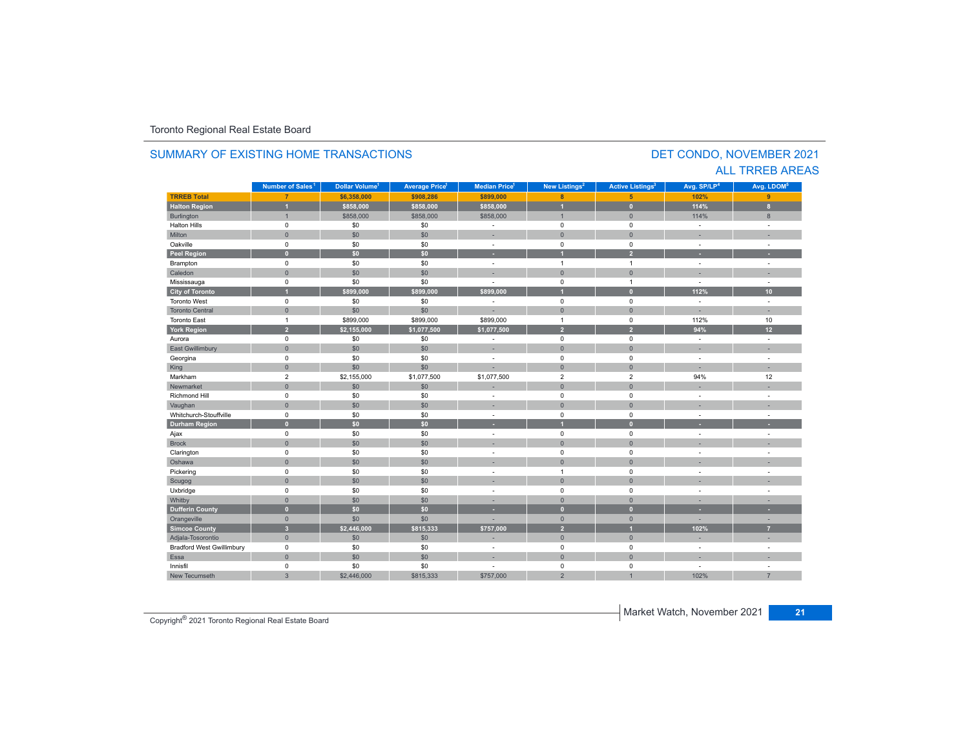#### **TRREB Total 7 \$6,358,000 \$908,286 \$899,000 8 5 102% 9 Halton Region 1 \$858,000 \$858,000 \$858,000 1 0 114% 8** Burlington 1 : 11 | \$858,000 | \$858,000 | \$858,000 | 1 | 0 | 114% | 8 Halton Hills 0 \$0 \$0 - 0 0 - - Miltonn 1980 - 1991 - 1992 - 1993 - 1994 - 1994 - 1995 - 1996 - 1997 - 1998 - 1999 - 1999 - 1999 - 1999 - 1999 - 199 Oakville<br>Peel Region e 0 \$0 \$0 - 0 0 - -**Peel Region 0 \$0 \$0 - 1 2 - -** Brampton 0 \$0 \$0 - 1 1 - - Caledonn 1980 - 1980 - 1980 - 1981 - 1981 - 1982 - 1983 - 1984 - 1986 - 1986 - 1987 - 1988 - 1988 - 1988 - 1988 - 198 Mississauga 0 \$0 \$0 - 0 1 - - **City of Toronto 1 \$899,000 \$899,000 \$899,000 1 0 112% 10** Toronto West 0 \$0 \$0 - 0 0 - - Toronto Central 0 \$0 \$0 - 0 0 - - Toronto Eastt 1 \$899,000 \$899,000 \$899,000 1 0 112%112% 10 **York Region 2 \$2,155,000 \$1,077,500 \$1,077,500 2 2 94% 12** Aurora 0 \$0 \$0 - 0 0 - - East Gwillimbury 0 \$0 \$0 - 0 0 - - Georgina 0 \$0 \$0 - 0 0 - - King 0 \$0 \$0 - 0 0 - - Markham 2 \$2,155,000 \$1,077,500 \$1,077,500 2 2 94%94% 12 Newmarket 0 \$0 \$0 - 0 0 - - Richmond Hill 0 \$0 \$0 - 0 0 - - Vaughan 1980 (1980) (1980) (1980) (1980) (1980) (1980) (1980) (1980) (1980) (1980) (1980) (1980) (1980) (1980) Whitchurch-Stouffvillee 0 \$0 \$0 - 0 0 - -**Durham Region 0 \$0 \$0 - 1 0 - -** Ajax 0 \$0 \$0 - 0 0 - - Brock 0 \$0 \$0 - 0 0 - - Clarington 0 \$0 \$0 - 0 0 - - Oshawaa dia 1980 - Aniso ao amin'ny faritr'i Nouvelle-Aquitaine, ao amin'ny faritr'i Nouvelle-Aquitaine, ao amin'ny المال المسابق التي يتم التي يتم التي يتم التي يتم التي يتم التي يتم التي يتم التي يتم التي يتم التي يتم التي ي<br>التي يتم التي يتم التي يتم التي يتم التي يتم التي يتم التي يتم التي يتم التي يتم التي يتم التي يتم التي يتم ال Scugog 0 \$0 \$0 - 0 0 - - Uxbridge 0 \$0 \$0 - 0 0 - - Whitby 0 \$0 \$0 - 0 0 - - **Dufferin County 0 \$0 \$0 - 0 0 - -** Orangeville 0 \$0 \$0 - 0 0 - - **Simcoe County 3 \$2,446,000 \$815,333 \$757,000 2 1 102% 7** Adjala-Tosorontio 0 \$0 \$0 - 0 0 - - Bradford West Gwillimbury 0 \$0 \$0 - 0 0 - - Essaa dia 1980 - Aniso ao amin'ny faritr'i Nouvelle-Aquitaine, ao amin'ny faritr'i Nouvelle-Aquitaine, ao amin'ny Innisfil 0 \$0 \$0 - 0 0 - - New Tecumseth 3 \$2,446,000 \$815,333 \$757,000 2 1 102% 7 **Municipality Number of Sales Dollar Volume Average Price Median Price New Listings Active Listings Avg. SP/LP Avg. LDOM Number of Sales<sup>1</sup> 1** Dollar Volume<sup>1</sup> | Average Price<sup>1</sup> | Median Price<sup>1</sup> | New Listings<sup>2</sup> | Active Listings<sup>3</sup> | Avg. SP/LP<sup>4</sup> | Avg. LDOM<sup>5</sup>

### SUMMARY OF EXISTING HOME TRANSACTIONS

### DET CONDO, NOVEMBER 2021 ALL TRREB AREAS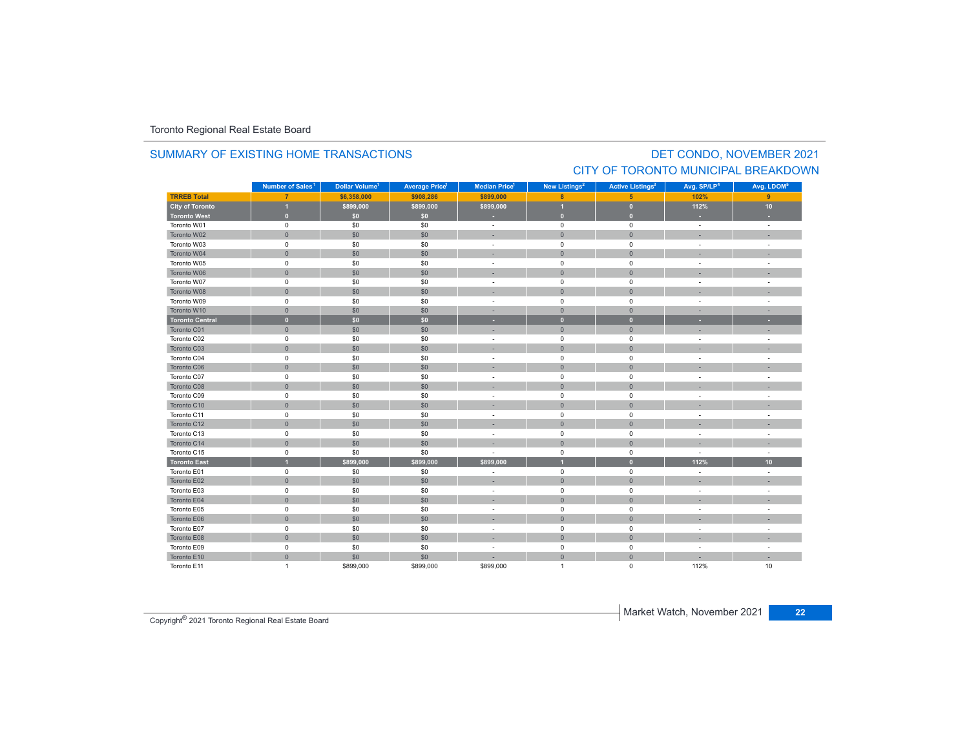### SUMMARY OF EXISTING HOME TRANSACTIONS

# DET CONDO, NOVEMBER 2021 CITY OF TORONTO MUNICIPAL BREAKDOWN

|                        | Number of Sales <sup>1</sup> | Dollar Volume <sup>1</sup> | <b>Average Price<sup>1</sup></b> | Median Price <sup>1</sup> | New Listings <sup>2</sup> | <b>Active Listings<sup>3</sup></b> | Avg. SP/LP <sup>4</sup>  | Avg. LDOM <sup>5</sup> |
|------------------------|------------------------------|----------------------------|----------------------------------|---------------------------|---------------------------|------------------------------------|--------------------------|------------------------|
| <b>TRREB Total</b>     | $\overline{7}$               | \$6,358,000                | \$908,286                        | \$899,000                 | 8                         | 5                                  | 102%                     | 9 <sup>°</sup>         |
| <b>City of Toronto</b> | $\overline{1}$               | \$899,000                  | \$899,000                        | \$899,000                 | и                         | $\overline{0}$                     | 112%                     | 10                     |
| <b>Toronto West</b>    | $\bullet$                    | \$0                        | \$0                              |                           | ⊕                         | $\mathbf{0}$                       |                          |                        |
| Toronto W01            | $\pmb{0}$                    | \$0                        | \$0                              | ÷.                        | $\mathsf 0$               | $\mathbf 0$                        | ÷.                       | ÷,                     |
| Toronto W02            | $\mathbf{0}$                 | \$0                        | \$0                              |                           | $\mathbf{0}$              | $\mathbf{0}$                       |                          |                        |
| Toronto W03            | $\mathsf 0$                  | \$0                        | \$0                              | $\sim$                    | $\mathbf 0$               | $\mathbf 0$                        | $\overline{\phantom{a}}$ | ÷                      |
| Toronto W04            | $\mathsf{O}\xspace$          | \$0                        | \$0                              |                           | $\mathbf{0}$              | $\mathbf{0}$                       |                          |                        |
| Toronto W05            | $\mathsf 0$                  | \$0                        | \$0                              | ÷                         | $\mathbf 0$               | $\pmb{0}$                          | ÷                        |                        |
| Toronto W06            | $\mathsf{O}\xspace$          | \$0                        | \$0                              | ×                         | $\mathbf{0}$              | $\mathbf{0}$                       |                          |                        |
| Toronto W07            | $\mathbf 0$                  | \$0                        | \$0                              | ä,                        | 0                         | 0                                  | ÷,                       |                        |
| Toronto W08            | $\mathbf{0}$                 | \$0                        | \$0                              | ۰                         | $\mathbf{0}$              | $\Omega$                           |                          |                        |
| Toronto W09            | $\mathsf 0$                  | \$0                        | \$0                              | ÷                         | $\mathbf 0$               | $\mathbf 0$                        | ÷,                       | ÷,                     |
| Toronto W10            | $\mathbf{0}$                 | \$0                        | \$0                              | ×,                        | $\overline{0}$            | $\mathbf{0}$                       |                          |                        |
| <b>Toronto Central</b> | $\mathbf{0}$                 | \$0                        | \$0                              | ٠                         | $\bullet$                 | $\mathbf{0}$                       | ٠                        | ٠                      |
| Toronto C01            | $\mathbf{0}$                 | \$0                        | \$0                              | ۰                         | $\mathbf{0}$              | $\mathbf{0}$                       | ۰                        |                        |
| Toronto C02            | $\mathbf 0$                  | \$0                        | \$0                              | ٠                         | $\mathbf 0$               | $\mathbf 0$                        | ÷                        | ÷                      |
| Toronto C03            | $\mathbf{0}$                 | \$0                        | \$0                              | ı.                        | $\mathbf{0}$              | $\mathbf{0}$                       |                          |                        |
| Toronto C04            | $\mathsf 0$                  | \$0                        | \$0                              | ÷,                        | $\mathbf 0$               | $\pmb{0}$                          | ÷,                       |                        |
| Toronto C06            | $\mathsf{O}\xspace$          | \$0                        | \$0                              |                           | $\mathsf{O}\xspace$       | $\mathsf{O}\xspace$                |                          |                        |
| Toronto C07            | $\mathbf 0$                  | \$0                        | \$0                              | ÷                         | $\mathbf 0$               | 0                                  | ÷                        |                        |
| Toronto C08            | $\mathbf{0}$                 | \$0                        | \$0                              |                           | $\mathbf{0}$              | $\Omega$                           |                          |                        |
| Toronto C09            | 0                            | \$0                        | \$0                              | ÷                         | $\mathbf 0$               | 0                                  | $\overline{\phantom{a}}$ |                        |
| Toronto C10            | $\mathsf{O}\xspace$          | \$0                        | \$0                              |                           | $\mathbf 0$               | $\mathbf{0}$                       |                          |                        |
| Toronto C11            | $\mathbf 0$                  | \$0                        | \$0                              | ÷                         | $\mathbf 0$               | $\mathbf 0$                        |                          |                        |
| Toronto C12            | $\mathsf{O}\xspace$          | \$0                        | \$0                              |                           | $\mathbf{0}$              | $\mathbf{0}$                       |                          |                        |
| Toronto C13            | $\mathsf 0$                  | \$0                        | \$0                              | $\sim$                    | $\mathbf 0$               | 0                                  | ÷,                       | $\sim$                 |
| Toronto C14            | $\mathsf{O}\xspace$          | \$0                        | \$0                              |                           | $\mathbf{0}$              | $\mathbf{0}$                       |                          |                        |
| Toronto C15            | $\mathsf 0$                  | \$0                        | \$0                              |                           | $\mathsf 0$               | $\pmb{0}$                          |                          |                        |
| <b>Toronto East</b>    | $\overline{1}$               | \$899.000                  | \$899.000                        | \$899.000                 |                           | $\mathbf{0}$                       | 112%                     | 10 <sup>10</sup>       |
| Toronto E01            | $\mathsf 0$                  | \$0                        | \$0                              |                           | $\mathbf 0$               | 0                                  | ÷,                       | ÷                      |
| Toronto E02            | $\mathbf{0}$                 | \$0                        | \$0                              | ۰                         | $\mathbf{0}$              | $\mathbf{0}$                       |                          |                        |
| Toronto E03            | $\mathsf 0$                  | \$0                        | \$0                              | $\overline{\phantom{a}}$  | $\mathbf 0$               | 0                                  | ÷,                       | ÷,                     |
| Toronto E04            | $\mathsf{O}\xspace$          | \$0                        | \$0                              |                           | $\mathbf{0}$              | $\Omega$                           |                          |                        |
| Toronto E05            | $\mathsf 0$                  | \$0                        | \$0                              | ٠                         | $\mathsf 0$               | $\pmb{0}$                          | $\overline{\phantom{a}}$ |                        |
| Toronto E06            | $\mathsf{O}\xspace$          | \$0                        | \$0                              |                           | $\mathbf{0}$              | $\mathbf{0}$                       |                          |                        |
| Toronto E07            | $\mathsf 0$                  | \$0                        | \$0                              | $\sim$                    | $\mathbf 0$               | 0                                  | ÷                        | ÷                      |
| Toronto E08            | $\mathsf{O}\xspace$          | \$0                        | \$0                              | ÷                         | $\mathbf 0$               | $\mathbf{0}$                       |                          |                        |
| Toronto E09            | $\mathsf 0$                  | \$0                        | \$0                              | ٠                         | $\mathsf 0$               | $\pmb{0}$                          | ÷,                       |                        |
| Toronto E10            | $\mathsf{O}\xspace$          | \$0                        | \$0                              |                           | $\mathbf{0}$              | $\mathbf{0}$                       |                          | ×.                     |
| Toronto E11            | $\mathbf{1}$                 | \$899,000                  | \$899,000                        | \$899,000                 | $\overline{1}$            | 0                                  | 112%                     | 10                     |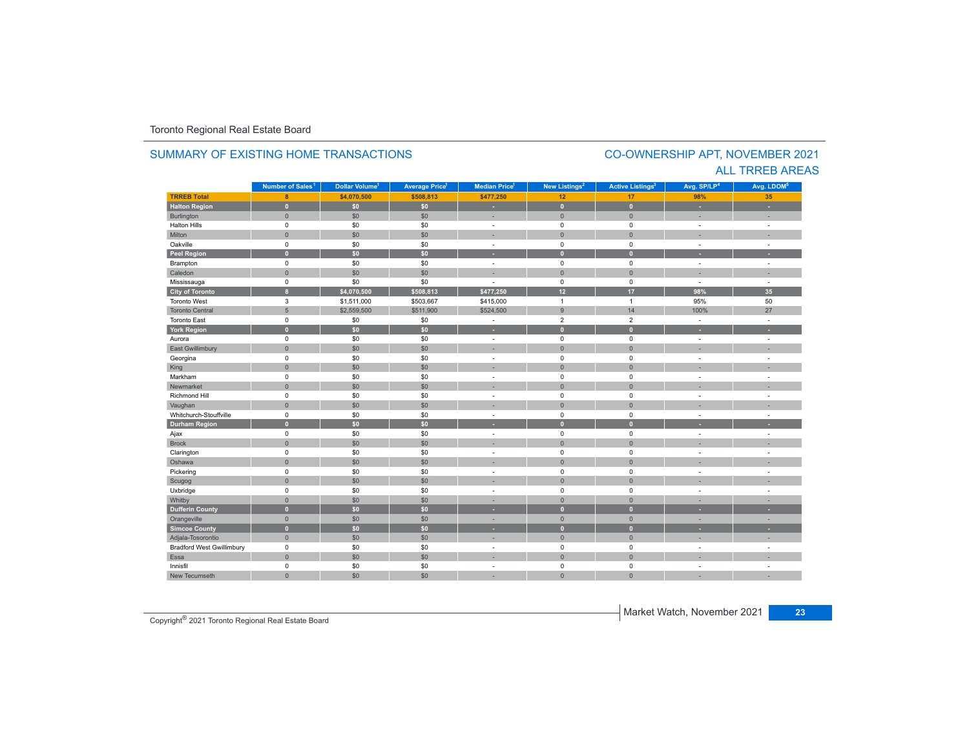#### **TRREB Total 8 \$4,070,500 \$508,813 \$477,250 12 17 98%35 Halton Region 0 \$0 \$0 - 0 0 - -** Burlington 0 \$0 \$0 | = 0 | = | = Halton Hills 0 \$0 \$0 - 0 0 - - Miltonn 1980 - 1991 - 1992 - 1993 - 1994 - 1994 - 1995 - 1996 - 1997 - 1998 - 1999 - 1999 - 1999 - 1999 - 1999 - 199 Oakville<br>Peel Region e 0 \$0 \$0 - 0 0 - -**Peel Region 0 \$0 \$0 - 0 0 - -** Brampton 0 \$0 \$0 - 0 0 - - Caledonn 1980 - 1980 - 1980 - 1981 - 1981 - 1982 - 1983 - 1984 - 1986 - 1986 - 1987 - 1988 - 1988 - 1988 - 1988 - 198 Mississauga 0 \$0 \$0 - 0 0 - - **City of Toronto 8 \$4,070,500 \$508,813 \$477,250 12 17 98% 35** Toronto West 3 \$1,511,000 \$503,667 \$415,000 1 1 95%95% 50<br>100% 27 Toronto Central 5 \$2,559,500 \$511,900 \$524,500 9 14 100% 27 Toronto East 0 \$0 \$0 - 2 2 - - **York Region 0 \$0 \$0 - 0 0 - -** Aurora 0 \$0 \$0 - 0 0 - - East Gwillimbury 0 \$0 \$0 - 0 0 - - Georgina 0 \$0 \$0 - 0 0 - - King 0 \$0 \$0 - 0 0 - - Markham 0 \$0 \$0 - 0 0 - - Newmarket 0 \$0 \$0 - 0 0 - - Richmond Hill 0 \$0 \$0 - 0 0 - - Vaughan 1980 (1980) (1980) (1980) (1980) (1980) (1980) (1980) (1980) (1980) (1980) (1980) (1980) (1980) (1980) Whitchurch-Stouffvillee 0 \$0 \$0 - 0 0 - -**Durham Region 0 \$0 \$0 - 0 0 - -** Ajax 0 \$0 \$0 - 0 0 - - Brock 0 \$0 \$0 - 0 0 - - Clarington 0 \$0 \$0 - 0 0 - - Oshawaa dia 1980 - Aniso ao amin'ny faritr'i Nouvelle-Aquitaine, ao amin'ny faritr'i Nouvelle-Aquitaine, ao amin'ny المال المسابق التي يقوم التي يقوم التي يقوم التي يقوم التي يقوم التي يقوم التي تعليم التي تعليم التي يقوم التي<br>التي يقوم التي يقوم التي يقوم التي يقوم التي يقوم التي يقوم التي يقوم التي يقوم التي يقوم التي يقوم التي يقوم Scugog 0 \$0 \$0 - 0 0 - - Uxbridge 0 \$0 \$0 - 0 0 - - Whitby 0 \$0 \$0 - 0 0 - - **Dufferin County 0 \$0 \$0 - 0 0 - -** Orangeville 0 \$0 \$0 - 0 0 - - **Simcoe County 0 \$0 \$0 - 0 0 - -** Adjala-Tosorontio 0 \$0 \$0 - 0 0 - - Bradford West Gwillimbury 0 \$0 \$0 - 0 0 - - Essaa dia 1980 - Aniso ao amin'ny faritr'i Nouvelle-Aquitaine, ao amin'ny faritr'i Nouvelle-Aquitaine, ao amin'ny Innisfil 0 \$0 \$0 - 0 0 - - New Tecumseth**Municipality Number of Sales Dollar Volume Average Price Median Price New Listings Active Listings Avg. SP/LP Avg. LDOM Number of Sales<sup>1</sup> 1** Dollar Volume<sup>1</sup> | Average Price<sup>1</sup> | Median Price<sup>1</sup> | New Listings<sup>2</sup> | Active Listings<sup>2</sup> | Avg. SP/LP<sup>4</sup> | Avg. LDOM<sup>5</sup>

0 \$0 \$0 - 0 0 - -

### SUMMARY OF EXISTING HOME TRANSACTIONS

### CO-OWNERSHIP APT, NOVEMBER 2021 ALL TRREB AREAS

Copyright® 2021 Toronto Regional Real Estate Board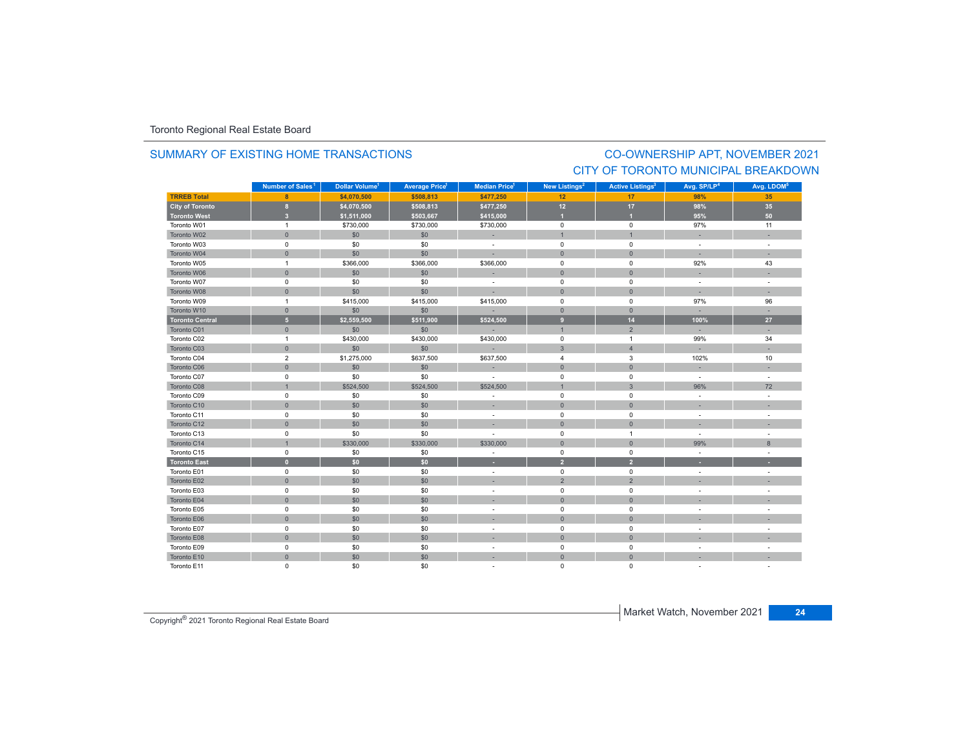# SUMMARY OF EXISTING HOME TRANSACTIONS

# CO-OWNERSHIP APT, NOVEMBER 2021 CITY OF TORONTO MUNICIPAL BREAKDOWN

|                        | Number of Sales <sup>1</sup> | Dollar Volume <sup>1</sup> | <b>Average Price<sup>1</sup></b> | Median Price <sup>1</sup> | New Listings <sup>2</sup> | <b>Active Listings<sup>3</sup></b> | Avg. SP/LP <sup>4</sup>  | Avg. LDOM <sup>5</sup>   |
|------------------------|------------------------------|----------------------------|----------------------------------|---------------------------|---------------------------|------------------------------------|--------------------------|--------------------------|
| <b>TRREB Total</b>     | 8                            | \$4,070,500                | \$508,813                        | \$477,250                 | 12                        | 17                                 | 98%                      | 35                       |
| <b>City of Toronto</b> | $\bf 8$                      | \$4,070,500                | \$508,813                        | \$477,250                 | 12                        | 17 <sup>2</sup>                    | 98%                      | 35                       |
| <b>Toronto West</b>    | 3 <sup>2</sup>               | \$1,511,000                | \$503,667                        | \$415,000                 | и                         |                                    | 95%                      | 50                       |
| Toronto W01            | $\overline{1}$               | \$730,000                  | \$730,000                        | \$730,000                 | $\mathbf 0$               | $\mathsf 0$                        | 97%                      | 11                       |
| Toronto W02            | $\mathbf{0}$                 | \$0                        | \$0                              | ×,                        | $\overline{1}$            | $\overline{1}$                     |                          |                          |
| Toronto W03            | 0                            | \$0                        | \$0                              | $\sim$                    | $\mathsf 0$               | $\mathsf 0$                        | $\blacksquare$           | $\sim$                   |
| Toronto W04            | $\mathbf{0}$                 | \$0                        | \$0                              |                           | $\mathbf{0}$              | $\mathbf{0}$                       | ٠                        |                          |
| Toronto W05            | $\mathbf{1}$                 | \$366,000                  | \$366,000                        | \$366,000                 | $\pmb{0}$                 | 0                                  | 92%                      | 43                       |
| Toronto W06            | $\mathbf{0}$                 | \$0                        | \$0                              |                           | $\mathbf{0}$              | $\mathbf{0}$                       |                          |                          |
| Toronto W07            | 0                            | \$0                        | \$0                              | $\sim$                    | $\mathbf 0$               | $\mathbf 0$                        | ÷                        | $\sim$                   |
| Toronto W08            | $\mathbf{0}$                 | \$0                        | \$0                              | ÷.                        | $\mathbf 0$               | $\mathbf{0}$                       | ×.                       | ÷.                       |
| Toronto W09            | $\mathbf{1}$                 | \$415,000                  | \$415,000                        | \$415,000                 | $\mathsf 0$               | $\mathsf 0$                        | 97%                      | 96                       |
| Toronto W10            | $\mathsf{O}\xspace$          | \$0                        | \$0                              |                           | $\mathbf 0$               | $\mathbf 0$                        | $\overline{\phantom{a}}$ |                          |
| <b>Toronto Central</b> | $\overline{5}$               | \$2,559,500                | \$511,900                        | \$524,500                 | $\overline{9}$            | 14                                 | 100%                     | 27                       |
| Toronto C01            | $\mathbf{0}$                 | \$0                        | \$0                              | ÷.                        | $\overline{1}$            | $\overline{2}$                     | $\overline{\phantom{a}}$ | ×.                       |
| Toronto C02            | $\mathbf{1}$                 | \$430,000                  | \$430,000                        | \$430,000                 | $\mathbf 0$               | $\overline{1}$                     | 99%                      | 34                       |
| Toronto C03            | $\mathbf{0}$                 | \$0                        | \$0                              | $\sim$                    | $\mathbf{3}$              | $\overline{4}$                     |                          |                          |
| Toronto C04            | $\overline{2}$               | \$1,275,000                | \$637,500                        | \$637,500                 | $\overline{4}$            | 3                                  | 102%                     | 10                       |
| Toronto C06            | $\overline{0}$               | \$0                        | \$0                              |                           | $\mathbf{0}$              | $\mathbf{0}$                       | ×.                       |                          |
| Toronto C07            | $\mathbf 0$                  | \$0                        | \$0                              | $\sim$                    | $\mathbf 0$               | $\mathbf 0$                        | $\mathcal{L}$            | $\sim$                   |
| Toronto C08            | $\overline{1}$               | \$524,500                  | \$524,500                        | \$524,500                 | $\overline{1}$            | $\mathbf{3}$                       | 96%                      | 72                       |
| Toronto C09            | 0                            | \$0                        | \$0                              | ÷.                        | $\mathbf 0$               | $\mathbf 0$                        | ÷.                       | $\sim$                   |
| Toronto C10            | $\mathsf{O}\xspace$          | \$0                        | \$0                              | ×.                        | $\mathsf{O}$              | $\mathbf{0}$                       |                          |                          |
| Toronto C11            | $\mathsf 0$                  | \$0                        | \$0                              | $\sim$                    | $\pmb{0}$                 | $\mathsf 0$                        | ÷.                       |                          |
| Toronto C12            | $\overline{0}$               | \$0                        | \$0                              |                           | $\mathbf{0}$              | $\mathbf{0}$                       |                          |                          |
| Toronto C13            | 0                            | \$0                        | \$0                              | $\sim$                    | $\mathsf 0$               | $\overline{1}$                     | $\blacksquare$           | $\overline{\phantom{a}}$ |
| Toronto C14            | $\mathbf{1}$                 | \$330,000                  | \$330,000                        | \$330,000                 | $\mathbf{0}$              | $\mathbf{0}$                       | 99%                      | 8                        |
| Toronto C15            | 0                            | \$0                        | \$0                              | $\overline{\phantom{a}}$  | $\mathsf 0$               | $\mathsf 0$                        | $\sim$                   |                          |
| <b>Toronto East</b>    | $\mathbf{0}$                 | \$0                        | \$0                              | ٠                         | $\overline{2}$            | $\overline{2}$                     |                          |                          |
| Toronto E01            | $\mathbf 0$                  | \$0                        | \$0                              | $\sim$                    | $\mathbf 0$               | $\mathbf 0$                        |                          |                          |
| Toronto E02            | $\mathbf{0}$                 | \$0                        | \$0                              | ×.                        | 2                         | $\overline{2}$                     | ×,                       |                          |
| Toronto E03            | 0                            | \$0                        | \$0                              | $\sim$                    | $\mathbf 0$               | 0                                  | ÷.                       | $\overline{\phantom{a}}$ |
| Toronto E04            | $\mathsf{O}\xspace$          | \$0                        | \$0                              |                           | $\mathsf{O}\xspace$       | $\mathbf{0}$                       |                          |                          |
| Toronto E05            | $\mathsf 0$                  | \$0                        | \$0                              | $\sim$                    | $\mathbf 0$               | $\mathsf 0$                        | $\sim$                   |                          |
| Toronto E06            | $\mathsf{O}\xspace$          | \$0                        | \$0                              |                           | $\mathbf{0}$              | $\mathbf{0}$                       |                          |                          |
| Toronto E07            | 0                            | \$0                        | \$0                              | $\sim$                    | $\mathsf 0$               | $\mathbf 0$                        | ÷.                       |                          |
| Toronto E08            | $\mathbf{0}$                 | \$0                        | \$0                              |                           | $\mathbf 0$               | $\mathbf 0$                        |                          |                          |
| Toronto E09            | 0                            | \$0                        | \$0                              | $\sim$                    | $\pmb{0}$                 | $\mathsf 0$                        | $\overline{\phantom{a}}$ |                          |
| Toronto E10            | $\mathsf{O}\xspace$          | \$0                        | \$0                              |                           | $\mathbf{0}$              | $\mathbf{0}$                       |                          |                          |
| Toronto E11            | 0                            | \$0                        | \$0                              |                           | $\mathbf 0$               | $\mathbf 0$                        |                          |                          |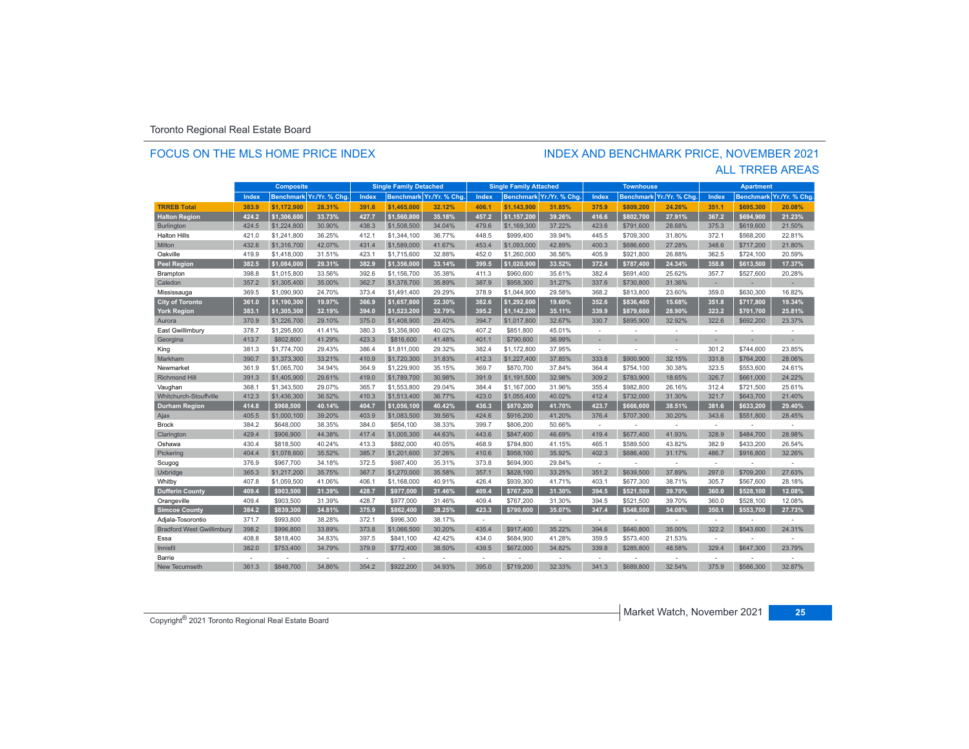### FOCUS ON THE MLS HOME PRICE INDEX

# INDEX AND BENCHMARK PRICE, NOVEMBER 2021

### ALL TRREB AREAS

| <b>Composite</b>                 |       |             | <b>Single Family Detached</b> |       |             | <b>Single Family Attached</b> |              | <b>Townhouse</b> |                         |                          | <b>Apartment</b> |                |                |                  |               |
|----------------------------------|-------|-------------|-------------------------------|-------|-------------|-------------------------------|--------------|------------------|-------------------------|--------------------------|------------------|----------------|----------------|------------------|---------------|
|                                  | Index |             | Benchmark Yr./Yr. % Chg       | Index |             | Benchmark Yr./Yr. % Chg.      | <b>Index</b> |                  | Benchmark Yr./Yr. % Chg | Index                    | <b>Benchmark</b> | Yr./Yr. % Chg. | Index          | <b>Benchmark</b> | Yr./Yr. % Chg |
| <b>TRREB Total</b>               | 383.9 | \$1.172.900 | 28.31%                        | 391.6 | \$1,465,000 | 32.12%                        | 406.1        | \$1.143.900      | 31.85%                  | 375.9                    | \$809,200        | 24.26%         | 351.1          | \$695.300        | 20.08%        |
| <b>Halton Region</b>             | 424.2 | \$1.306.600 | 33.73%                        | 427.7 | \$1.560.800 | 35.18%                        | 457.2        | \$1,157,200      | 39.26%                  | 416.6                    | \$802.700        | 27.91%         | 367.2          | \$694.900        | 21.23%        |
| <b>Burlington</b>                | 424.5 | \$1,224,800 | 30.90%                        | 438.3 | \$1,508,500 | 34.04%                        | 479.6        | \$1,169,300      | 37.22%                  | 423.6                    | \$791,600        | 28.68%         | 375.3          | \$619,600        | 21.50%        |
| <b>Halton Hills</b>              | 421.0 | \$1,241,800 | 36.25%                        | 412.1 | \$1,344,100 | 36.77%                        | 448.5        | \$999.400        | 39.94%                  | 445.5                    | \$709,300        | 31.80%         | 372.1          | \$568,200        | 22.81%        |
| Milton                           | 432.6 | \$1,316,700 | 42.07%                        | 431.4 | \$1,589,000 | 41.67%                        | 453.4        | \$1,093,000      | 42.89%                  | 400.3                    | \$686,600        | 27.28%         | 348.6          | \$717,200        | 21.80%        |
| Oakville                         | 419.9 | \$1,418,000 | 31.51%                        | 423.1 | \$1,715,600 | 32.88%                        | 452.0        | \$1,260,000      | 36.56%                  | 405.9                    | \$921,800        | 26.88%         | 362.5          | \$724,100        | 20.59%        |
| <b>Peel Region</b>               | 382.5 | \$1.084.000 | 29.31%                        | 382.9 | \$1.356.000 | 33.14%                        | 399.5        | \$1.020.900      | 33.52%                  | 372.4                    | \$787,400        | 24.34%         | 358.8          | \$613.500        | 17.37%        |
| Brampton                         | 398.8 | \$1,015,800 | 33.56%                        | 392.6 | \$1,156,700 | 35.38%                        | 411.3        | \$960,600        | 35.61%                  | 382.4                    | \$691,400        | 25.62%         | 357.7          | \$527,600        | 20.28%        |
| Caledon                          | 357.2 | \$1,305,400 | 35.00%                        | 362.7 | \$1,378,700 | 35.89%                        | 387.9        | \$958,300        | 31.27%                  | 337.6                    | \$730,800        | 31.36%         | i.             |                  |               |
| Mississauga                      | 369.5 | \$1,090,900 | 24.70%                        | 373.4 | \$1,491,400 | 29.29%                        | 378.9        | \$1,044,900      | 29.58%                  | 368.2                    | \$813,800        | 23.60%         | 359.0          | \$630,300        | 16.82%        |
| <b>City of Toronto</b>           | 361.0 | \$1,190,300 | 19.97%                        | 366.9 | \$1,657,800 | 22.30%                        | 382.6        | \$1,292,600      | 19.60%                  | 352.6                    | \$836,400        | 15.68%         | 351.8          | \$717,800        | 19.34%        |
| <b>York Region</b>               | 383.1 | \$1,305,300 | 32.19%                        | 394.0 | \$1.523.200 | 32.79%                        | 395.2        | \$1,142,200      | 35.11%                  | 339.9                    | \$879,600        | 28.90%         | 323.2          | \$701,700        | 25.81%        |
| Aurora                           | 370.9 | \$1,226,700 | 29.10%                        | 375.0 | \$1,408,900 | 29.40%                        | 394.7        | \$1,017,800      | 32.67%                  | 330.7                    | \$895,900        | 32.92%         | 322.6          | \$692,200        | 23.37%        |
| East Gwillimbury                 | 378.7 | \$1,295,800 | 41.41%                        | 380.3 | \$1,356,900 | 40.02%                        | 407.2        | \$851.800        | 45.01%                  | ÷.                       |                  | ÷,             | $\sim$         | ä,               | ٠             |
| Georgina                         | 413.7 | \$802,800   | 41.29%                        | 423.3 | \$816,600   | 41.48%                        | 401.1        | \$790,600        | 36.99%                  | $\overline{\phantom{a}}$ |                  |                |                |                  |               |
| King                             | 381.3 | \$1,774,700 | 29.43%                        | 386.4 | \$1,811,000 | 29.32%                        | 382.4        | \$1,172,800      | 37.95%                  | $\sim$                   |                  | ÷.             | 301.2          | \$744,600        | 23.85%        |
| Markham                          | 390.7 | \$1,373,300 | 33.21%                        | 410.9 | \$1,720,300 | 31.83%                        | 412.3        | \$1,227,400      | 37.85%                  | 333.8                    | \$900,900        | 32.15%         | 331.8          | \$764,200        | 28.06%        |
| Newmarket                        | 361.9 | \$1,065,700 | 34.94%                        | 364.9 | \$1,229,900 | 35.15%                        | 369.7        | \$870.700        | 37.84%                  | 364.4                    | \$754,100        | 30.38%         | 323.5          | \$553,600        | 24.61%        |
| <b>Richmond Hill</b>             | 391.3 | \$1,405,900 | 29.61%                        | 419.0 | \$1,789,700 | 30.98%                        | 391.9        | \$1,191,500      | 32.98%                  | 309.2                    | \$783,900        | 18.65%         | 326.7          | \$661,000        | 24.22%        |
| Vaughan                          | 368.1 | \$1,343,500 | 29.07%                        | 365.7 | \$1,553,800 | 29.04%                        | 384.4        | \$1,167,000      | 31.96%                  | 355.4                    | \$982,800        | 26.16%         | 312.4          | \$721,500        | 25.61%        |
| Whitchurch-Stouffville           | 412.3 | \$1,436,300 | 36.52%                        | 410.3 | \$1,513,400 | 36.77%                        | 423.0        | \$1,055,400      | 40.02%                  | 412.4                    | \$732,000        | 31.30%         | 321.7          | \$643,700        | 21.40%        |
| <b>Durham Region</b>             | 414.8 | \$968,500   | 40.14%                        | 404.7 | \$1,056,100 | 40.42%                        | 436.3        | \$870,200        | 41.70%                  | 423.7                    | \$666.600        | 38.51%         | 381.6          | \$633,200        | 29.40%        |
| Ajax                             | 405.5 | \$1,000,100 | 39.20%                        | 403.9 | \$1,083,500 | 39.56%                        | 424.6        | \$916,200        | 41.20%                  | 376.4                    | \$707,300        | 30.20%         | 343.6          | \$551,800        | 28.45%        |
| <b>Brock</b>                     | 384.2 | \$648,000   | 38.35%                        | 384.0 | \$654,100   | 38.33%                        | 399.7        | \$806,200        | 50.66%                  | ×.                       |                  | $\sim$         | $\sim$         |                  | ÷.            |
| Clarington                       | 429.4 | \$906,900   | 44.38%                        | 417.4 | \$1,005,300 | 44.63%                        | 443.6        | \$847,400        | 46.69%                  | 419.4                    | \$677,400        | 41.93%         | 328.9          | \$484,700        | 28.98%        |
| Oshawa                           | 430.4 | \$818,500   | 40.24%                        | 413.3 | \$882,000   | 40.05%                        | 468.9        | \$784,800        | 41.15%                  | 465.1                    | \$589,500        | 43.82%         | 382.9          | \$433,200        | 26.54%        |
| Pickering                        | 404.4 | \$1,078,600 | 35.52%                        | 385.7 | \$1,201,600 | 37.26%                        | 410.6        | \$958,100        | 35.92%                  | 402.3                    | \$686,400        | 31.17%         | 486.7          | \$916,800        | 32.26%        |
| Scugog                           | 376.9 | \$967,700   | 34.18%                        | 372.5 | \$987.400   | 35.31%                        | 373.8        | \$694,900        | 29.84%                  | ÷                        |                  | ÷              | ۰.             |                  |               |
| Uxbridge                         | 365.3 | \$1,217,200 | 35.75%                        | 367.7 | \$1,270,000 | 35.58%                        | 357.1        | \$828,100        | 33.25%                  | 351.2                    | \$639,500        | 37.89%         | 297.0          | \$709,200        | 27.63%        |
| Whitby                           | 407.8 | \$1,059,500 | 41.06%                        | 406.1 | \$1,168,000 | 40.91%                        | 426.4        | \$939.300        | 41.71%                  | 403.1                    | \$677,300        | 38.71%         | 305.7          | \$567,600        | 28.18%        |
| <b>Dufferin County</b>           | 409.4 | \$903,500   | 31.39%                        | 428.7 | \$977,000   | 31.46%                        | 409.4        | \$767.200        | 31.30%                  | 394.5                    | \$521,500        | 39.70%         | 360.0          | \$528,100        | 12.08%        |
| Orangeville                      | 409.4 | \$903,500   | 31.39%                        | 428.7 | \$977,000   | 31.46%                        | 409.4        | \$767,200        | 31.30%                  | 394.5                    | \$521,500        | 39.70%         | 360.0          | \$528,100        | 12.08%        |
| <b>Simcoe County</b>             | 384.2 | \$839,300   | 34.81%                        | 375.9 | \$862.400   | 38.25%                        | 423.3        | \$790,600        | 35.07%                  | 347.4                    | \$548,500        | 34.08%         | 350.1          | \$553,700        | 27.73%        |
| Adjala-Tosorontio                | 371.7 | \$993,800   | 38.28%                        | 372.1 | \$996,300   | 38.17%                        | ×.           |                  | $\sim$                  | ÷                        |                  | $\sim$         | $\sim$         |                  |               |
| <b>Bradford West Gwillimbury</b> | 398.2 | \$996,800   | 33.89%                        | 373.8 | \$1,066,500 | 30.20%                        | 435.4        | \$917,400        | 35.22%                  | 394.6                    | \$640,800        | 35.00%         | 322.2          | \$543,600        | 24.31%        |
| Essa                             | 408.8 | \$818,400   | 34.83%                        | 397.5 | \$841,100   | 42.42%                        | 434.0        | \$684,900        | 41.28%                  | 359.5                    | \$573,400        | 21.53%         | $\overline{a}$ |                  |               |
| Innisfil                         | 382.0 | \$753,400   | 34.79%                        | 379.9 | \$772,400   | 38.50%                        | 439.5        | \$672,000        | 34.82%                  | 339.8                    | \$285,800        | 48.58%         | 329.4          | \$647,300        | 23.79%        |
| Barrie                           | ÷     |             | $\sim$                        | ÷,    |             | $\sim$                        | ÷            |                  |                         | $\sim$                   |                  | ÷,             | ۰.             |                  |               |
| New Tecumseth                    | 361.3 | \$848,700   | 34.86%                        | 354.2 | \$922,200   | 34.93%                        | 395.0        | \$719,200        | 32.33%                  | 341.3                    | \$689,800        | 32.54%         | 375.9          | \$586,300        | 32.87%        |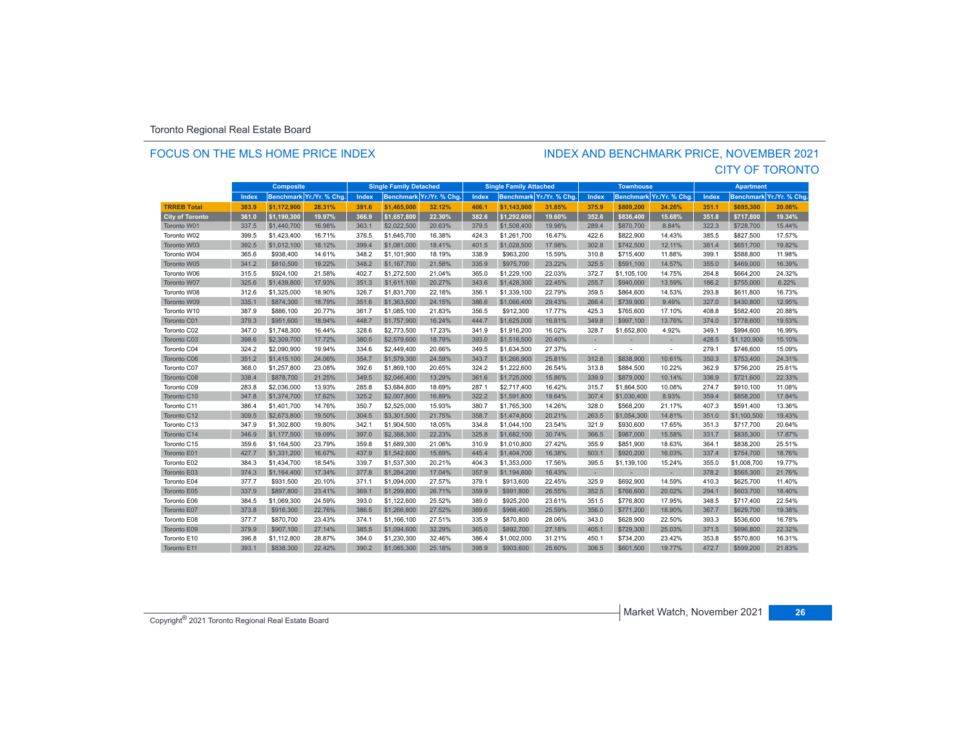### FOCUS ON THE MLS HOME PRICE INDEX

### CITY OF TORONTO INDEX AND BENCHMARK PRICE, NOVEMBER 2021

|                        | <b>Composite</b> |             | <b>Single Family Detached</b> |       | <b>Single Family Attached</b> |                          | <b>Townhouse</b> |             | <b>Apartment</b>         |                          |             |                          |       |                  |                |
|------------------------|------------------|-------------|-------------------------------|-------|-------------------------------|--------------------------|------------------|-------------|--------------------------|--------------------------|-------------|--------------------------|-------|------------------|----------------|
|                        | Index            |             | Benchmark Yr./Yr. % Chg.      | Index |                               | Benchmark Yr./Yr. % Cha. | Index            |             | Benchmark Yr./Yr. % Chg. | Index                    |             | Benchmark Yr./Yr. % Chg. | Index | <b>Benchmark</b> | Yr./Yr. % Chg. |
| <b>TRREB Total</b>     | 383.9            | \$1.172.900 | 28.31%                        | 391.6 | \$1,465,000                   | 32.12%                   | 406.1            | \$1.143.900 | 31.85%                   | 375.9                    | \$809.200   | 24.26%                   | 351.1 | \$695.300        | 20.08%         |
| <b>City of Toronto</b> | 361.0            | \$1,190,300 | 19.97%                        | 366.9 | \$1,657,800                   | 22.30%                   | 382.6            | \$1,292,600 | 19.60%                   | 352.6                    | \$836,400   | 15.68%                   | 351.8 | \$717,800        | 19.34%         |
| Toronto W01            | 337.5            | \$1,440,700 | 16.98%                        | 363.1 | \$2,022,500                   | 20.63%                   | 379.5            | \$1,508,400 | 19.98%                   | 289.4                    | \$870,700   | 8.84%                    | 322.3 | \$728,700        | 15.44%         |
| Toronto W02            | 399.5            | \$1,423,400 | 16.71%                        | 376.5 | \$1,645,700                   | 16.38%                   | 424.3            | \$1,261,700 | 16.47%                   | 422.6                    | \$822,900   | 14.43%                   | 385.5 | \$827,500        | 17.57%         |
| Toronto W03            | 392.5            | \$1,012,100 | 18.12%                        | 399.4 | \$1,081,000                   | 18.41%                   | 401.5            | \$1,028,500 | 17.98%                   | 302.8                    | \$742,500   | 12.11%                   | 381.4 | \$651,700        | 19.82%         |
| Toronto W04            | 365.6            | \$938,400   | 14.61%                        | 348.2 | \$1,101,900                   | 18.19%                   | 338.9            | \$963,200   | 15.59%                   | 310.8                    | \$715,400   | 11.88%                   | 399.1 | \$588,800        | 11.98%         |
| Toronto W05            | 341.2            | \$810,500   | 19.22%                        | 348.2 | \$1,167,700                   | 21.58%                   | 335.9            | \$975,700   | 23.22%                   | 325.5                    | \$591.100   | 14.57%                   | 355.0 | \$469,000        | 16.39%         |
| Toronto W06            | 315.5            | \$924,100   | 21.58%                        | 402.7 | \$1,272,500                   | 21.04%                   | 365.0            | \$1,229,100 | 22.03%                   | 372.7                    | \$1,105,100 | 14.75%                   | 264.8 | \$664,200        | 24.32%         |
| Toronto W07            | 325.6            | \$1,439,800 | 17.93%                        | 351.3 | \$1,611,100                   | 20.27%                   | 343.6            | \$1,428,300 | 22.45%                   | 255.7                    | \$940,000   | 13.59%                   | 186.2 | \$755,000        | 6.22%          |
| Toronto W08            | 312.6            | \$1,325,000 | 18.90%                        | 326.7 | \$1,831,700                   | 22.18%                   | 356.1            | \$1,339,100 | 22.79%                   | 359.5                    | \$864,600   | 14.53%                   | 293.8 | \$611,800        | 16.73%         |
| Toronto W09            | 335.1            | \$874,300   | 18.79%                        | 351.6 | \$1,363,500                   | 24.15%                   | 386.6            | \$1,066,400 | 29.43%                   | 266.4                    | \$739,900   | 9.49%                    | 327.0 | \$430,800        | 12.95%         |
| Toronto W10            | 387.9            | \$886,100   | 20.77%                        | 361.7 | \$1,085,100                   | 21.83%                   | 356.5            | \$912,300   | 17.77%                   | 425.3                    | \$765,600   | 17.10%                   | 408.8 | \$582,400        | 20.88%         |
| Toronto C01            | 379.3            | \$951,600   | 18.94%                        | 448.7 | \$1,757,900                   | 16.24%                   | 444.7            | \$1,625,000 | 16.81%                   | 349.8                    | \$997.100   | 13.76%                   | 374.0 | \$778,600        | 19.53%         |
| Toronto C02            | 347.0            | \$1,748,300 | 16.44%                        | 328.6 | \$2,773,500                   | 17.23%                   | 341.9            | \$1,916,200 | 16.02%                   | 328.7                    | \$1,652,800 | 4.92%                    | 349.1 | \$994,600        | 16.99%         |
| Toronto C03            | 398.6            | \$2,309,700 | 17.72%                        | 380.5 | \$2,579,600                   | 18.79%                   | 393.0            | \$1,516,500 | 20.40%                   |                          |             |                          | 428.5 | \$1,120,900      | 15.10%         |
| Toronto C04            | 324.2            | \$2,090,900 | 19.94%                        | 334.6 | \$2,449,400                   | 20.66%                   | 349.5            | \$1,634,500 | 27.37%                   | $\overline{\phantom{a}}$ |             | $\sim$                   | 279.1 | \$746,600        | 15.09%         |
| Toronto C06            | 351.2            | \$1,415,100 | 24.06%                        | 354.7 | \$1,579,300                   | 24.59%                   | 343.7            | \$1,266,900 | 25.81%                   | 312.8                    | \$838,900   | 10.61%                   | 350.3 | \$753,400        | 24.31%         |
| Toronto C07            | 368.0            | \$1,257,800 | 23.08%                        | 392.6 | \$1,869,100                   | 20.65%                   | 324.2            | \$1,222,600 | 26.54%                   | 313.8                    | \$884,500   | 10.22%                   | 362.9 | \$756,200        | 25.61%         |
| Toronto C08            | 338.4            | \$878,700   | 21.25%                        | 349.5 | \$2,046,400                   | 13.29%                   | 361.6            | \$1,725,000 | 15.86%                   | 339.9                    | \$879,000   | 10.14%                   | 336.9 | \$721,600        | 22.33%         |
| Toronto C09            | 283.8            | \$2,036,000 | 13.93%                        | 285.8 | \$3,684.800                   | 18.69%                   | 287.1            | \$2,717,400 | 16.42%                   | 315.7                    | \$1,864,500 | 10.08%                   | 274.7 | \$910,100        | 11.08%         |
| Toronto C10            | 347.8            | \$1,374,700 | 17.62%                        | 325.2 | \$2,007,800                   | 16.89%                   | 322.2            | \$1,591,800 | 19.64%                   | 307.4                    | \$1,030,400 | 8.93%                    | 359.4 | \$858,200        | 17.84%         |
| Toronto C11            | 386.4            | \$1,401,700 | 14.76%                        | 350.7 | \$2,525,000                   | 15.93%                   | 380.7            | \$1,765,300 | 14.26%                   | 328.0                    | \$568,200   | 21.17%                   | 407.3 | \$591,400        | 13.36%         |
| Toronto C12            | 309.5            | \$2,673,800 | 19.50%                        | 304.5 | \$3,301,500                   | 21.75%                   | 358.7            | \$1,474,800 | 20.21%                   | 263.5                    | \$1,054,300 | 14.81%                   | 351.0 | \$1,100,500      | 19.43%         |
| Toronto C13            | 347.9            | \$1,302,800 | 19.80%                        | 342.1 | \$1,904,500                   | 18.05%                   | 334.8            | \$1,044,100 | 23.54%                   | 321.9                    | \$930,600   | 17.65%                   | 351.3 | \$717,700        | 20.64%         |
| Toronto C14            | 346.9            | \$1,177,500 | 19.09%                        | 397.0 | \$2,388,300                   | 22.23%                   | 325.8            | \$1,682,100 | 30.74%                   | 366.5                    | \$987,000   | 15.58%                   | 331.7 | \$835,300        | 17.87%         |
| Toronto C15            | 359.6            | \$1,164,500 | 23.79%                        | 359.8 | \$1,689,300                   | 21.06%                   | 310.9            | \$1,010,800 | 27.42%                   | 355.9                    | \$851,900   | 18.63%                   | 364.1 | \$838,200        | 25.51%         |
| Toronto E01            | 427.7            | \$1,331,200 | 16.67%                        | 437.9 | \$1,542,600                   | 15.69%                   | 445.4            | \$1,404,700 | 16.38%                   | 503.1                    | \$920,200   | 16.03%                   | 337.4 | \$754,700        | 18.76%         |
| Toronto E02            | 384.3            | \$1,434,700 | 18.54%                        | 339.7 | \$1,537,300                   | 20.21%                   | 404.3            | \$1,353,000 | 17.56%                   | 395.5                    | \$1,139,100 | 15.24%                   | 355.0 | \$1,008,700      | 19.77%         |
| Toronto E03            | 374.3            | \$1,164,400 | 17.34%                        | 377.8 | \$1,284,200                   | 17.04%                   | 357.9            | \$1,194,600 | 16.43%                   | $\sim$                   | ×.          | $\overline{\phantom{a}}$ | 378.2 | \$565,300        | 21.76%         |
| Toronto E04            | 377.7            | \$931,500   | 20.10%                        | 371.1 | \$1,094,000                   | 27.57%                   | 379.1            | \$913,600   | 22.45%                   | 325.9                    | \$692,900   | 14.59%                   | 410.3 | \$625,700        | 11.40%         |
| Toronto E05            | 337.9            | \$897,800   | 23.41%                        | 369.1 | \$1,299,800                   | 26.71%                   | 359.9            | \$991,800   | 26.55%                   | 352.5                    | \$766,600   | 20.02%                   | 294.1 | \$603,700        | 18.40%         |
| Toronto E06            | 384.5            | \$1,069,300 | 24.59%                        | 393.0 | \$1,122,600                   | 25.52%                   | 389.0            | \$925,200   | 23.61%                   | 351.5                    | \$776,800   | 17.95%                   | 348.5 | \$717,400        | 22.54%         |
| Toronto E07            | 373.8            | \$916,300   | 22.76%                        | 386.5 | \$1,266,800                   | 27.52%                   | 369.6            | \$966,400   | 25.59%                   | 356.0                    | \$771,200   | 18.90%                   | 367.7 | \$629,700        | 19.38%         |
| Toronto E08            | 377.7            | \$870,700   | 23.43%                        | 374.1 | \$1,166,100                   | 27.51%                   | 335.9            | \$870,800   | 28.06%                   | 343.0                    | \$628,900   | 22.50%                   | 393.3 | \$536,600        | 16.78%         |
| Toronto E09            | 379.9            | \$907.100   | 27.14%                        | 385.5 | \$1,094,600                   | 32.29%                   | 365.0            | \$892.700   | 27.18%                   | 405.1                    | \$729,300   | 25.03%                   | 371.5 | \$696,800        | 22.32%         |
| Toronto E10            | 396.8            | \$1,112,800 | 28.87%                        | 384.0 | \$1,230,300                   | 32.46%                   | 386.4            | \$1.002.000 | 31.21%                   | 450.1                    | \$734.200   | 23.42%                   | 353.8 | \$570,800        | 16.31%         |
| Toronto E11            | 393.1            | \$838,300   | 22.42%                        | 390.2 | \$1,085,300                   | 25.18%                   | 398.9            | \$903,600   | 25.60%                   | 306.5                    | \$601.500   | 19.77%                   | 472.7 | \$599,200        | 21.83%         |